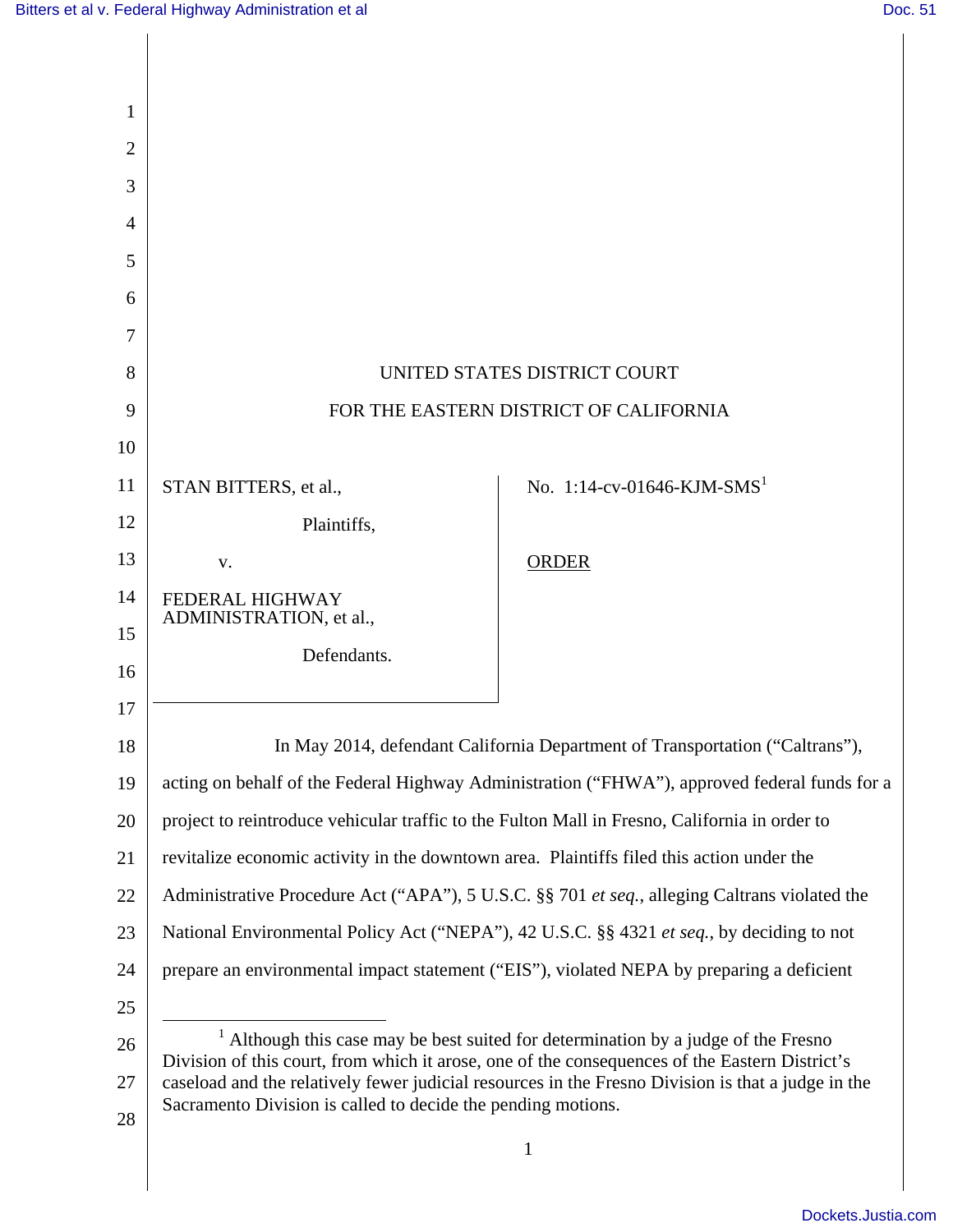| 1              |                                                                                               |                                                                                                                                                                                        |
|----------------|-----------------------------------------------------------------------------------------------|----------------------------------------------------------------------------------------------------------------------------------------------------------------------------------------|
| $\overline{2}$ |                                                                                               |                                                                                                                                                                                        |
| 3              |                                                                                               |                                                                                                                                                                                        |
| 4              |                                                                                               |                                                                                                                                                                                        |
| 5              |                                                                                               |                                                                                                                                                                                        |
| 6              |                                                                                               |                                                                                                                                                                                        |
| 7              |                                                                                               |                                                                                                                                                                                        |
| 8              |                                                                                               | UNITED STATES DISTRICT COURT                                                                                                                                                           |
| 9              |                                                                                               | FOR THE EASTERN DISTRICT OF CALIFORNIA                                                                                                                                                 |
| 10             |                                                                                               |                                                                                                                                                                                        |
| 11             | STAN BITTERS, et al.,                                                                         | No. 1:14-cv-01646-KJM-SMS <sup>1</sup>                                                                                                                                                 |
| 12             | Plaintiffs,                                                                                   |                                                                                                                                                                                        |
| 13             | V.                                                                                            | <b>ORDER</b>                                                                                                                                                                           |
| 14             | FEDERAL HIGHWAY<br>ADMINISTRATION, et al.,                                                    |                                                                                                                                                                                        |
| 15             | Defendants.                                                                                   |                                                                                                                                                                                        |
| 16             |                                                                                               |                                                                                                                                                                                        |
| 17             |                                                                                               |                                                                                                                                                                                        |
| 18             |                                                                                               | In May 2014, defendant California Department of Transportation ("Caltrans"),                                                                                                           |
| 19             |                                                                                               | acting on behalf of the Federal Highway Administration ("FHWA"), approved federal funds for a                                                                                          |
| 20             | project to reintroduce vehicular traffic to the Fulton Mall in Fresno, California in order to |                                                                                                                                                                                        |
| 21             | revitalize economic activity in the downtown area. Plaintiffs filed this action under the     |                                                                                                                                                                                        |
| 22             |                                                                                               | Administrative Procedure Act ("APA"), 5 U.S.C. §§ 701 et seq., alleging Caltrans violated the                                                                                          |
| 23             |                                                                                               | National Environmental Policy Act ("NEPA"), 42 U.S.C. §§ 4321 et seq., by deciding to not                                                                                              |
| 24             |                                                                                               | prepare an environmental impact statement ("EIS"), violated NEPA by preparing a deficient                                                                                              |
| 25             |                                                                                               |                                                                                                                                                                                        |
| 26             |                                                                                               | $1$ Although this case may be best suited for determination by a judge of the Fresno<br>Division of this court, from which it arose, one of the consequences of the Eastern District's |
| 27             | Sacramento Division is called to decide the pending motions.                                  | caseload and the relatively fewer judicial resources in the Fresno Division is that a judge in the                                                                                     |
| 28             |                                                                                               |                                                                                                                                                                                        |
|                |                                                                                               |                                                                                                                                                                                        |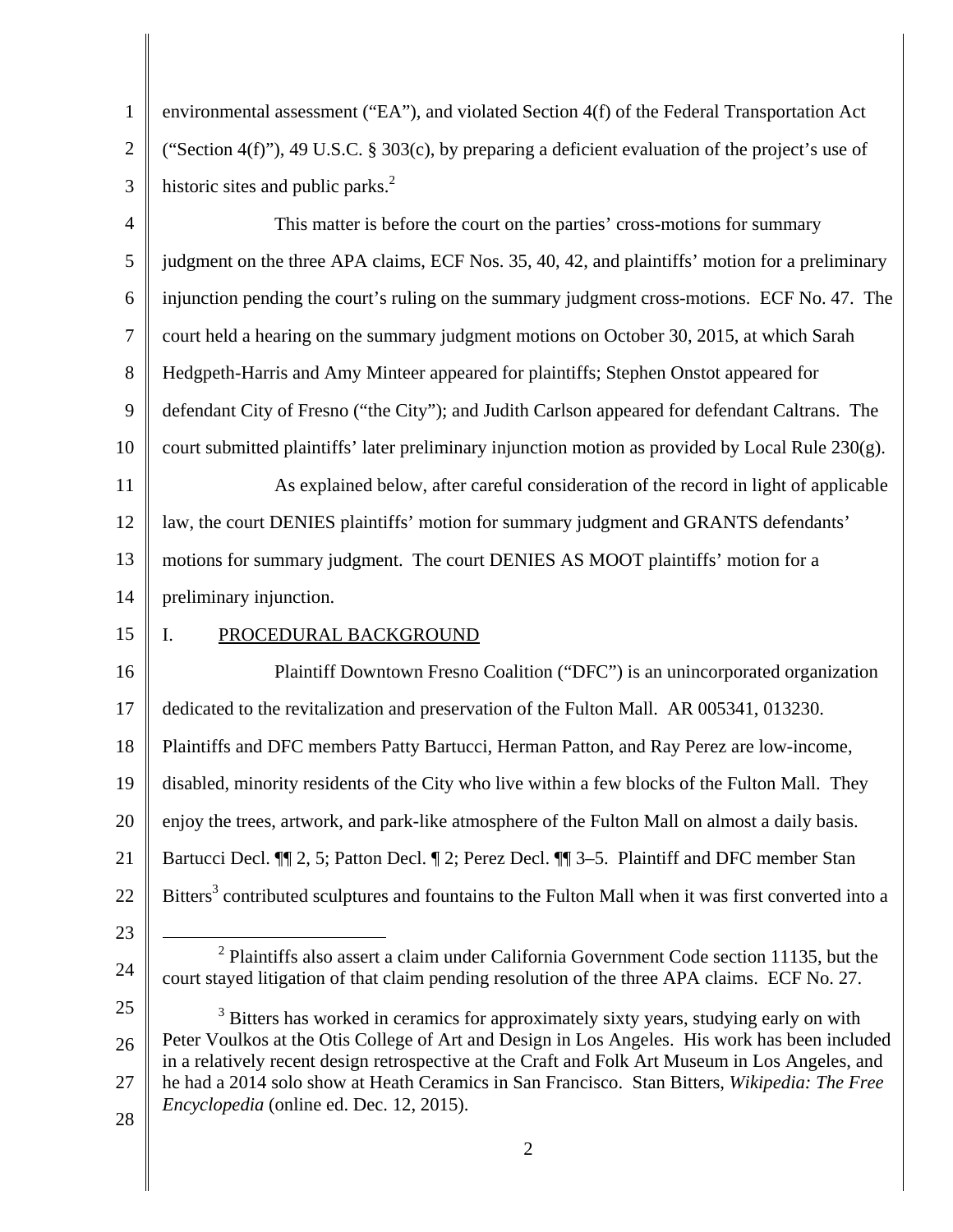| $\mathbf{1}$   | environmental assessment ("EA"), and violated Section 4(f) of the Federal Transportation Act                                                                                                       |
|----------------|----------------------------------------------------------------------------------------------------------------------------------------------------------------------------------------------------|
| $\overline{2}$ | ("Section 4(f)"), 49 U.S.C. § 303(c), by preparing a deficient evaluation of the project's use of                                                                                                  |
| 3              | historic sites and public parks. <sup>2</sup>                                                                                                                                                      |
| $\overline{4}$ | This matter is before the court on the parties' cross-motions for summary                                                                                                                          |
| 5              | judgment on the three APA claims, ECF Nos. 35, 40, 42, and plaintiffs' motion for a preliminary                                                                                                    |
| 6              | injunction pending the court's ruling on the summary judgment cross-motions. ECF No. 47. The                                                                                                       |
| $\tau$         | court held a hearing on the summary judgment motions on October 30, 2015, at which Sarah                                                                                                           |
| 8              | Hedgpeth-Harris and Amy Minteer appeared for plaintiffs; Stephen Onstot appeared for                                                                                                               |
| 9              | defendant City of Fresno ("the City"); and Judith Carlson appeared for defendant Caltrans. The                                                                                                     |
| 10             | court submitted plaintiffs' later preliminary injunction motion as provided by Local Rule $230(g)$ .                                                                                               |
| 11             | As explained below, after careful consideration of the record in light of applicable                                                                                                               |
| 12             | law, the court DENIES plaintiffs' motion for summary judgment and GRANTS defendants'                                                                                                               |
| 13             | motions for summary judgment. The court DENIES AS MOOT plaintiffs' motion for a                                                                                                                    |
| 14             | preliminary injunction.                                                                                                                                                                            |
| 15             | PROCEDURAL BACKGROUND<br>I.                                                                                                                                                                        |
| 16             | Plaintiff Downtown Fresno Coalition ("DFC") is an unincorporated organization                                                                                                                      |
| 17             | dedicated to the revitalization and preservation of the Fulton Mall. AR 005341, 013230.                                                                                                            |
| 18             | Plaintiffs and DFC members Patty Bartucci, Herman Patton, and Ray Perez are low-income,                                                                                                            |
| 19             | disabled, minority residents of the City who live within a few blocks of the Fulton Mall. They                                                                                                     |
| 20             | enjoy the trees, artwork, and park-like atmosphere of the Fulton Mall on almost a daily basis.                                                                                                     |
| 21             | Bartucci Decl. ¶ 2, 5; Patton Decl. ¶ 2; Perez Decl. ¶ 13–5. Plaintiff and DFC member Stan                                                                                                         |
| 22             | Bitters <sup>3</sup> contributed sculptures and fountains to the Fulton Mall when it was first converted into a                                                                                    |
| 23             |                                                                                                                                                                                                    |
| 24             | $2$ Plaintiffs also assert a claim under California Government Code section 11135, but the<br>court stayed litigation of that claim pending resolution of the three APA claims. ECF No. 27.        |
| 25             | Bitters has worked in ceramics for approximately sixty years, studying early on with                                                                                                               |
| 26             | Peter Voulkos at the Otis College of Art and Design in Los Angeles. His work has been included<br>in a relatively recent design retrospective at the Craft and Folk Art Museum in Los Angeles, and |
| 27             | he had a 2014 solo show at Heath Ceramics in San Francisco. Stan Bitters, Wikipedia: The Free                                                                                                      |
| 28             | Encyclopedia (online ed. Dec. 12, 2015).                                                                                                                                                           |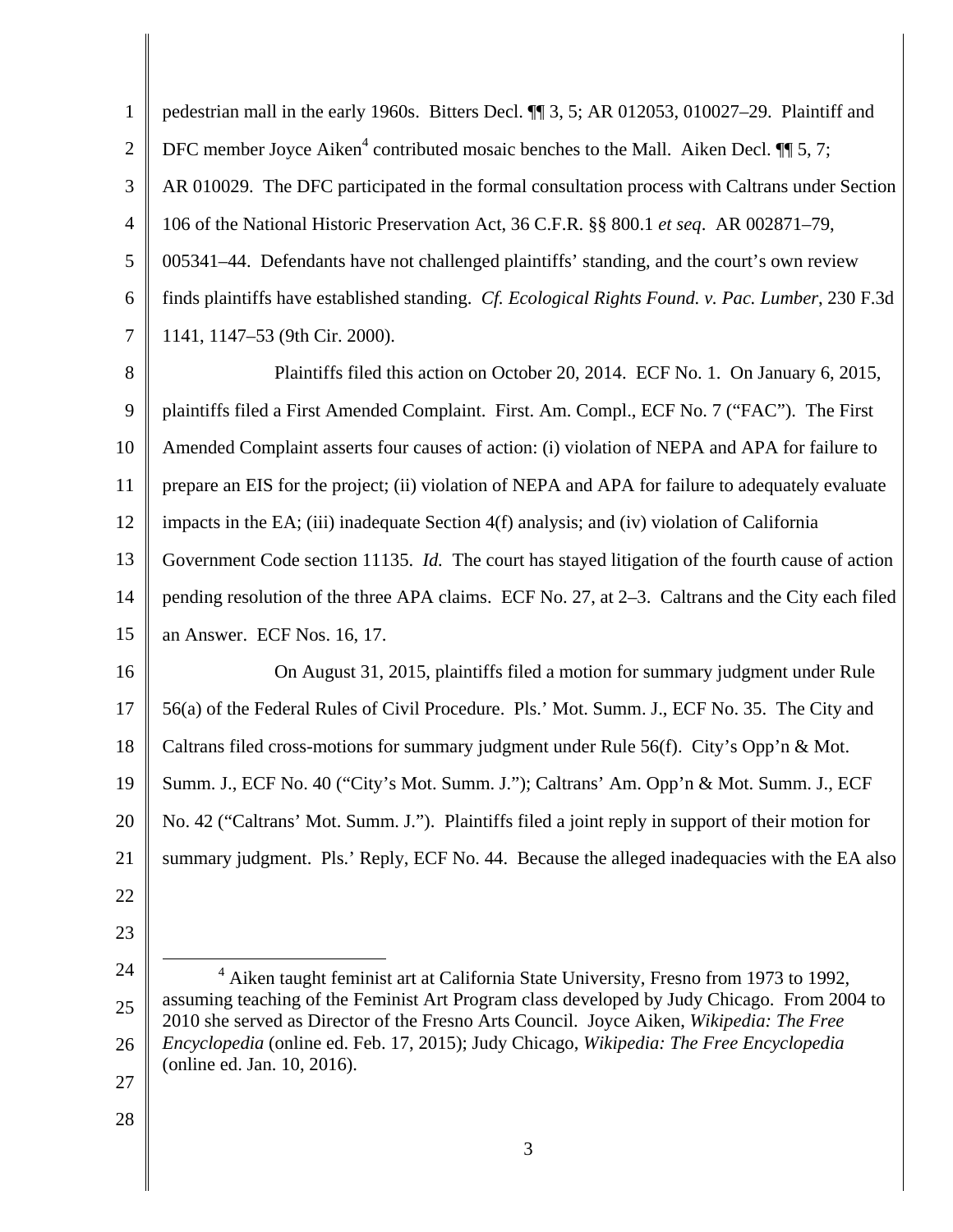| $\mathbf{1}$   | pedestrian mall in the early 1960s. Bitters Decl. II 3, 5; AR 012053, 010027-29. Plaintiff and                                                                                          |
|----------------|-----------------------------------------------------------------------------------------------------------------------------------------------------------------------------------------|
| $\overline{2}$ | DFC member Joyce Aiken <sup>4</sup> contributed mosaic benches to the Mall. Aiken Decl. $\P$ 5, 7;                                                                                      |
| 3              | AR 010029. The DFC participated in the formal consultation process with Caltrans under Section                                                                                          |
| $\overline{4}$ | 106 of the National Historic Preservation Act, 36 C.F.R. §§ 800.1 et seq. AR 002871-79,                                                                                                 |
| 5              | 005341–44. Defendants have not challenged plaintiffs' standing, and the court's own review                                                                                              |
| 6              | finds plaintiffs have established standing. Cf. Ecological Rights Found. v. Pac. Lumber, 230 F.3d                                                                                       |
| $\overline{7}$ | 1141, 1147–53 (9th Cir. 2000).                                                                                                                                                          |
| 8              | Plaintiffs filed this action on October 20, 2014. ECF No. 1. On January 6, 2015,                                                                                                        |
| 9              | plaintiffs filed a First Amended Complaint. First. Am. Compl., ECF No. 7 ("FAC"). The First                                                                                             |
| 10             | Amended Complaint asserts four causes of action: (i) violation of NEPA and APA for failure to                                                                                           |
| 11             | prepare an EIS for the project; (ii) violation of NEPA and APA for failure to adequately evaluate                                                                                       |
| 12             | impacts in the EA; (iii) inadequate Section 4(f) analysis; and (iv) violation of California                                                                                             |
| 13             | Government Code section 11135. Id. The court has stayed litigation of the fourth cause of action                                                                                        |
| 14             | pending resolution of the three APA claims. ECF No. 27, at 2–3. Caltrans and the City each filed                                                                                        |
| 15             | an Answer. ECF Nos. 16, 17.                                                                                                                                                             |
| 16             | On August 31, 2015, plaintiffs filed a motion for summary judgment under Rule                                                                                                           |
| 17             | 56(a) of the Federal Rules of Civil Procedure. Pls.' Mot. Summ. J., ECF No. 35. The City and                                                                                            |
| 18             | Caltrans filed cross-motions for summary judgment under Rule 56(f). City's Opp'n & Mot.                                                                                                 |
| 19             | Summ. J., ECF No. 40 ("City's Mot. Summ. J."); Caltrans' Am. Opp'n & Mot. Summ. J., ECF                                                                                                 |
| 20             | No. 42 ("Caltrans' Mot. Summ. J."). Plaintiffs filed a joint reply in support of their motion for                                                                                       |
| 21             | summary judgment. Pls.' Reply, ECF No. 44. Because the alleged inadequacies with the EA also                                                                                            |
| 22             |                                                                                                                                                                                         |
| 23             |                                                                                                                                                                                         |
| 24             | <sup>4</sup> Aiken taught feminist art at California State University, Fresno from 1973 to 1992,                                                                                        |
| 25             | assuming teaching of the Feminist Art Program class developed by Judy Chicago. From 2004 to<br>2010 she served as Director of the Fresno Arts Council. Joyce Aiken, Wikipedia: The Free |
| 26             | Encyclopedia (online ed. Feb. 17, 2015); Judy Chicago, Wikipedia: The Free Encyclopedia<br>(online ed. Jan. 10, 2016).                                                                  |
| 27             |                                                                                                                                                                                         |
| 28             |                                                                                                                                                                                         |
|                | 3                                                                                                                                                                                       |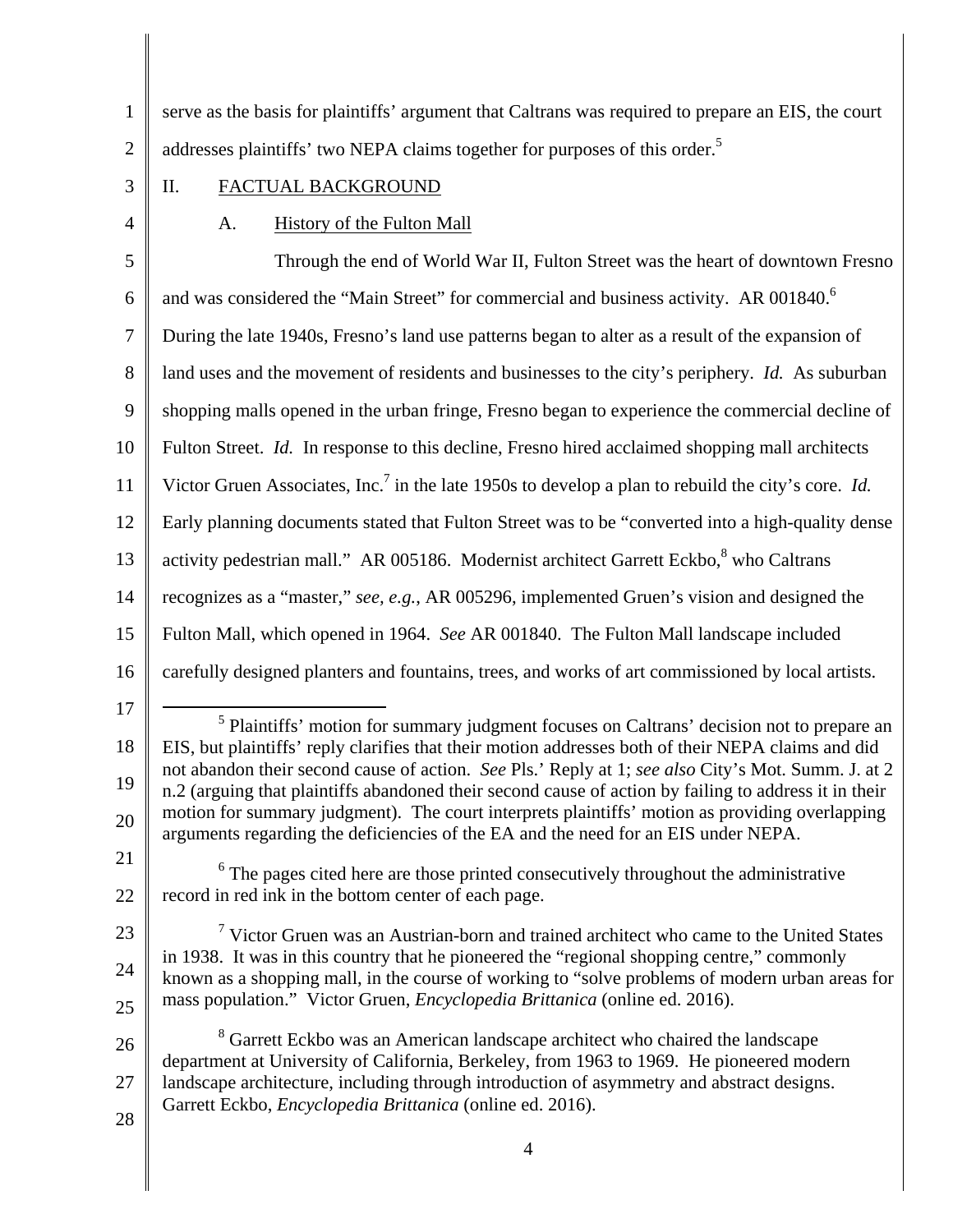1 2 serve as the basis for plaintiffs' argument that Caltrans was required to prepare an EIS, the court addresses plaintiffs' two NEPA claims together for purposes of this order.<sup>5</sup>

3

# II. FACTUAL BACKGROUND

4

# A. History of the Fulton Mall

5 6 7 8 9 10 11 12 13 14 15 16 17 18 19 20 21 22 Through the end of World War II, Fulton Street was the heart of downtown Fresno and was considered the "Main Street" for commercial and business activity. AR 001840.<sup>6</sup> During the late 1940s, Fresno's land use patterns began to alter as a result of the expansion of land uses and the movement of residents and businesses to the city's periphery. *Id.* As suburban shopping malls opened in the urban fringe, Fresno began to experience the commercial decline of Fulton Street. *Id.* In response to this decline, Fresno hired acclaimed shopping mall architects Victor Gruen Associates, Inc.<sup>7</sup> in the late 1950s to develop a plan to rebuild the city's core. *Id.* Early planning documents stated that Fulton Street was to be "converted into a high-quality dense activity pedestrian mall." AR 005186. Modernist architect Garrett Eckbo, who Caltrans recognizes as a "master," *see, e.g.*, AR 005296, implemented Gruen's vision and designed the Fulton Mall, which opened in 1964. *See* AR 001840. The Fulton Mall landscape included carefully designed planters and fountains, trees, and works of art commissioned by local artists.  $\overline{a}$ <sup>5</sup> Plaintiffs' motion for summary judgment focuses on Caltrans' decision not to prepare an EIS, but plaintiffs' reply clarifies that their motion addresses both of their NEPA claims and did not abandon their second cause of action. *See* Pls.' Reply at 1; *see also* City's Mot. Summ. J. at 2 n.2 (arguing that plaintiffs abandoned their second cause of action by failing to address it in their motion for summary judgment). The court interprets plaintiffs' motion as providing overlapping arguments regarding the deficiencies of the EA and the need for an EIS under NEPA. <sup>6</sup> The pages cited here are those printed consecutively throughout the administrative record in red ink in the bottom center of each page.

- 23
- 24 25
- 26

<sup>8</sup> Garrett Eckbo was an American landscape architect who chaired the landscape department at University of California, Berkeley, from 1963 to 1969. He pioneered modern landscape architecture, including through introduction of asymmetry and abstract designs. Garrett Eckbo, *Encyclopedia Brittanica* (online ed. 2016).

mass population." Victor Gruen, *Encyclopedia Brittanica* (online ed. 2016).

in 1938. It was in this country that he pioneered the "regional shopping centre," commonly

known as a shopping mall, in the course of working to "solve problems of modern urban areas for

28

27

 $7$  Victor Gruen was an Austrian-born and trained architect who came to the United States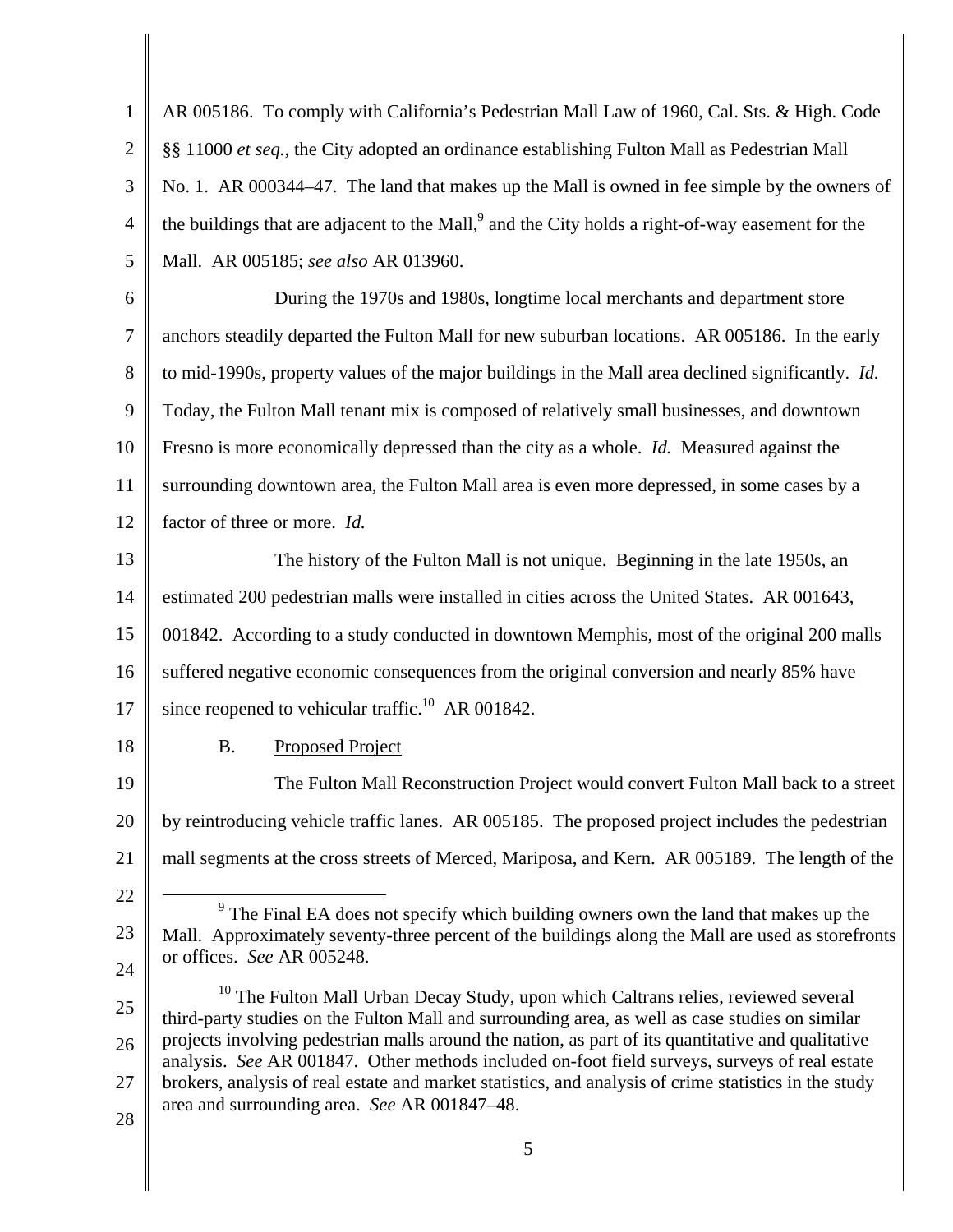1 2 3 4 5 6 AR 005186.To comply with California's Pedestrian Mall Law of 1960, Cal. Sts. & High. Code §§ 11000 *et seq.*, the City adopted an ordinance establishing Fulton Mall as Pedestrian Mall No. 1. AR 000344–47. The land that makes up the Mall is owned in fee simple by the owners of the buildings that are adjacent to the Mall, $9$  and the City holds a right-of-way easement for the Mall. AR 005185; *see also* AR 013960. During the 1970s and 1980s, longtime local merchants and department store

7 8 9 10 11 12 anchors steadily departed the Fulton Mall for new suburban locations. AR 005186. In the early to mid-1990s, property values of the major buildings in the Mall area declined significantly. *Id.*  Today, the Fulton Mall tenant mix is composed of relatively small businesses, and downtown Fresno is more economically depressed than the city as a whole. *Id.* Measured against the surrounding downtown area, the Fulton Mall area is even more depressed, in some cases by a factor of three or more. *Id.* 

13 14 15 16 17 The history of the Fulton Mall is not unique. Beginning in the late 1950s, an estimated 200 pedestrian malls were installed in cities across the United States. AR 001643, 001842. According to a study conducted in downtown Memphis, most of the original 200 malls suffered negative economic consequences from the original conversion and nearly 85% have since reopened to vehicular traffic.<sup>10</sup> AR 001842.

18

22

 $\overline{a}$ 

B. Proposed Project

19 20 21 The Fulton Mall Reconstruction Project would convert Fulton Mall back to a street by reintroducing vehicle traffic lanes. AR 005185. The proposed project includes the pedestrian mall segments at the cross streets of Merced, Mariposa, and Kern. AR 005189. The length of the

<sup>23</sup>  24 <sup>9</sup> The Final EA does not specify which building owners own the land that makes up the Mall. Approximately seventy-three percent of the buildings along the Mall are used as storefronts or offices. *See* AR 005248.

<sup>25</sup>  26 27 28  $10$  The Fulton Mall Urban Decay Study, upon which Caltrans relies, reviewed several third-party studies on the Fulton Mall and surrounding area, as well as case studies on similar projects involving pedestrian malls around the nation, as part of its quantitative and qualitative analysis. *See* AR 001847. Other methods included on-foot field surveys, surveys of real estate brokers, analysis of real estate and market statistics, and analysis of crime statistics in the study area and surrounding area. *See* AR 001847–48.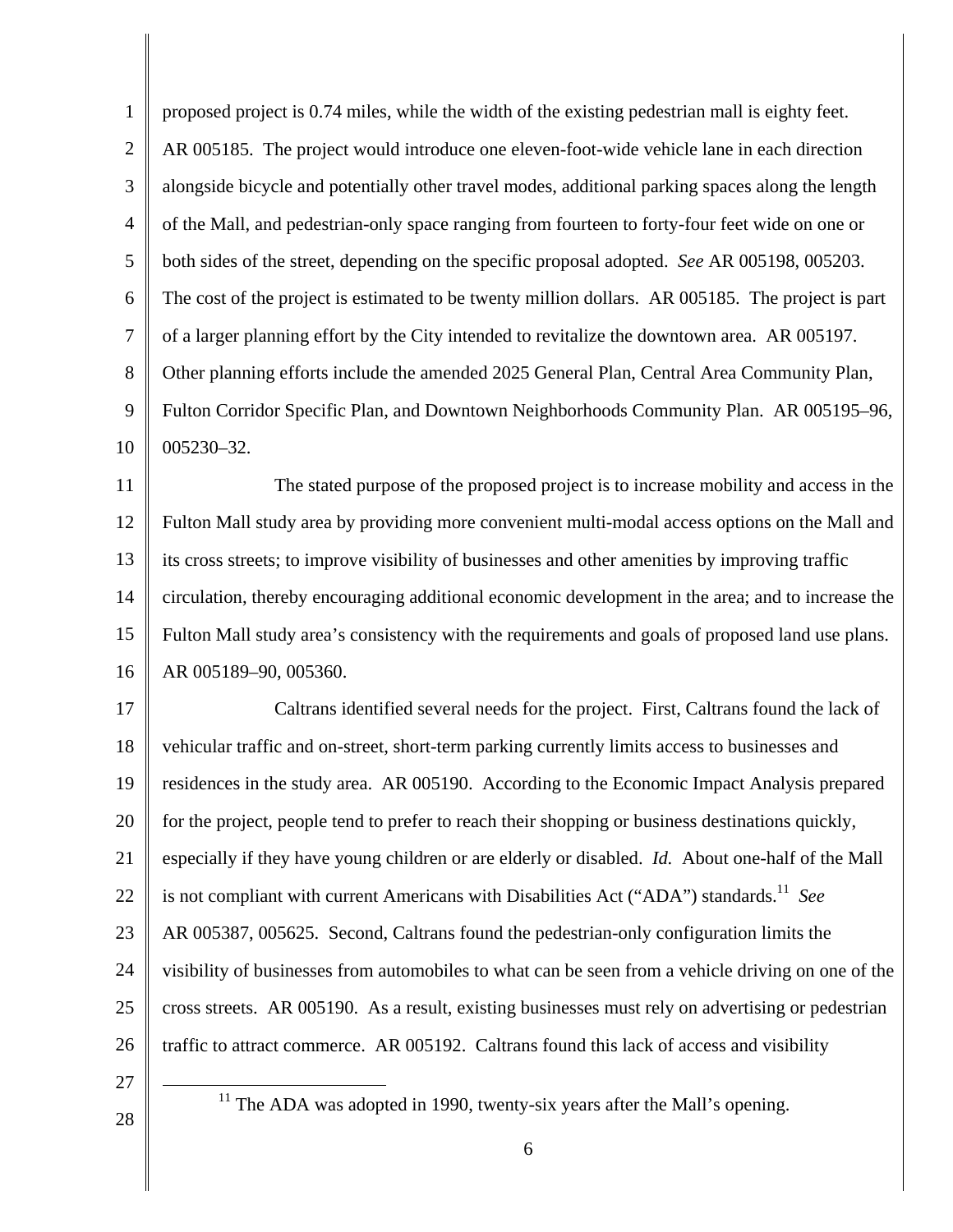1 2 3 4 5 6 7 8 9 10 proposed project is 0.74 miles, while the width of the existing pedestrian mall is eighty feet. AR 005185. The project would introduce one eleven-foot-wide vehicle lane in each direction alongside bicycle and potentially other travel modes, additional parking spaces along the length of the Mall, and pedestrian-only space ranging from fourteen to forty-four feet wide on one or both sides of the street, depending on the specific proposal adopted. *See* AR 005198, 005203. The cost of the project is estimated to be twenty million dollars. AR 005185. The project is part of a larger planning effort by the City intended to revitalize the downtown area. AR 005197. Other planning efforts include the amended 2025 General Plan, Central Area Community Plan, Fulton Corridor Specific Plan, and Downtown Neighborhoods Community Plan. AR 005195–96, 005230–32.

11 12 13 14 15 16 The stated purpose of the proposed project is to increase mobility and access in the Fulton Mall study area by providing more convenient multi-modal access options on the Mall and its cross streets; to improve visibility of businesses and other amenities by improving traffic circulation, thereby encouraging additional economic development in the area; and to increase the Fulton Mall study area's consistency with the requirements and goals of proposed land use plans. AR 005189–90, 005360.

17 18 19 20 21 22 23 24 25 26 Caltrans identified several needs for the project. First, Caltrans found the lack of vehicular traffic and on-street, short-term parking currently limits access to businesses and residences in the study area. AR 005190. According to the Economic Impact Analysis prepared for the project, people tend to prefer to reach their shopping or business destinations quickly, especially if they have young children or are elderly or disabled. *Id.* About one-half of the Mall is not compliant with current Americans with Disabilities Act ("ADA") standards.<sup>11</sup> See AR 005387, 005625. Second, Caltrans found the pedestrian-only configuration limits the visibility of businesses from automobiles to what can be seen from a vehicle driving on one of the cross streets. AR 005190.As a result, existing businesses must rely on advertising or pedestrian traffic to attract commerce. AR 005192. Caltrans found this lack of access and visibility

27 28

 $\overline{a}$ 

 $11$  The ADA was adopted in 1990, twenty-six years after the Mall's opening.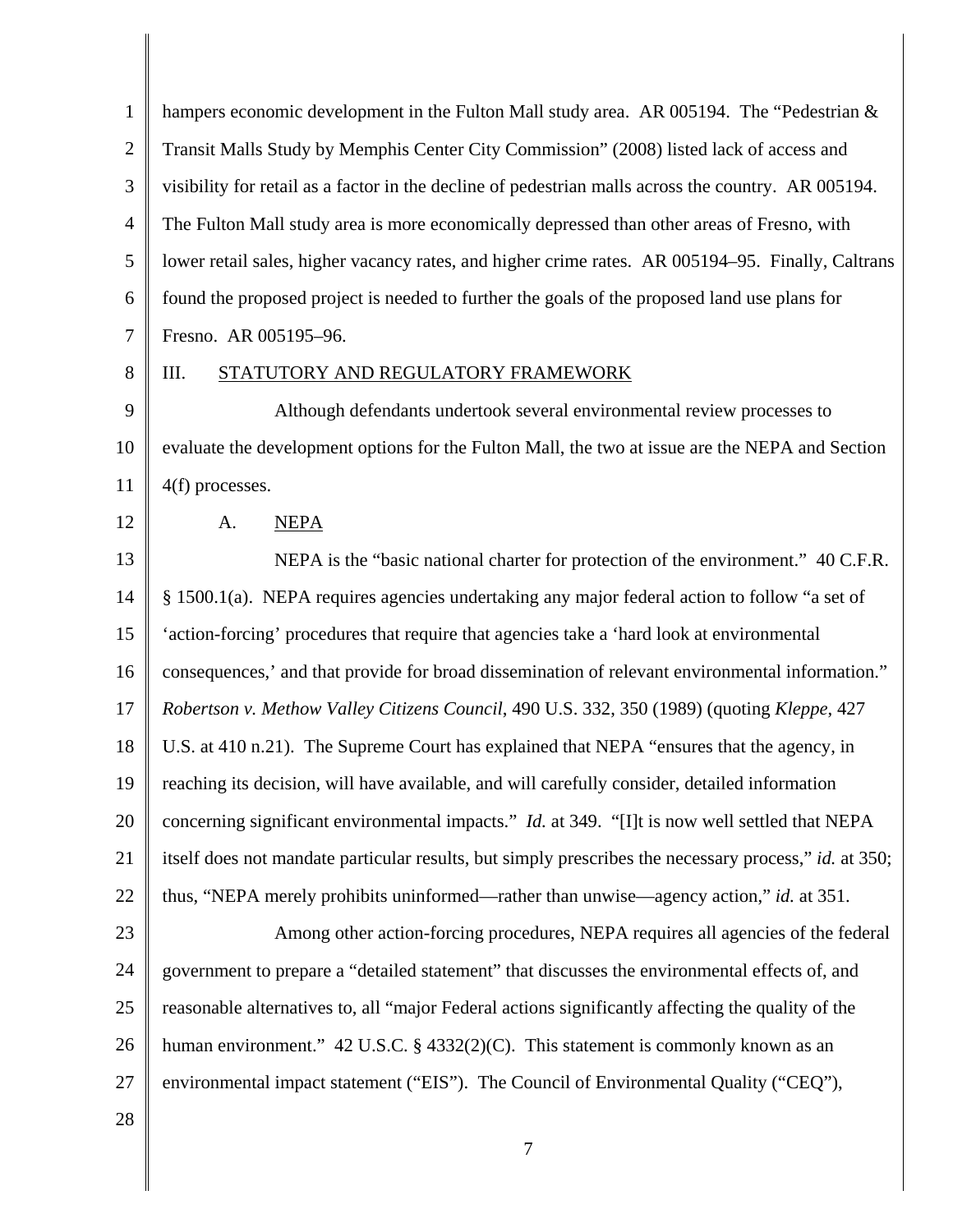1 2 3 4 5 6 7 hampers economic development in the Fulton Mall study area. AR 005194. The "Pedestrian & Transit Malls Study by Memphis Center City Commission" (2008) listed lack of access and visibility for retail as a factor in the decline of pedestrian malls across the country. AR 005194. The Fulton Mall study area is more economically depressed than other areas of Fresno, with lower retail sales, higher vacancy rates, and higher crime rates. AR 005194–95. Finally, Caltrans found the proposed project is needed to further the goals of the proposed land use plans for Fresno. AR 005195–96.

8

## III. STATUTORY AND REGULATORY FRAMEWORK

9 10 11 Although defendants undertook several environmental review processes to evaluate the development options for the Fulton Mall, the two at issue are the NEPA and Section 4(f) processes.

12

# A. NEPA

13 14 15 16 17 18 19 20 21 22 23 NEPA is the "basic national charter for protection of the environment." 40 C.F.R. § 1500.1(a). NEPA requires agencies undertaking any major federal action to follow "a set of 'action-forcing' procedures that require that agencies take a 'hard look at environmental consequences,' and that provide for broad dissemination of relevant environmental information." *Robertson v. Methow Valley Citizens Council*, 490 U.S. 332, 350 (1989) (quoting *Kleppe*, 427 U.S. at 410 n.21). The Supreme Court has explained that NEPA "ensures that the agency, in reaching its decision, will have available, and will carefully consider, detailed information concerning significant environmental impacts." *Id.* at 349. "[I]t is now well settled that NEPA itself does not mandate particular results, but simply prescribes the necessary process," *id.* at 350; thus, "NEPA merely prohibits uninformed—rather than unwise—agency action," *id.* at 351. Among other action-forcing procedures, NEPA requires all agencies of the federal

24 25 26 27 government to prepare a "detailed statement" that discusses the environmental effects of, and reasonable alternatives to, all "major Federal actions significantly affecting the quality of the human environment."  $42 \text{ U.S.C.} \& 4332(2)(\text{C})$ . This statement is commonly known as an environmental impact statement ("EIS"). The Council of Environmental Quality ("CEQ"),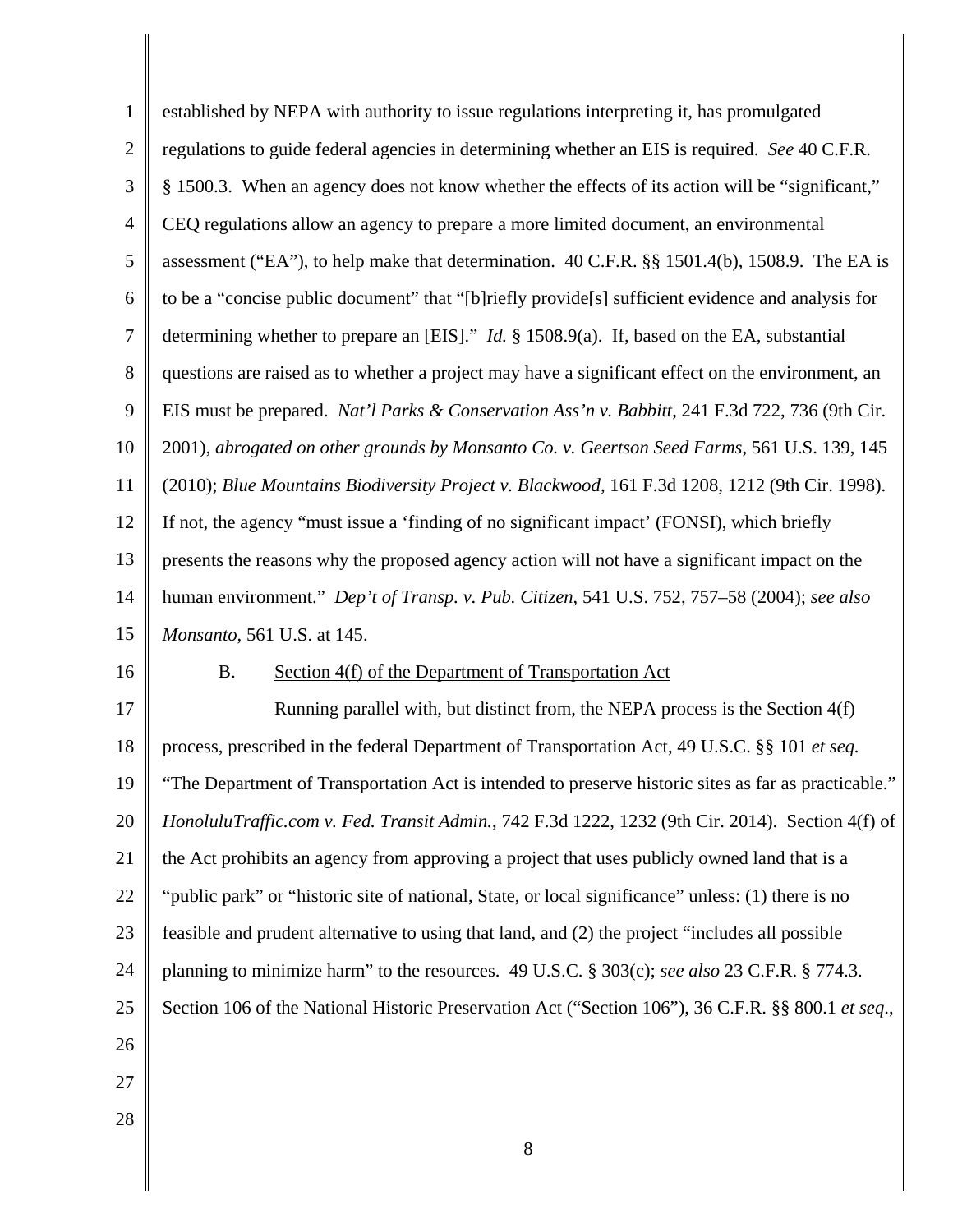| $\mathbf{1}$   | established by NEPA with authority to issue regulations interpreting it, has promulgated             |
|----------------|------------------------------------------------------------------------------------------------------|
| $\overline{2}$ | regulations to guide federal agencies in determining whether an EIS is required. See 40 C.F.R.       |
| 3              | § 1500.3. When an agency does not know whether the effects of its action will be "significant,"      |
| $\overline{4}$ | CEQ regulations allow an agency to prepare a more limited document, an environmental                 |
| 5              | assessment ("EA"), to help make that determination. 40 C.F.R. §§ 1501.4(b), 1508.9. The EA is        |
| 6              | to be a "concise public document" that "[b]riefly provide[s] sufficient evidence and analysis for    |
| $\tau$         | determining whether to prepare an [EIS]." <i>Id.</i> § 1508.9(a). If, based on the EA, substantial   |
| 8              | questions are raised as to whether a project may have a significant effect on the environment, an    |
| 9              | EIS must be prepared. Nat'l Parks & Conservation Ass'n v. Babbitt, 241 F.3d 722, 736 (9th Cir.       |
| 10             | 2001), abrogated on other grounds by Monsanto Co. v. Geertson Seed Farms, 561 U.S. 139, 145          |
| 11             | (2010); Blue Mountains Biodiversity Project v. Blackwood, 161 F.3d 1208, 1212 (9th Cir. 1998).       |
| 12             | If not, the agency "must issue a 'finding of no significant impact' (FONSI), which briefly           |
| 13             | presents the reasons why the proposed agency action will not have a significant impact on the        |
| 14             | human environment." Dep't of Transp. v. Pub. Citizen, 541 U.S. 752, 757–58 (2004); see also          |
| 15             | Monsanto, 561 U.S. at 145.                                                                           |
| 16             | Section 4(f) of the Department of Transportation Act<br><b>B.</b>                                    |
| 17             | Running parallel with, but distinct from, the NEPA process is the Section 4(f)                       |
| 18             | process, prescribed in the federal Department of Transportation Act, 49 U.S.C. §§ 101 et seq.        |
| 19             | "The Department of Transportation Act is intended to preserve historic sites as far as practicable." |
| 20             | HonoluluTraffic.com v. Fed. Transit Admin., 742 F.3d 1222, 1232 (9th Cir. 2014). Section 4(f) of     |
| 21             | the Act prohibits an agency from approving a project that uses publicly owned land that is a         |
| 22             | "public park" or "historic site of national, State, or local significance" unless: (1) there is no   |
| 23             | feasible and prudent alternative to using that land, and (2) the project "includes all possible      |
| 24             | planning to minimize harm" to the resources. 49 U.S.C. § 303(c); see also 23 C.F.R. § 774.3.         |
| 25             | Section 106 of the National Historic Preservation Act ("Section 106"), 36 C.F.R. §§ 800.1 et seq.,   |
| 26             |                                                                                                      |
| 27             |                                                                                                      |
| 28             |                                                                                                      |
|                | 8                                                                                                    |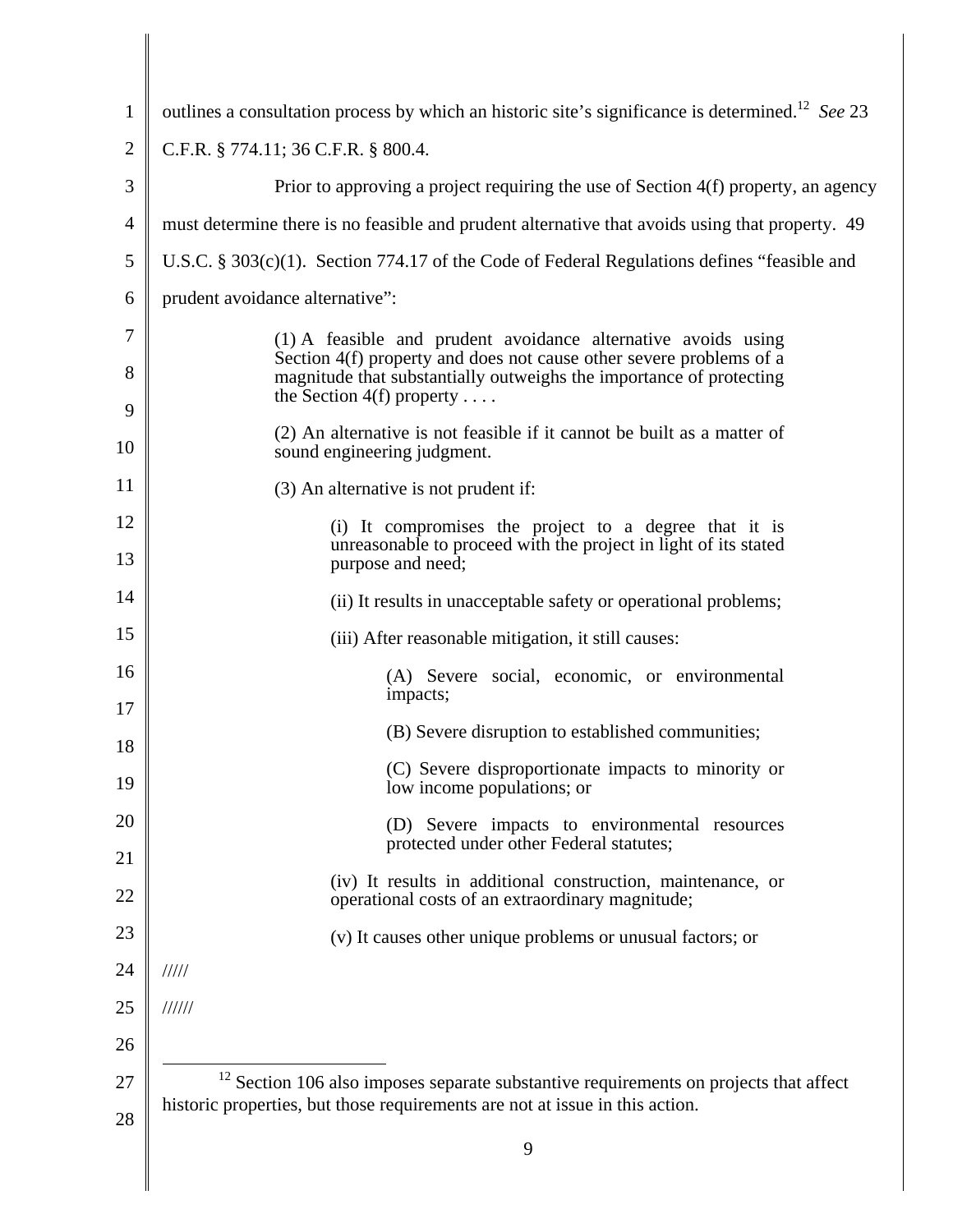| 1              | outlines a consultation process by which an historic site's significance is determined. <sup>12</sup> See 23                                                                                                |
|----------------|-------------------------------------------------------------------------------------------------------------------------------------------------------------------------------------------------------------|
| $\overline{2}$ | C.F.R. § 774.11; 36 C.F.R. § 800.4.                                                                                                                                                                         |
| 3              | Prior to approving a project requiring the use of Section 4(f) property, an agency                                                                                                                          |
| 4              | must determine there is no feasible and prudent alternative that avoids using that property. 49                                                                                                             |
| 5              | U.S.C. $\S 303(c)(1)$ . Section 774.17 of the Code of Federal Regulations defines "feasible and                                                                                                             |
| 6              | prudent avoidance alternative":                                                                                                                                                                             |
| 7<br>8         | (1) A feasible and prudent avoidance alternative avoids using<br>Section 4(f) property and does not cause other severe problems of a<br>magnitude that substantially outweighs the importance of protecting |
| 9<br>10        | the Section 4(f) property<br>(2) An alternative is not feasible if it cannot be built as a matter of<br>sound engineering judgment.                                                                         |
| 11             | (3) An alternative is not prudent if:                                                                                                                                                                       |
| 12<br>13       | (i) It compromises the project to a degree that it is<br>unreasonable to proceed with the project in light of its stated<br>purpose and need;                                                               |
| 14             | (ii) It results in unacceptable safety or operational problems;                                                                                                                                             |
| 15             | (iii) After reasonable mitigation, it still causes:                                                                                                                                                         |
| 16             | (A) Severe social, economic, or environmental                                                                                                                                                               |
| 17             | impacts;<br>(B) Severe disruption to established communities;                                                                                                                                               |
| 18             | (C) Severe disproportionate impacts to minority or                                                                                                                                                          |
| 19             | low income populations; or                                                                                                                                                                                  |
| 20             | (D) Severe impacts to environmental resources<br>protected under other Federal statutes;                                                                                                                    |
| 21             | (iv) It results in additional construction, maintenance, or                                                                                                                                                 |
| 22             | operational costs of an extraordinary magnitude;                                                                                                                                                            |
| 23             | (v) It causes other unique problems or unusual factors; or                                                                                                                                                  |
| 24             | 11111                                                                                                                                                                                                       |
| 25             | 111111                                                                                                                                                                                                      |
| 26             |                                                                                                                                                                                                             |
| 27             | $12$ Section 106 also imposes separate substantive requirements on projects that affect<br>historic properties, but those requirements are not at issue in this action.                                     |
| 28             |                                                                                                                                                                                                             |
|                | 9                                                                                                                                                                                                           |
|                |                                                                                                                                                                                                             |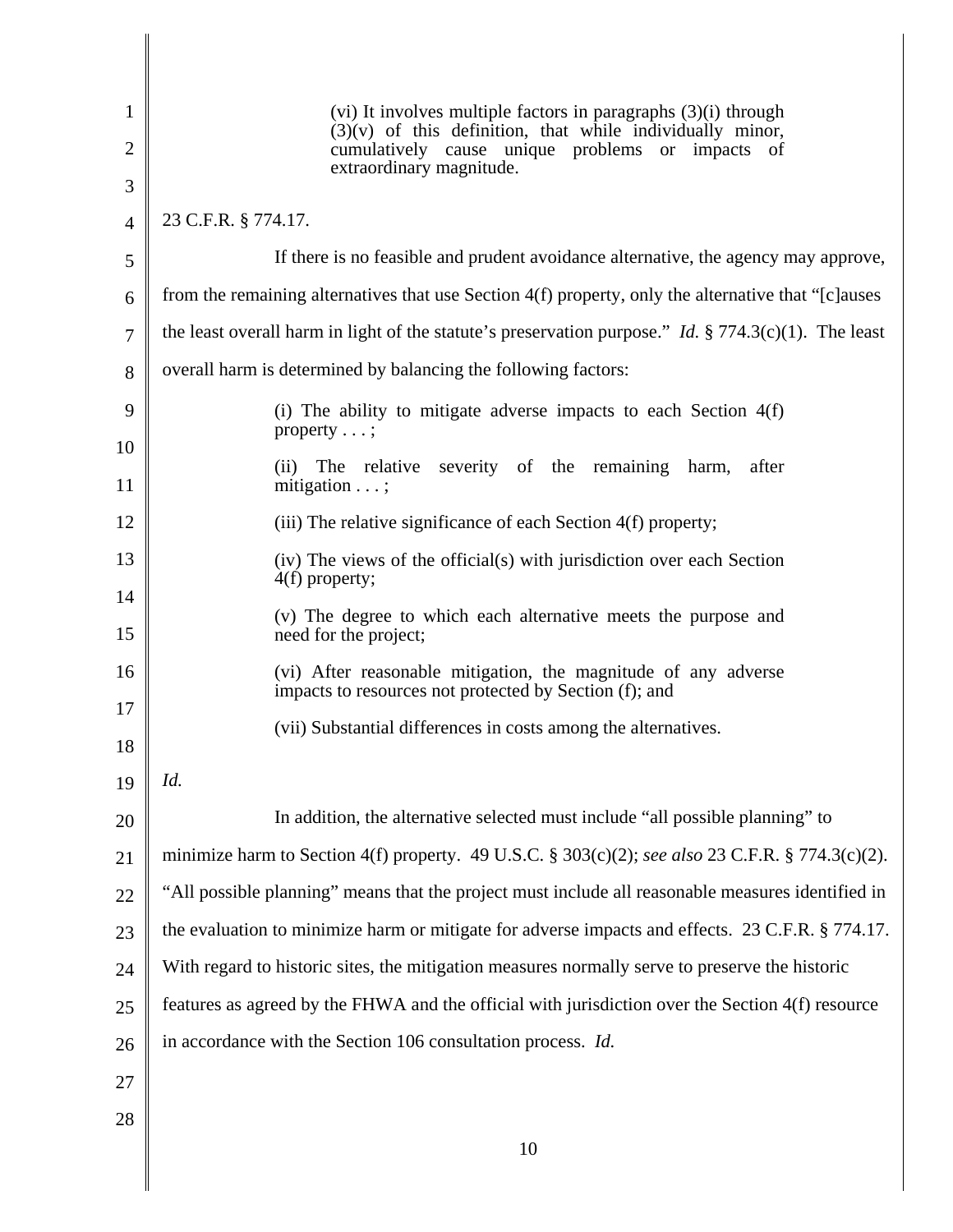| 1              | $(vi)$ It involves multiple factors in paragraphs $(3)(i)$ through<br>$(3)(v)$ of this definition, that while individually minor, |
|----------------|-----------------------------------------------------------------------------------------------------------------------------------|
| 2              | cumulatively cause unique problems or impacts of<br>extraordinary magnitude.                                                      |
| 3              |                                                                                                                                   |
| $\overline{4}$ | 23 C.F.R. § 774.17.                                                                                                               |
| 5              | If there is no feasible and prudent avoidance alternative, the agency may approve,                                                |
| 6              | from the remaining alternatives that use Section 4(f) property, only the alternative that "[c]auses                               |
| 7              | the least overall harm in light of the statute's preservation purpose." Id. $\S$ 774.3(c)(1). The least                           |
| 8              | overall harm is determined by balancing the following factors:                                                                    |
| 9              | (i) The ability to mitigate adverse impacts to each Section $4(f)$<br>property $\dots;$                                           |
| 10             |                                                                                                                                   |
| 11             | (ii) The relative<br>severity of the remaining<br>after<br>harm,<br>mitigation ;                                                  |
| 12             | (iii) The relative significance of each Section 4(f) property;                                                                    |
| 13             | (iv) The views of the official(s) with jurisdiction over each Section<br>$4(f)$ property;                                         |
| 14             | (v) The degree to which each alternative meets the purpose and                                                                    |
| 15             | need for the project;                                                                                                             |
| 16<br>17       | (vi) After reasonable mitigation, the magnitude of any adverse<br>impacts to resources not protected by Section (f); and          |
| 18             | (vii) Substantial differences in costs among the alternatives.                                                                    |
| 19             | Id.                                                                                                                               |
| 20             | In addition, the alternative selected must include "all possible planning" to                                                     |
| 21             | minimize harm to Section 4(f) property. 49 U.S.C. § 303(c)(2); see also 23 C.F.R. § 774.3(c)(2).                                  |
| 22             | "All possible planning" means that the project must include all reasonable measures identified in                                 |
| 23             | the evaluation to minimize harm or mitigate for adverse impacts and effects. 23 C.F.R. § 774.17.                                  |
| 24             | With regard to historic sites, the mitigation measures normally serve to preserve the historic                                    |
| 25             | features as agreed by the FHWA and the official with jurisdiction over the Section 4(f) resource                                  |
| 26             | in accordance with the Section 106 consultation process. Id.                                                                      |
| 27             |                                                                                                                                   |
| 28             |                                                                                                                                   |
|                | 10                                                                                                                                |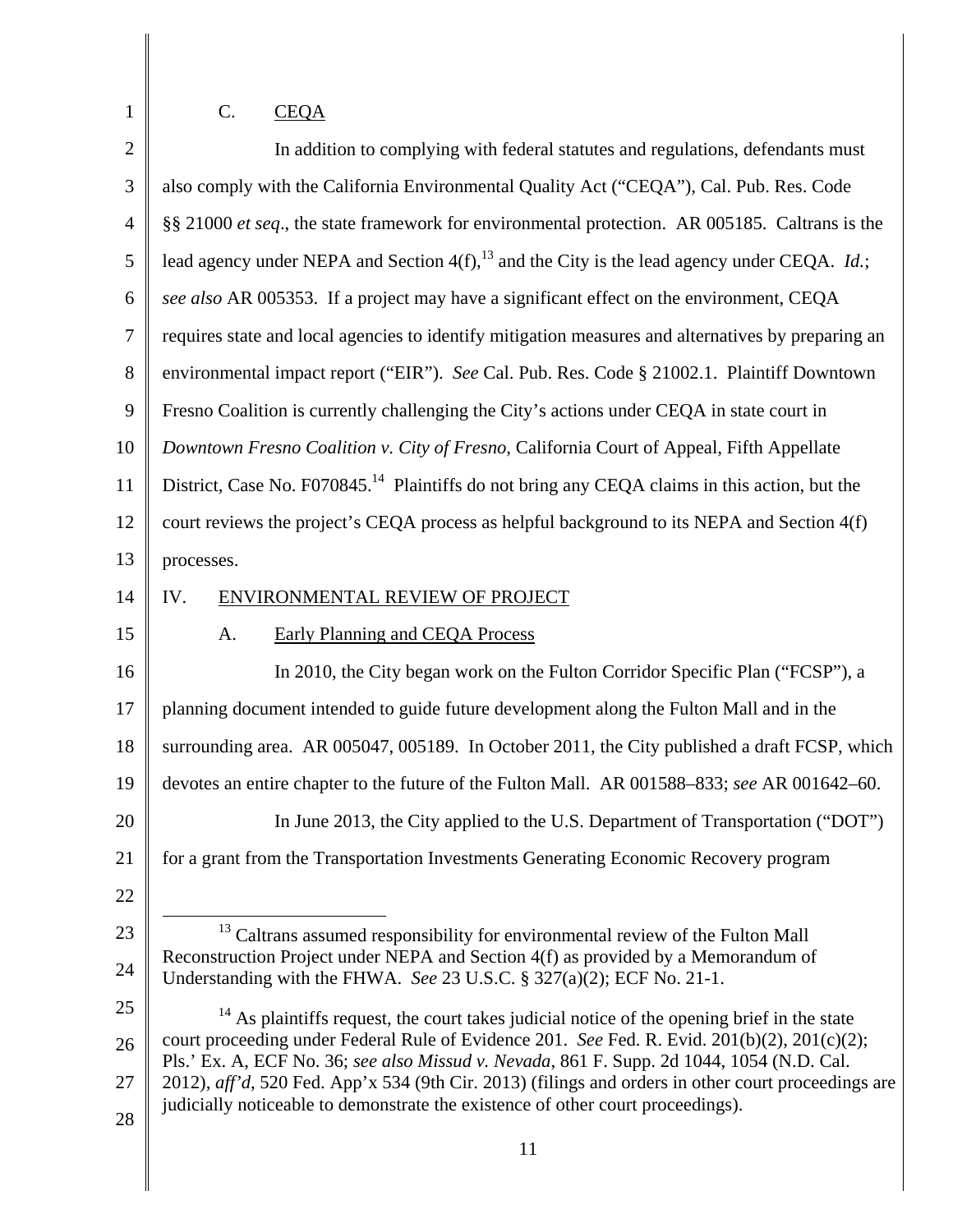C. CEQA

| $\overline{2}$ | In addition to complying with federal statutes and regulations, defendants must                                                                                                           |
|----------------|-------------------------------------------------------------------------------------------------------------------------------------------------------------------------------------------|
| 3              | also comply with the California Environmental Quality Act ("CEQA"), Cal. Pub. Res. Code                                                                                                   |
| $\overline{4}$ | §§ 21000 et seq., the state framework for environmental protection. AR 005185. Caltrans is the                                                                                            |
| 5              | lead agency under NEPA and Section $4(f)$ , <sup>13</sup> and the City is the lead agency under CEQA. <i>Id.</i> ;                                                                        |
| 6              | see also AR 005353. If a project may have a significant effect on the environment, CEQA                                                                                                   |
| 7              | requires state and local agencies to identify mitigation measures and alternatives by preparing an                                                                                        |
| 8              | environmental impact report ("EIR"). See Cal. Pub. Res. Code § 21002.1. Plaintiff Downtown                                                                                                |
| 9              | Fresno Coalition is currently challenging the City's actions under CEQA in state court in                                                                                                 |
| 10             | Downtown Fresno Coalition v. City of Fresno, California Court of Appeal, Fifth Appellate                                                                                                  |
| 11             | District, Case No. F070845. <sup>14</sup> Plaintiffs do not bring any CEQA claims in this action, but the                                                                                 |
| 12             | court reviews the project's CEQA process as helpful background to its NEPA and Section 4(f)                                                                                               |
| 13             | processes.                                                                                                                                                                                |
| 14             | ENVIRONMENTAL REVIEW OF PROJECT<br>IV.                                                                                                                                                    |
| 15             | Early Planning and CEQA Process<br>A.                                                                                                                                                     |
| 16             | In 2010, the City began work on the Fulton Corridor Specific Plan ("FCSP"), a                                                                                                             |
| 17             | planning document intended to guide future development along the Fulton Mall and in the                                                                                                   |
| 18             | surrounding area. AR 005047, 005189. In October 2011, the City published a draft FCSP, which                                                                                              |
| 19             | devotes an entire chapter to the future of the Fulton Mall. AR 001588-833; see AR 001642-60.                                                                                              |
| 20             | In June 2013, the City applied to the U.S. Department of Transportation ("DOT")                                                                                                           |
| 21             | for a grant from the Transportation Investments Generating Economic Recovery program                                                                                                      |
| 22             |                                                                                                                                                                                           |
| 23             | <sup>13</sup> Caltrans assumed responsibility for environmental review of the Fulton Mall                                                                                                 |
| 24             | Reconstruction Project under NEPA and Section 4(f) as provided by a Memorandum of<br>Understanding with the FHWA. See 23 U.S.C. § 327(a)(2); ECF No. 21-1.                                |
| 25             | <sup>14</sup> As plaintiffs request, the court takes judicial notice of the opening brief in the state                                                                                    |
| 26             | court proceeding under Federal Rule of Evidence 201. See Fed. R. Evid. 201(b)(2), 201(c)(2);<br>Pls.' Ex. A, ECF No. 36; see also Missud v. Nevada, 861 F. Supp. 2d 1044, 1054 (N.D. Cal. |
| 27             | 2012), aff'd, 520 Fed. App'x 534 (9th Cir. 2013) (filings and orders in other court proceedings are<br>judicially noticeable to demonstrate the existence of other court proceedings).    |
| 28             |                                                                                                                                                                                           |
|                | 11                                                                                                                                                                                        |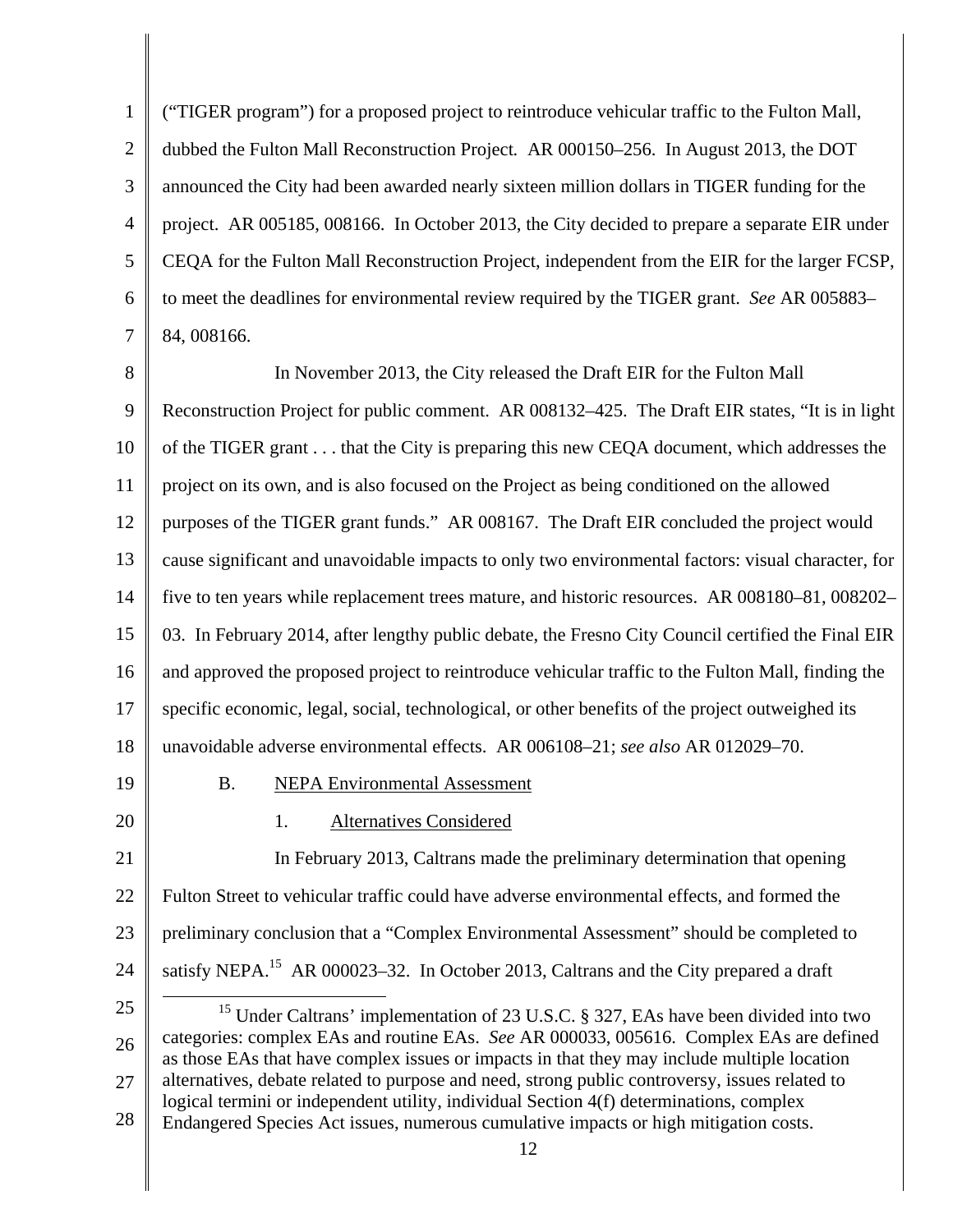1 2 3 4 5 6 7 ("TIGER program") for a proposed project to reintroduce vehicular traffic to the Fulton Mall, dubbed the Fulton Mall Reconstruction Project*.* AR 000150–256. In August 2013, the DOT announced the City had been awarded nearly sixteen million dollars in TIGER funding for the project. AR 005185, 008166. In October 2013, the City decided to prepare a separate EIR under CEQA for the Fulton Mall Reconstruction Project, independent from the EIR for the larger FCSP, to meet the deadlines for environmental review required by the TIGER grant. *See* AR 005883– 84, 008166.

8 9 10 11 12 13 14 15 16 17 18 In November 2013, the City released the Draft EIR for the Fulton Mall Reconstruction Project for public comment. AR 008132–425. The Draft EIR states, "It is in light of the TIGER grant . . . that the City is preparing this new CEQA document, which addresses the project on its own, and is also focused on the Project as being conditioned on the allowed purposes of the TIGER grant funds." AR 008167. The Draft EIR concluded the project would cause significant and unavoidable impacts to only two environmental factors: visual character, for five to ten years while replacement trees mature, and historic resources. AR 008180–81, 008202– 03. In February 2014, after lengthy public debate, the Fresno City Council certified the Final EIR and approved the proposed project to reintroduce vehicular traffic to the Fulton Mall, finding the specific economic, legal, social, technological, or other benefits of the project outweighed its unavoidable adverse environmental effects. AR 006108–21; *see also* AR 012029–70.

19

B. NEPA Environmental Assessment

# 20

1. Alternatives Considered

21 22 23 24 In February 2013, Caltrans made the preliminary determination that opening Fulton Street to vehicular traffic could have adverse environmental effects, and formed the preliminary conclusion that a "Complex Environmental Assessment" should be completed to satisfy NEPA.<sup>15</sup> AR 000023–32. In October 2013, Caltrans and the City prepared a draft

25

26 27 28  $\overline{a}$ <sup>15</sup> Under Caltrans' implementation of 23 U.S.C. § 327, EAs have been divided into two categories: complex EAs and routine EAs. *See* AR 000033, 005616. Complex EAs are defined as those EAs that have complex issues or impacts in that they may include multiple location alternatives, debate related to purpose and need, strong public controversy, issues related to logical termini or independent utility, individual Section 4(f) determinations, complex Endangered Species Act issues, numerous cumulative impacts or high mitigation costs.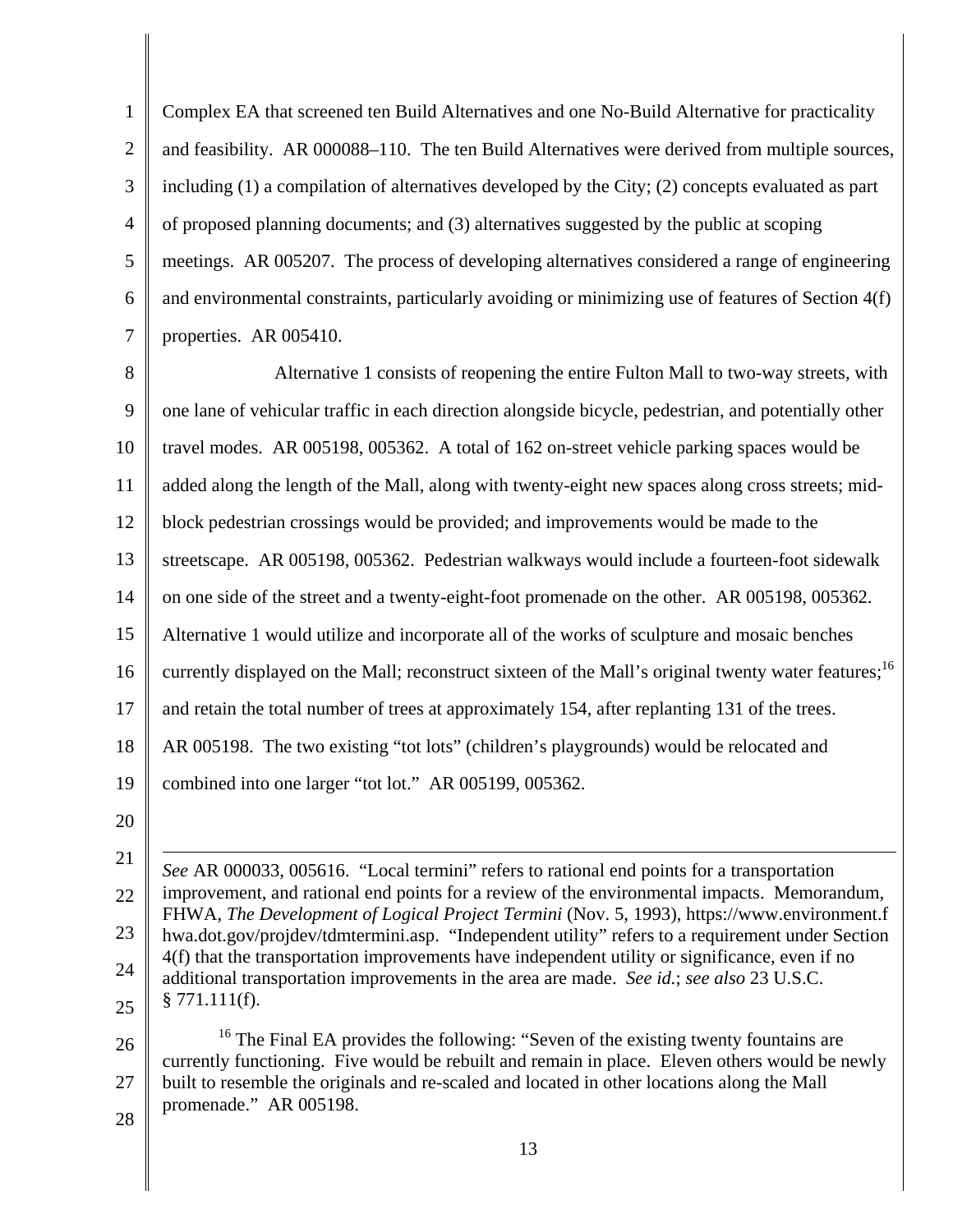1 2 3 4 5 6 7 8 9 10 11 12 13 14 15 16 17 18 19 20 21 22 23 24 25 26 Complex EA that screened ten Build Alternatives and one No-Build Alternative for practicality and feasibility. AR 000088–110. The ten Build Alternatives were derived from multiple sources, including (1) a compilation of alternatives developed by the City; (2) concepts evaluated as part of proposed planning documents; and (3) alternatives suggested by the public at scoping meetings. AR 005207. The process of developing alternatives considered a range of engineering and environmental constraints, particularly avoiding or minimizing use of features of Section 4(f) properties. AR 005410. Alternative 1 consists of reopening the entire Fulton Mall to two-way streets, with one lane of vehicular traffic in each direction alongside bicycle, pedestrian, and potentially other travel modes. AR 005198, 005362. A total of 162 on-street vehicle parking spaces would be added along the length of the Mall, along with twenty-eight new spaces along cross streets; midblock pedestrian crossings would be provided; and improvements would be made to the streetscape. AR 005198, 005362. Pedestrian walkways would include a fourteen-foot sidewalk on one side of the street and a twenty-eight-foot promenade on the other. AR 005198, 005362. Alternative 1 would utilize and incorporate all of the works of sculpture and mosaic benches currently displayed on the Mall; reconstruct sixteen of the Mall's original twenty water features;<sup>16</sup> and retain the total number of trees at approximately 154, after replanting 131 of the trees. AR 005198. The two existing "tot lots" (children's playgrounds) would be relocated and combined into one larger "tot lot." AR 005199, 005362.  $\overline{a}$ *See* AR 000033, 005616. "Local termini" refers to rational end points for a transportation improvement, and rational end points for a review of the environmental impacts. Memorandum, FHWA, *The Development of Logical Project Termini* (Nov. 5, 1993), https://www.environment.f hwa.dot.gov/projdev/tdmtermini.asp. "Independent utility" refers to a requirement under Section 4(f) that the transportation improvements have independent utility or significance, even if no additional transportation improvements in the area are made. *See id.*; *see also* 23 U.S.C. § 771.111(f). <sup>16</sup> The Final EA provides the following: "Seven of the existing twenty fountains are currently functioning. Five would be rebuilt and remain in place. Eleven others would be newly

28

promenade." AR 005198.

27

built to resemble the originals and re-scaled and located in other locations along the Mall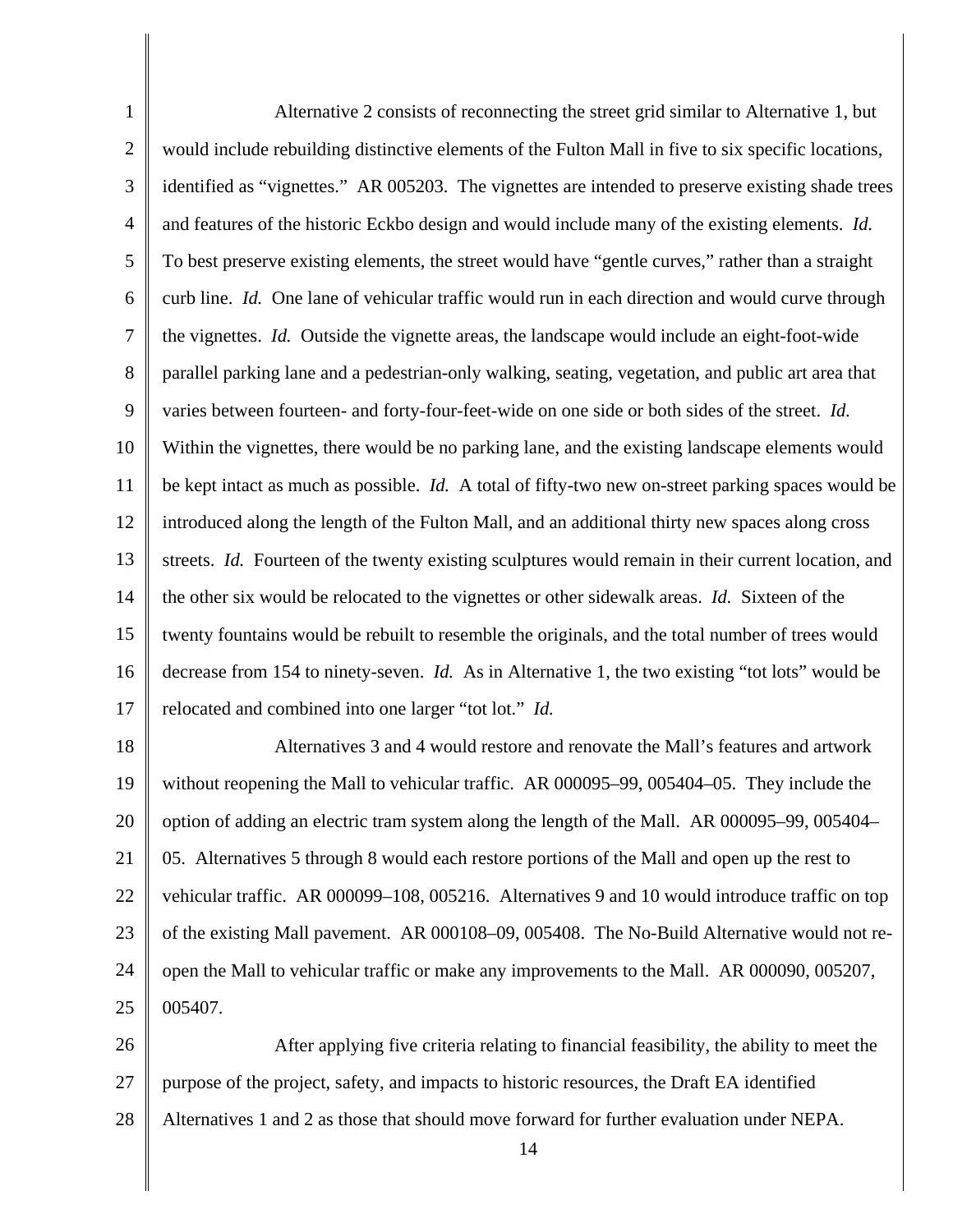1 2 3 4 5 6 7 8 9 10 11 12 13 14 15 16 17 18 Alternative 2 consists of reconnecting the street grid similar to Alternative 1, but would include rebuilding distinctive elements of the Fulton Mall in five to six specific locations, identified as "vignettes." AR 005203. The vignettes are intended to preserve existing shade trees and features of the historic Eckbo design and would include many of the existing elements. *Id.*  To best preserve existing elements, the street would have "gentle curves," rather than a straight curb line. *Id.* One lane of vehicular traffic would run in each direction and would curve through the vignettes. *Id.* Outside the vignette areas, the landscape would include an eight-foot-wide parallel parking lane and a pedestrian-only walking, seating, vegetation, and public art area that varies between fourteen- and forty-four-feet-wide on one side or both sides of the street. *Id.*  Within the vignettes, there would be no parking lane, and the existing landscape elements would be kept intact as much as possible. *Id.* A total of fifty-two new on-street parking spaces would be introduced along the length of the Fulton Mall, and an additional thirty new spaces along cross streets. *Id.* Fourteen of the twenty existing sculptures would remain in their current location, and the other six would be relocated to the vignettes or other sidewalk areas. *Id.* Sixteen of the twenty fountains would be rebuilt to resemble the originals, and the total number of trees would decrease from 154 to ninety-seven. *Id.* As in Alternative 1, the two existing "tot lots" would be relocated and combined into one larger "tot lot." *Id.*  Alternatives 3 and 4 would restore and renovate the Mall's features and artwork

19 20 21 22 23 24 25 without reopening the Mall to vehicular traffic. AR 000095–99, 005404–05. They include the option of adding an electric tram system along the length of the Mall. AR 000095–99, 005404– 05.Alternatives 5 through 8 would each restore portions of the Mall and open up the rest to vehicular traffic. AR 000099–108, 005216.Alternatives 9 and 10 would introduce traffic on top of the existing Mall pavement. AR 000108–09, 005408. The No-Build Alternative would not reopen the Mall to vehicular traffic or make any improvements to the Mall. AR 000090, 005207, 005407.

26 27 28 After applying five criteria relating to financial feasibility, the ability to meet the purpose of the project, safety, and impacts to historic resources, the Draft EA identified Alternatives 1 and 2 as those that should move forward for further evaluation under NEPA.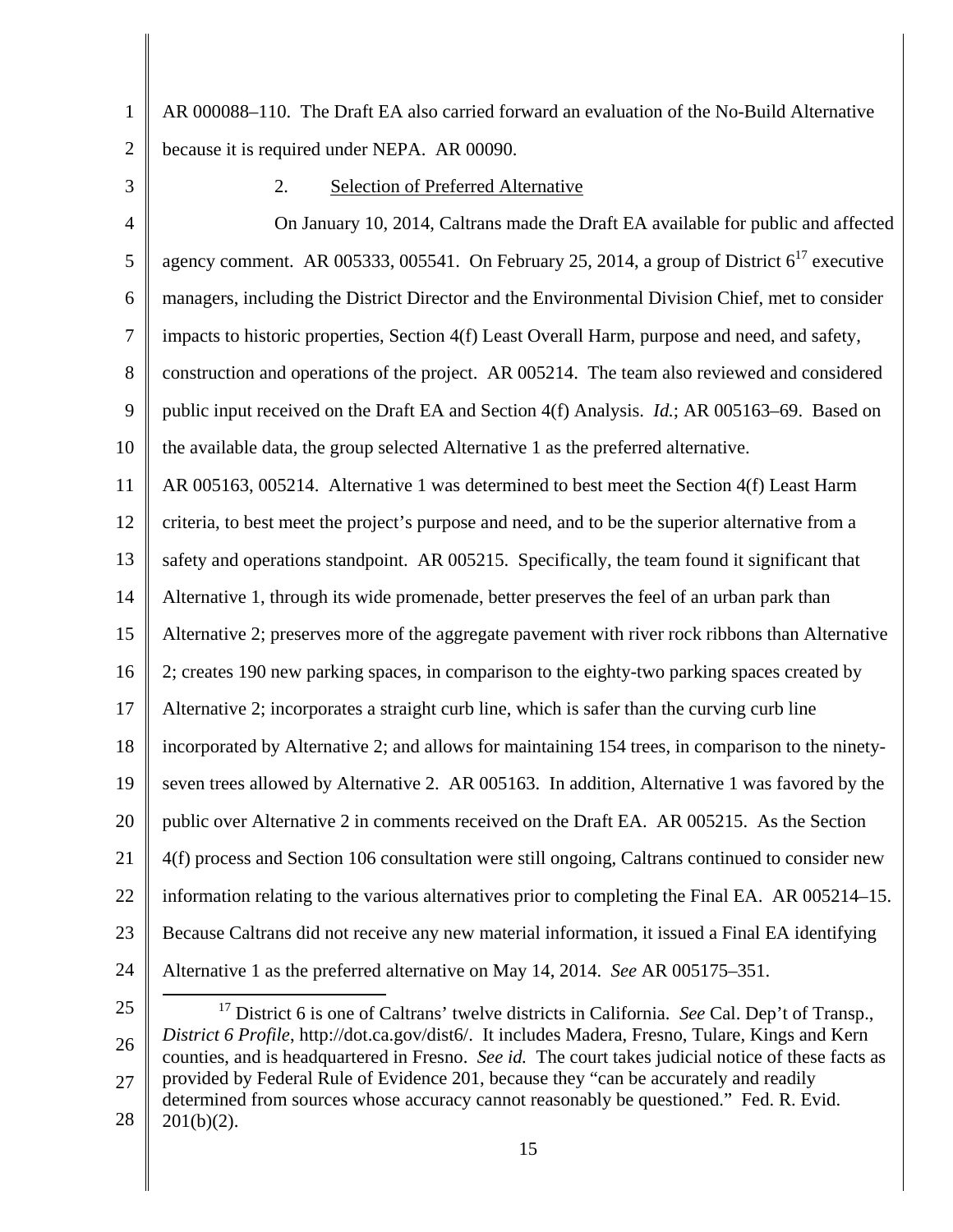- 1 2 3 4 5 6 7 8 9 10 11 12 13 14 15 16 17 18 19 20 21 22 23 24 25 AR 000088–110. The Draft EA also carried forward an evaluation of the No-Build Alternative because it is required under NEPA. AR 00090. 2. Selection of Preferred Alternative On January 10, 2014, Caltrans made the Draft EA available for public and affected agency comment. AR 005333, 005541. On February 25, 2014, a group of District  $6^{17}$  executive managers, including the District Director and the Environmental Division Chief, met to consider impacts to historic properties, Section 4(f) Least Overall Harm, purpose and need, and safety, construction and operations of the project. AR 005214. The team also reviewed and considered public input received on the Draft EA and Section 4(f) Analysis. *Id.*; AR 005163–69. Based on the available data, the group selected Alternative 1 as the preferred alternative. AR 005163, 005214. Alternative 1 was determined to best meet the Section 4(f) Least Harm criteria, to best meet the project's purpose and need, and to be the superior alternative from a safety and operations standpoint. AR 005215. Specifically, the team found it significant that Alternative 1, through its wide promenade, better preserves the feel of an urban park than Alternative 2; preserves more of the aggregate pavement with river rock ribbons than Alternative 2; creates 190 new parking spaces, in comparison to the eighty-two parking spaces created by Alternative 2; incorporates a straight curb line, which is safer than the curving curb line incorporated by Alternative 2; and allows for maintaining 154 trees, in comparison to the ninetyseven trees allowed by Alternative 2. AR 005163. In addition, Alternative 1 was favored by the public over Alternative 2 in comments received on the Draft EA. AR 005215.As the Section 4(f) process and Section 106 consultation were still ongoing, Caltrans continued to consider new information relating to the various alternatives prior to completing the Final EA. AR 005214–15. Because Caltrans did not receive any new material information, it issued a Final EA identifying Alternative 1 as the preferred alternative on May 14, 2014. *See* AR 005175–351.  $\overline{a}$ <sup>17</sup> District 6 is one of Caltrans' twelve districts in California. *See* Cal. Dep't of Transp.,
- 26 27 28 *District 6 Profile*, http://dot.ca.gov/dist6/. It includes Madera, Fresno, Tulare, Kings and Kern counties, and is headquartered in Fresno. *See id.* The court takes judicial notice of these facts as provided by Federal Rule of Evidence 201, because they "can be accurately and readily determined from sources whose accuracy cannot reasonably be questioned." Fed. R. Evid.  $201(b)(2)$ .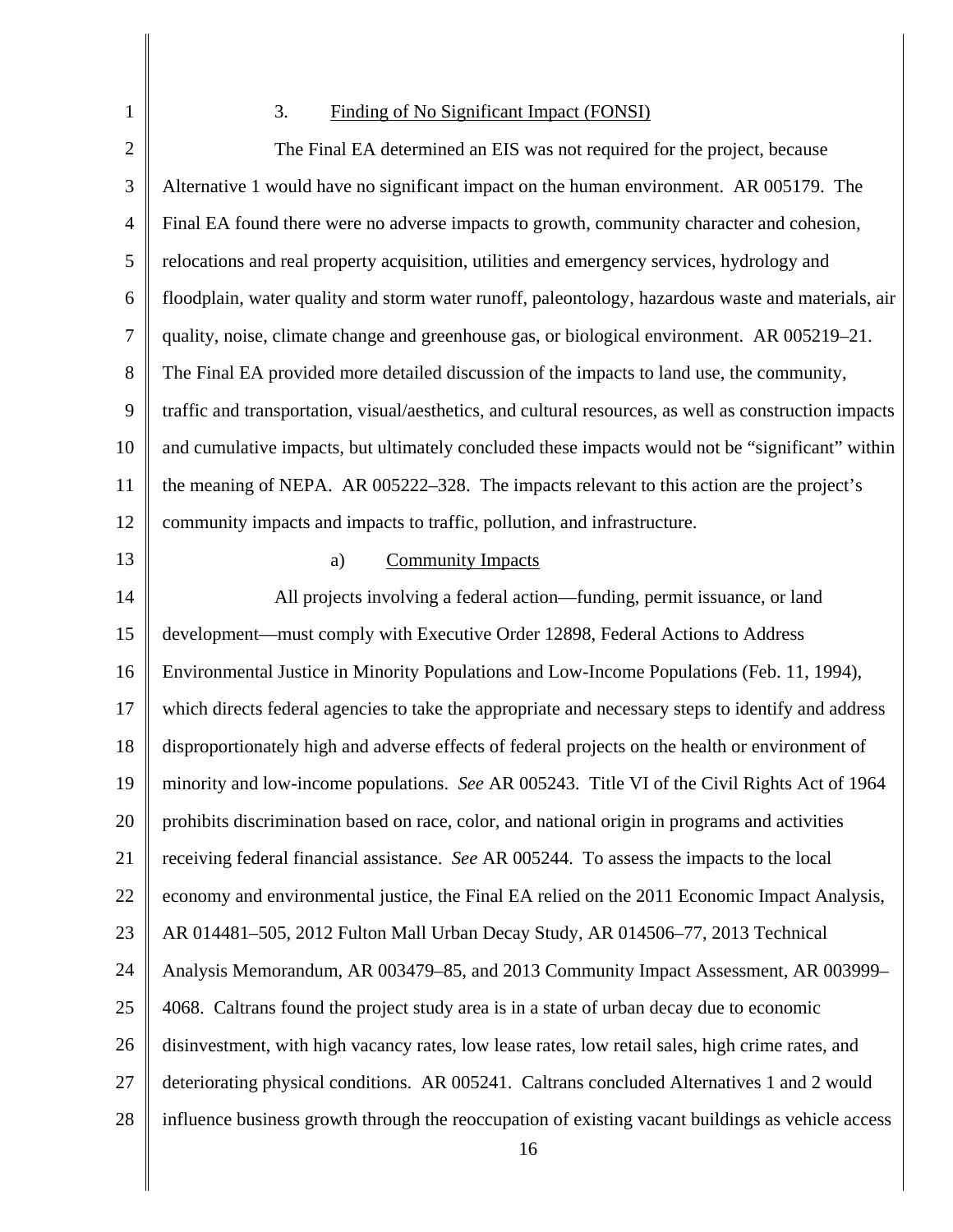# 3. Finding of No Significant Impact (FONSI)

| $\mathbf{2}$   | The Final EA determined an EIS was not required for the project, because                                |
|----------------|---------------------------------------------------------------------------------------------------------|
| 3              | Alternative 1 would have no significant impact on the human environment. AR 005179. The                 |
| $\overline{4}$ | Final EA found there were no adverse impacts to growth, community character and cohesion,               |
| 5              | relocations and real property acquisition, utilities and emergency services, hydrology and              |
| 6              | floodplain, water quality and storm water runoff, paleontology, hazardous waste and materials, air      |
| 7              | quality, noise, climate change and greenhouse gas, or biological environment. AR 005219–21.             |
| 8              | The Final EA provided more detailed discussion of the impacts to land use, the community,               |
| 9              | traffic and transportation, visual/aesthetics, and cultural resources, as well as construction impacts  |
| 10             | and cumulative impacts, but ultimately concluded these impacts would not be "significant" within        |
| 11             | the meaning of NEPA. AR 005222–328. The impacts relevant to this action are the project's               |
| 12             | community impacts and impacts to traffic, pollution, and infrastructure.                                |
| 13             | <b>Community Impacts</b><br>a)                                                                          |
| 14             | All projects involving a federal action—funding, permit issuance, or land                               |
| 15             | development—must comply with Executive Order 12898, Federal Actions to Address                          |
| 16             | Environmental Justice in Minority Populations and Low-Income Populations (Feb. 11, 1994),               |
| 17             | which directs federal agencies to take the appropriate and necessary steps to identify and address      |
| 18             | disproportionately high and adverse effects of federal projects on the health or environment of         |
| 19             | minority and low-income populations. See AR 005243. Title VI of the Civil Rights Act of 1964            |
| 20             | prohibits discrimination based on race, color, and national origin in programs and activities           |
| 21             | receiving federal financial assistance. See AR 005244. To assess the impacts to the local               |
| 22             | economy and environmental justice, the Final EA relied on the 2011 Economic Impact Analysis,            |
| 23             | AR 014481-505, 2012 Fulton Mall Urban Decay Study, AR 014506-77, 2013 Technical                         |
| 24             | Analysis Memorandum, AR 003479-85, and 2013 Community Impact Assessment, AR 003999-                     |
| 25             | 4068. Caltrans found the project study area is in a state of urban decay due to economic                |
| 26             | disinvestment, with high vacancy rates, low lease rates, low retail sales, high crime rates, and        |
| 27             | deteriorating physical conditions. AR 005241. Caltrans concluded Alternatives 1 and 2 would             |
| 28             | influence business growth through the reoccupation of existing vacant buildings as vehicle access<br>16 |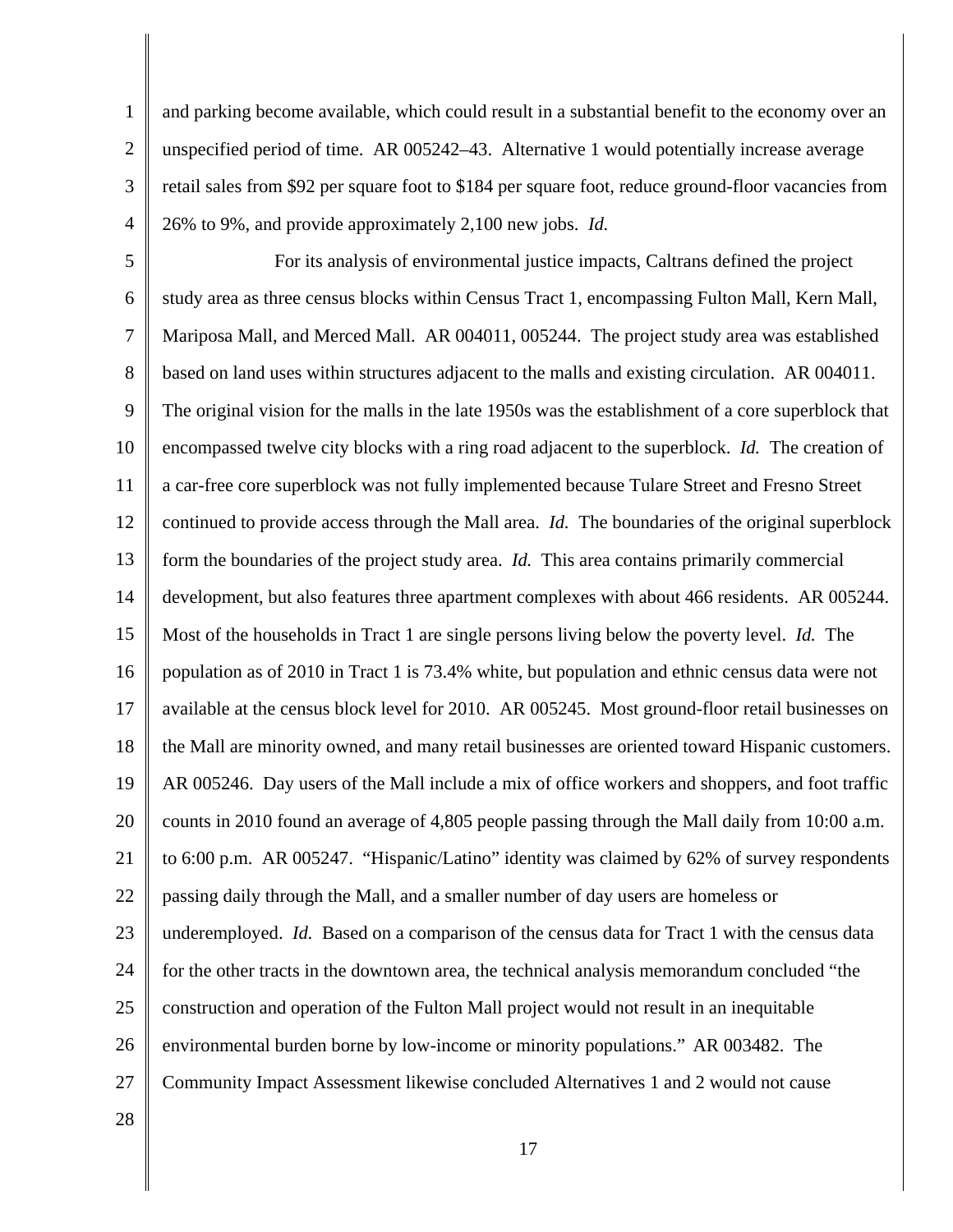1 2 3 4 and parking become available, which could result in a substantial benefit to the economy over an unspecified period of time. AR 005242–43. Alternative 1 would potentially increase average retail sales from \$92 per square foot to \$184 per square foot, reduce ground-floor vacancies from 26% to 9%, and provide approximately 2,100 new jobs. *Id.*

5 6 7 8 9 10 11 12 13 14 15 16 17 18 19 20 21 22 23 24 25 26 27 For its analysis of environmental justice impacts, Caltrans defined the project study area as three census blocks within Census Tract 1, encompassing Fulton Mall, Kern Mall, Mariposa Mall, and Merced Mall. AR 004011, 005244. The project study area was established based on land uses within structures adjacent to the malls and existing circulation. AR 004011. The original vision for the malls in the late 1950s was the establishment of a core superblock that encompassed twelve city blocks with a ring road adjacent to the superblock. *Id.* The creation of a car-free core superblock was not fully implemented because Tulare Street and Fresno Street continued to provide access through the Mall area. *Id.* The boundaries of the original superblock form the boundaries of the project study area. *Id.* This area contains primarily commercial development, but also features three apartment complexes with about 466 residents. AR 005244. Most of the households in Tract 1 are single persons living below the poverty level. *Id.* The population as of 2010 in Tract 1 is 73.4% white, but population and ethnic census data were not available at the census block level for 2010. AR 005245. Most ground-floor retail businesses on the Mall are minority owned, and many retail businesses are oriented toward Hispanic customers. AR 005246. Day users of the Mall include a mix of office workers and shoppers, and foot traffic counts in 2010 found an average of 4,805 people passing through the Mall daily from 10:00 a.m. to 6:00 p.m. AR 005247. "Hispanic/Latino" identity was claimed by 62% of survey respondents passing daily through the Mall, and a smaller number of day users are homeless or underemployed. *Id.* Based on a comparison of the census data for Tract 1 with the census data for the other tracts in the downtown area, the technical analysis memorandum concluded "the construction and operation of the Fulton Mall project would not result in an inequitable environmental burden borne by low-income or minority populations." AR 003482. The Community Impact Assessment likewise concluded Alternatives 1 and 2 would not cause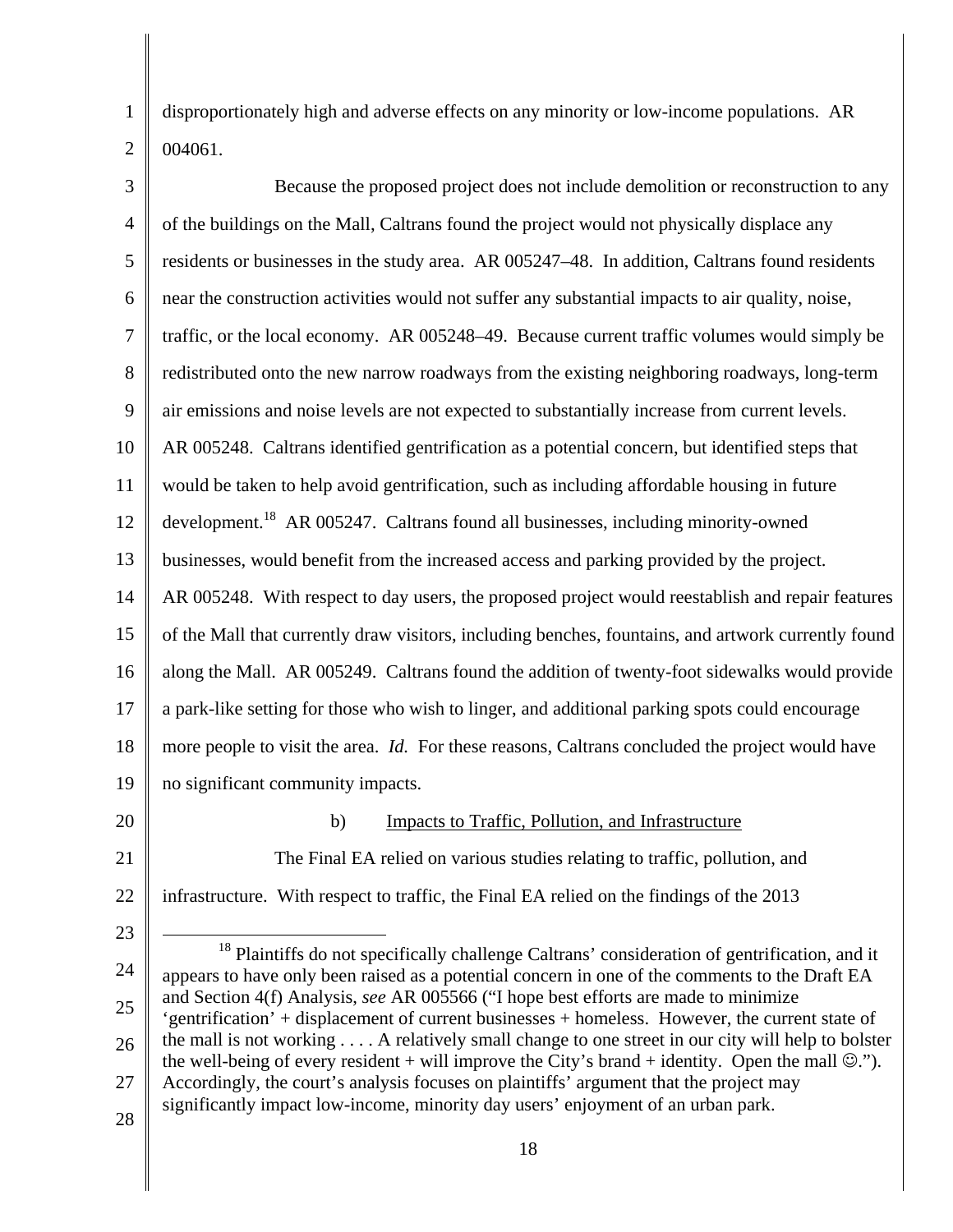2 disproportionately high and adverse effects on any minority or low-income populations. AR 004061.

1

3 4 5 6 7 8 9 10 11 12 13 14 15 16 17 18 19 20 21 Because the proposed project does not include demolition or reconstruction to any of the buildings on the Mall, Caltrans found the project would not physically displace any residents or businesses in the study area. AR 005247–48. In addition, Caltrans found residents near the construction activities would not suffer any substantial impacts to air quality, noise, traffic, or the local economy. AR 005248–49. Because current traffic volumes would simply be redistributed onto the new narrow roadways from the existing neighboring roadways, long-term air emissions and noise levels are not expected to substantially increase from current levels. AR 005248. Caltrans identified gentrification as a potential concern, but identified steps that would be taken to help avoid gentrification, such as including affordable housing in future development.<sup>18</sup> AR 005247. Caltrans found all businesses, including minority-owned businesses, would benefit from the increased access and parking provided by the project. AR 005248. With respect to day users, the proposed project would reestablish and repair features of the Mall that currently draw visitors, including benches, fountains, and artwork currently found along the Mall. AR 005249. Caltrans found the addition of twenty-foot sidewalks would provide a park-like setting for those who wish to linger, and additional parking spots could encourage more people to visit the area. *Id.* For these reasons, Caltrans concluded the project would have no significant community impacts. b) Impacts to Traffic, Pollution, and Infrastructure The Final EA relied on various studies relating to traffic, pollution, and

22 infrastructure. With respect to traffic, the Final EA relied on the findings of the 2013

<sup>23</sup>  24 25 26 27 28  $\overline{a}$ <sup>18</sup> Plaintiffs do not specifically challenge Caltrans' consideration of gentrification, and it appears to have only been raised as a potential concern in one of the comments to the Draft EA and Section 4(f) Analysis, *see* AR 005566 ("I hope best efforts are made to minimize 'gentrification' + displacement of current businesses + homeless. However, the current state of the mall is not working . . . . A relatively small change to one street in our city will help to bolster the well-being of every resident + will improve the City's brand + identity. Open the mall  $\mathcal{D}$ ."). Accordingly, the court's analysis focuses on plaintiffs' argument that the project may significantly impact low-income, minority day users' enjoyment of an urban park.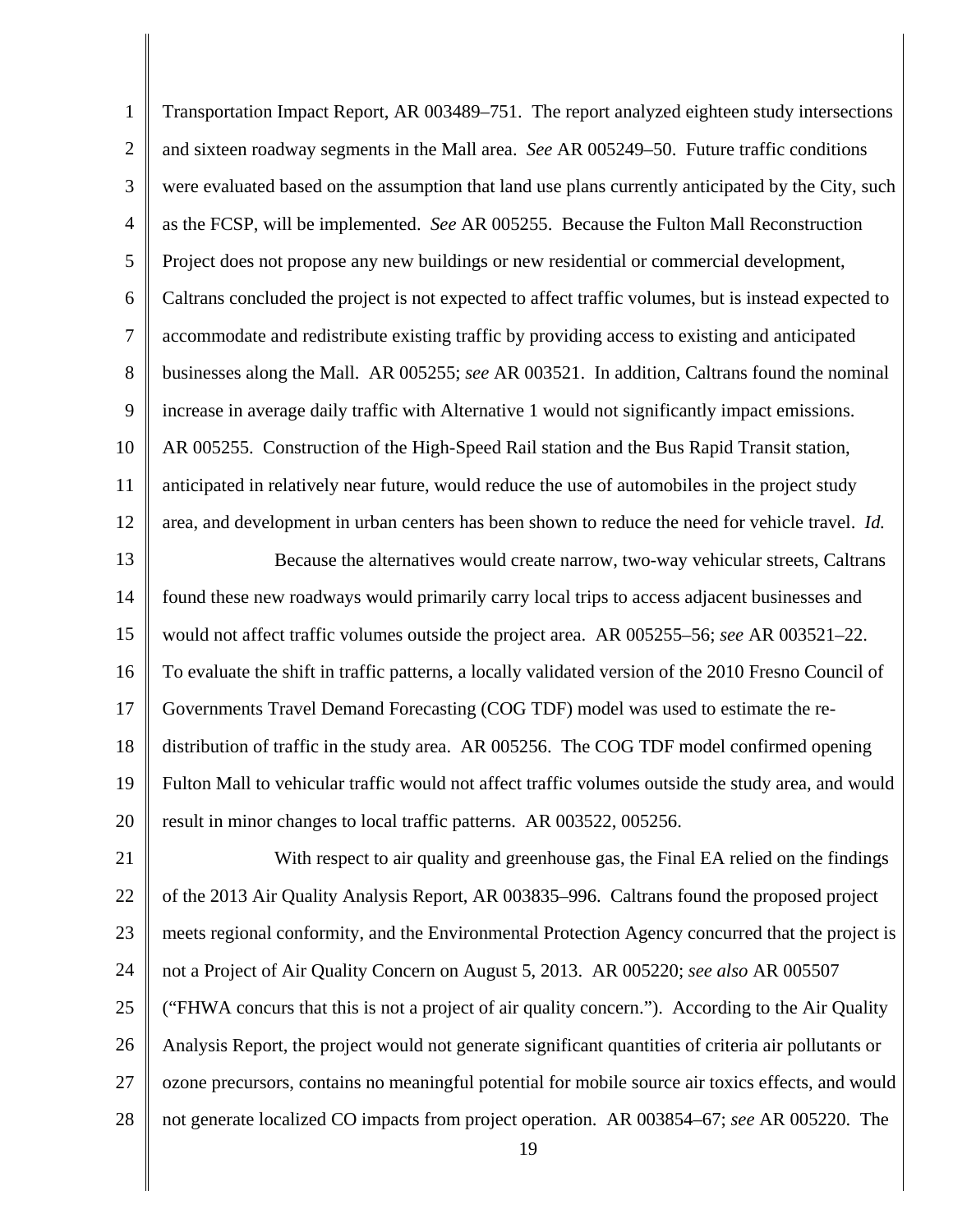| $\mathbf{1}$   | Transportation Impact Report, AR 003489–751. The report analyzed eighteen study intersections        |
|----------------|------------------------------------------------------------------------------------------------------|
| $\overline{2}$ | and sixteen roadway segments in the Mall area. See AR 005249–50. Future traffic conditions           |
| 3              | were evaluated based on the assumption that land use plans currently anticipated by the City, such   |
| $\overline{4}$ | as the FCSP, will be implemented. See AR 005255. Because the Fulton Mall Reconstruction              |
| 5              | Project does not propose any new buildings or new residential or commercial development,             |
| 6              | Caltrans concluded the project is not expected to affect traffic volumes, but is instead expected to |
| 7              | accommodate and redistribute existing traffic by providing access to existing and anticipated        |
| 8              | businesses along the Mall. AR 005255; see AR 003521. In addition, Caltrans found the nominal         |
| 9              | increase in average daily traffic with Alternative 1 would not significantly impact emissions.       |
| 10             | AR 005255. Construction of the High-Speed Rail station and the Bus Rapid Transit station,            |
| 11             | anticipated in relatively near future, would reduce the use of automobiles in the project study      |
| 12             | area, and development in urban centers has been shown to reduce the need for vehicle travel. Id.     |
| 13             | Because the alternatives would create narrow, two-way vehicular streets, Caltrans                    |
| 14             | found these new roadways would primarily carry local trips to access adjacent businesses and         |
| 15             | would not affect traffic volumes outside the project area. AR 005255–56; see AR 003521–22.           |
| 16             | To evaluate the shift in traffic patterns, a locally validated version of the 2010 Fresno Council of |
| 17             | Governments Travel Demand Forecasting (COG TDF) model was used to estimate the re-                   |
| 18             | distribution of traffic in the study area. AR 005256. The COG TDF model confirmed opening            |
| 19             | Fulton Mall to vehicular traffic would not affect traffic volumes outside the study area, and would  |
| 20             | result in minor changes to local traffic patterns. AR 003522, 005256.                                |
| 21             | With respect to air quality and greenhouse gas, the Final EA relied on the findings                  |
| 22             | of the 2013 Air Quality Analysis Report, AR 003835–996. Caltrans found the proposed project          |
| 23             | meets regional conformity, and the Environmental Protection Agency concurred that the project is     |
| 24             | not a Project of Air Quality Concern on August 5, 2013. AR 005220; see also AR 005507                |
| 25             | ("FHWA concurs that this is not a project of air quality concern."). According to the Air Quality    |
| 26             | Analysis Report, the project would not generate significant quantities of criteria air pollutants or |
| 27             | ozone precursors, contains no meaningful potential for mobile source air toxics effects, and would   |
| 28             | not generate localized CO impacts from project operation. AR 003854–67; see AR 005220. The<br>19     |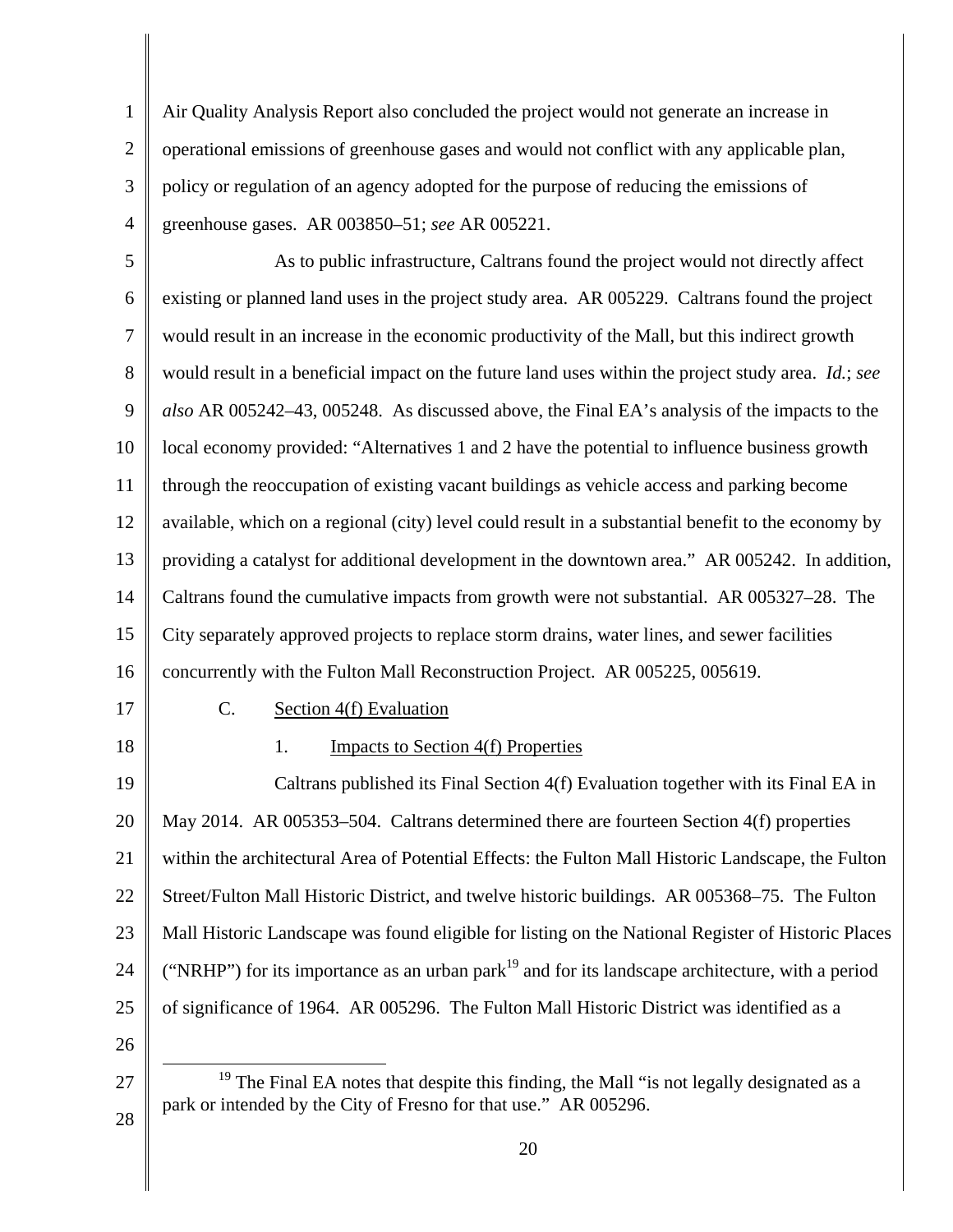1 2 3 4 Air Quality Analysis Report also concluded the project would not generate an increase in operational emissions of greenhouse gases and would not conflict with any applicable plan, policy or regulation of an agency adopted for the purpose of reducing the emissions of greenhouse gases. AR 003850–51; *see* AR 005221.

5 6 7 8 9 10 11 12 13 14 15 16 As to public infrastructure, Caltrans found the project would not directly affect existing or planned land uses in the project study area. AR 005229. Caltrans found the project would result in an increase in the economic productivity of the Mall, but this indirect growth would result in a beneficial impact on the future land uses within the project study area. *Id.*; *see also* AR 005242–43, 005248. As discussed above, the Final EA's analysis of the impacts to the local economy provided: "Alternatives 1 and 2 have the potential to influence business growth through the reoccupation of existing vacant buildings as vehicle access and parking become available, which on a regional (city) level could result in a substantial benefit to the economy by providing a catalyst for additional development in the downtown area." AR 005242. In addition, Caltrans found the cumulative impacts from growth were not substantial. AR 005327–28. The City separately approved projects to replace storm drains, water lines, and sewer facilities concurrently with the Fulton Mall Reconstruction Project. AR 005225, 005619.

17

### C. Section 4(f) Evaluation

18

1. Impacts to Section 4(f) Properties

19 20 21 22 23 24 25 Caltrans published its Final Section 4(f) Evaluation together with its Final EA in May 2014. AR 005353–504. Caltrans determined there are fourteen Section 4(f) properties within the architectural Area of Potential Effects: the Fulton Mall Historic Landscape, the Fulton Street/Fulton Mall Historic District, and twelve historic buildings. AR 005368–75. The Fulton Mall Historic Landscape was found eligible for listing on the National Register of Historic Places ("NRHP") for its importance as an urban park<sup>19</sup> and for its landscape architecture, with a period of significance of 1964. AR 005296. The Fulton Mall Historic District was identified as a

26

27

 $\overline{a}$  $19$  The Final EA notes that despite this finding, the Mall "is not legally designated as a park or intended by the City of Fresno for that use." AR 005296.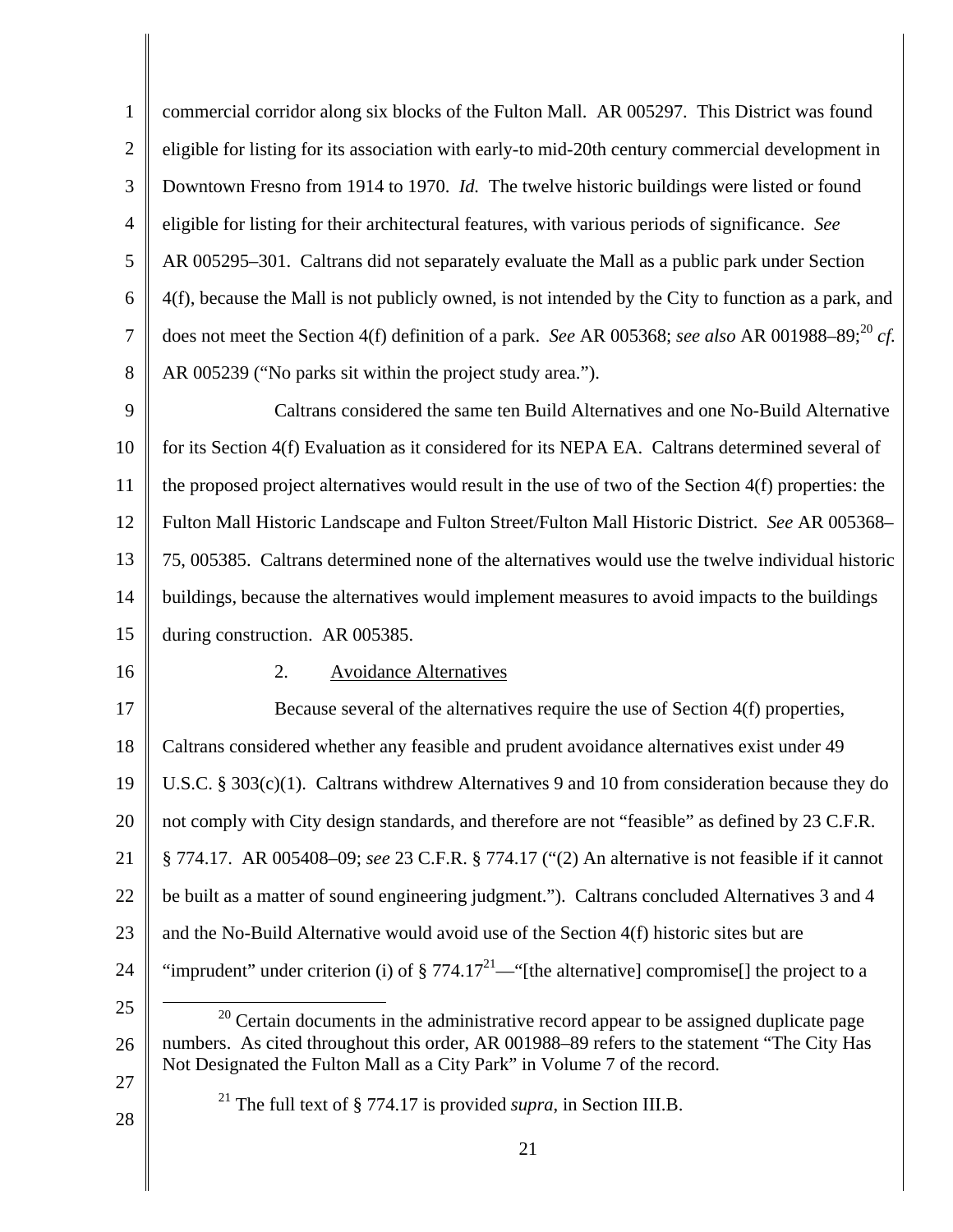1 2 3 4 5 6 7 8 commercial corridor along six blocks of the Fulton Mall. AR 005297. This District was found eligible for listing for its association with early-to mid-20th century commercial development in Downtown Fresno from 1914 to 1970. *Id.* The twelve historic buildings were listed or found eligible for listing for their architectural features, with various periods of significance. *See*  AR 005295–301. Caltrans did not separately evaluate the Mall as a public park under Section 4(f), because the Mall is not publicly owned, is not intended by the City to function as a park, and does not meet the Section 4(f) definition of a park. *See* AR 005368; *see also* AR 001988–89;<sup>20</sup> *cf.* AR 005239 ("No parks sit within the project study area.").

9 10 11 12 13 14 15 Caltrans considered the same ten Build Alternatives and one No-Build Alternative for its Section 4(f) Evaluation as it considered for its NEPA EA. Caltrans determined several of the proposed project alternatives would result in the use of two of the Section 4(f) properties: the Fulton Mall Historic Landscape and Fulton Street/Fulton Mall Historic District. *See* AR 005368– 75, 005385. Caltrans determined none of the alternatives would use the twelve individual historic buildings, because the alternatives would implement measures to avoid impacts to the buildings during construction. AR 005385.

16

#### 2. Avoidance Alternatives

17 18 19 20 21 22 23 24 Because several of the alternatives require the use of Section 4(f) properties, Caltrans considered whether any feasible and prudent avoidance alternatives exist under 49 U.S.C. § 303(c)(1). Caltrans withdrew Alternatives 9 and 10 from consideration because they do not comply with City design standards, and therefore are not "feasible" as defined by 23 C.F.R. § 774.17. AR 005408–09; *see* 23 C.F.R. § 774.17 ("(2) An alternative is not feasible if it cannot be built as a matter of sound engineering judgment."). Caltrans concluded Alternatives 3 and 4 and the No-Build Alternative would avoid use of the Section 4(f) historic sites but are "imprudent" under criterion (i) of § 774.17<sup>21</sup>—"[the alternative] compromise<sup>[]</sup> the project to a  $\overline{a}$ 

25

28

<sup>21</sup> The full text of  $\S 774.17$  is provided *supra*, in Section III.B.

<sup>26</sup>  27  $20$  Certain documents in the administrative record appear to be assigned duplicate page numbers. As cited throughout this order, AR 001988–89 refers to the statement "The City Has Not Designated the Fulton Mall as a City Park" in Volume 7 of the record.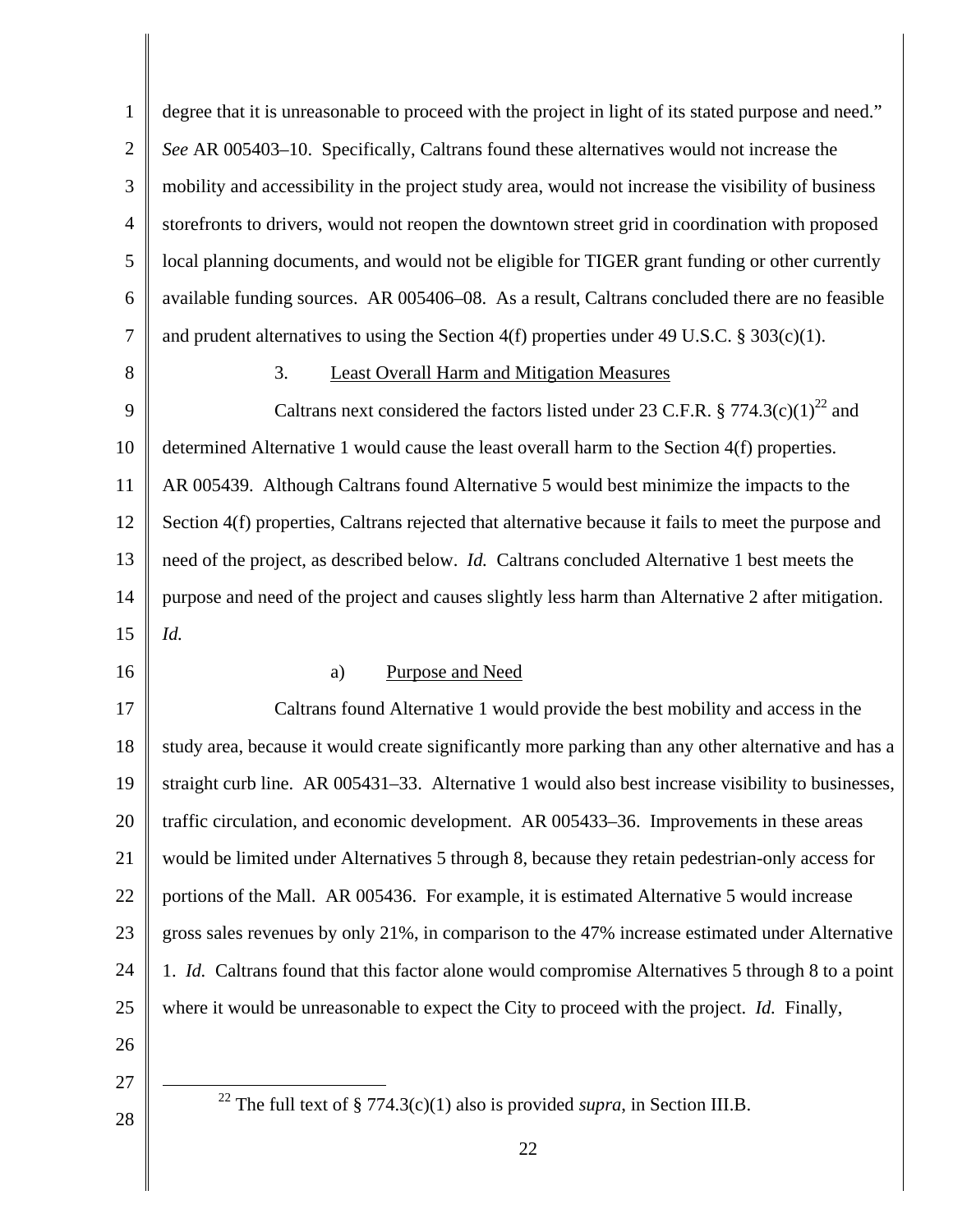1 2 3 4 5 6 7 8 9 10 11 12 13 14 15 16 17 18 19 20 21 22 23 24 25 26 27 28 degree that it is unreasonable to proceed with the project in light of its stated purpose and need." *See* AR 005403–10. Specifically, Caltrans found these alternatives would not increase the mobility and accessibility in the project study area, would not increase the visibility of business storefronts to drivers, would not reopen the downtown street grid in coordination with proposed local planning documents, and would not be eligible for TIGER grant funding or other currently available funding sources. AR 005406–08. As a result, Caltrans concluded there are no feasible and prudent alternatives to using the Section 4(f) properties under 49 U.S.C. § 303(c)(1). 3. Least Overall Harm and Mitigation Measures Caltrans next considered the factors listed under 23 C.F.R.  $\S 774.3(c)(1)^{22}$  and determined Alternative 1 would cause the least overall harm to the Section 4(f) properties. AR 005439. Although Caltrans found Alternative 5 would best minimize the impacts to the Section 4(f) properties, Caltrans rejected that alternative because it fails to meet the purpose and need of the project, as described below. *Id.* Caltrans concluded Alternative 1 best meets the purpose and need of the project and causes slightly less harm than Alternative 2 after mitigation. *Id.* a) Purpose and Need Caltrans found Alternative 1 would provide the best mobility and access in the study area, because it would create significantly more parking than any other alternative and has a straight curb line. AR 005431–33. Alternative 1 would also best increase visibility to businesses, traffic circulation, and economic development. AR 005433–36. Improvements in these areas would be limited under Alternatives 5 through 8, because they retain pedestrian-only access for portions of the Mall. AR 005436. For example, it is estimated Alternative 5 would increase gross sales revenues by only 21%, in comparison to the 47% increase estimated under Alternative 1. *Id.* Caltrans found that this factor alone would compromise Alternatives 5 through 8 to a point where it would be unreasonable to expect the City to proceed with the project. *Id.* Finally,  $\overline{a}$ <sup>22</sup> The full text of § 774.3(c)(1) also is provided *supra*, in Section III.B.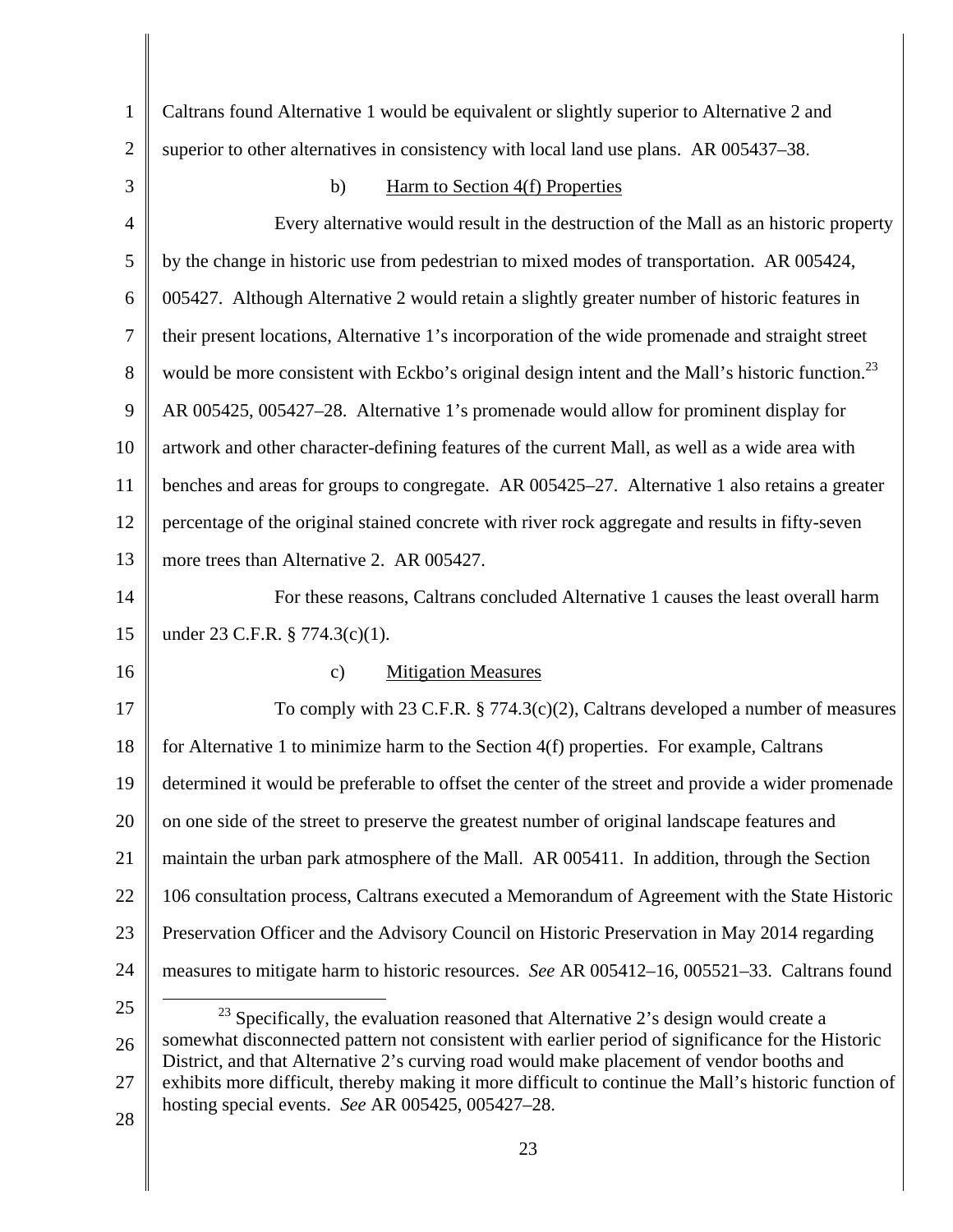| $\mathbf{1}$   | Caltrans found Alternative 1 would be equivalent or slightly superior to Alternative 2 and                                                                                                     |
|----------------|------------------------------------------------------------------------------------------------------------------------------------------------------------------------------------------------|
| $\mathbf{2}$   | superior to other alternatives in consistency with local land use plans. AR 005437–38.                                                                                                         |
| 3              | Harm to Section 4(f) Properties<br>b)                                                                                                                                                          |
| $\overline{4}$ | Every alternative would result in the destruction of the Mall as an historic property                                                                                                          |
| 5              | by the change in historic use from pedestrian to mixed modes of transportation. AR 005424,                                                                                                     |
| 6              | 005427. Although Alternative 2 would retain a slightly greater number of historic features in                                                                                                  |
| $\overline{7}$ | their present locations, Alternative 1's incorporation of the wide promenade and straight street                                                                                               |
| 8              | would be more consistent with Eckbo's original design intent and the Mall's historic function. <sup>23</sup>                                                                                   |
| $\mathbf{9}$   | AR 005425, 005427–28. Alternative 1's promenade would allow for prominent display for                                                                                                          |
| 10             | artwork and other character-defining features of the current Mall, as well as a wide area with                                                                                                 |
| 11             | benches and areas for groups to congregate. AR 005425–27. Alternative 1 also retains a greater                                                                                                 |
| 12             | percentage of the original stained concrete with river rock aggregate and results in fifty-seven                                                                                               |
| 13             | more trees than Alternative 2. AR 005427.                                                                                                                                                      |
| 14             | For these reasons, Caltrans concluded Alternative 1 causes the least overall harm                                                                                                              |
| 15             | under 23 C.F.R. $\frac{8}{774.3(c)(1)}$ .                                                                                                                                                      |
| 16             | <b>Mitigation Measures</b><br>$\mathbf{c})$                                                                                                                                                    |
| 17             | To comply with 23 C.F.R. $\S 774.3(c)(2)$ , Caltrans developed a number of measures                                                                                                            |
| 18             | for Alternative 1 to minimize harm to the Section 4(f) properties. For example, Caltrans                                                                                                       |
| 19             | determined it would be preferable to offset the center of the street and provide a wider promenade                                                                                             |
| 20             | on one side of the street to preserve the greatest number of original landscape features and                                                                                                   |
| 21             | maintain the urban park atmosphere of the Mall. AR 005411. In addition, through the Section                                                                                                    |
| 22             | 106 consultation process, Caltrans executed a Memorandum of Agreement with the State Historic                                                                                                  |
| 23             | Preservation Officer and the Advisory Council on Historic Preservation in May 2014 regarding                                                                                                   |
| 24             | measures to mitigate harm to historic resources. See AR 005412-16, 005521-33. Caltrans found                                                                                                   |
| 25             | <sup>23</sup> Specifically, the evaluation reasoned that Alternative 2's design would create a                                                                                                 |
| 26             | somewhat disconnected pattern not consistent with earlier period of significance for the Historic<br>District, and that Alternative 2's curving road would make placement of vendor booths and |
| 27             | exhibits more difficult, thereby making it more difficult to continue the Mall's historic function of                                                                                          |
|                | hosting special events. See AR 005425, 005427-28.                                                                                                                                              |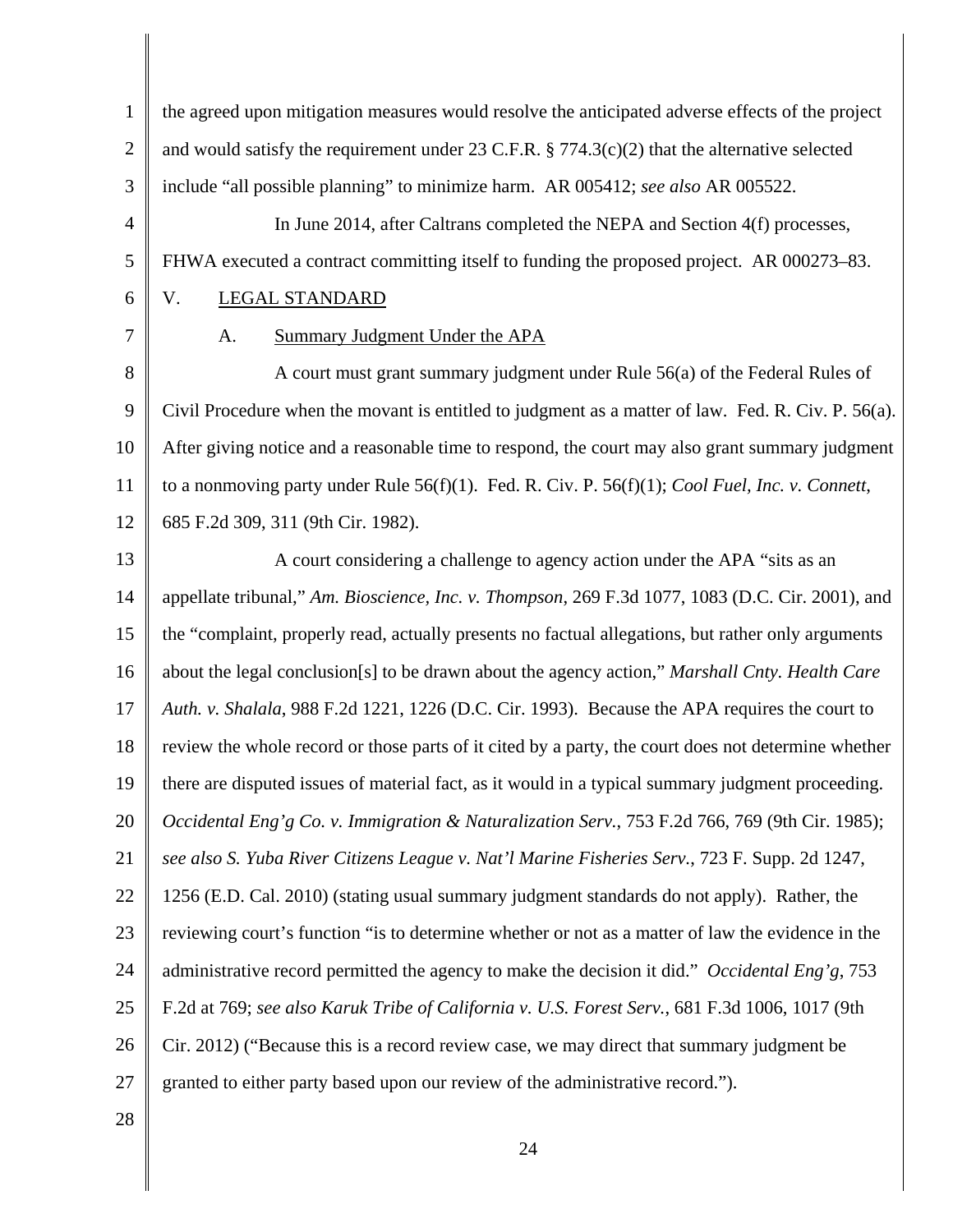1 2 3 4 5 6 7 8 9 10 11 12 13 14 15 16 17 18 19 20 21 22 23 24 25 26 27 the agreed upon mitigation measures would resolve the anticipated adverse effects of the project and would satisfy the requirement under 23 C.F.R. § 774.3(c)(2) that the alternative selected include "all possible planning" to minimize harm. AR 005412; *see also* AR 005522. In June 2014, after Caltrans completed the NEPA and Section 4(f) processes, FHWA executed a contract committing itself to funding the proposed project. AR 000273–83. V. LEGAL STANDARD A. Summary Judgment Under the APA A court must grant summary judgment under Rule 56(a) of the Federal Rules of Civil Procedure when the movant is entitled to judgment as a matter of law. Fed. R. Civ. P. 56(a). After giving notice and a reasonable time to respond, the court may also grant summary judgment to a nonmoving party under Rule 56(f)(1). Fed. R. Civ. P. 56(f)(1); *Cool Fuel, Inc. v. Connett*, 685 F.2d 309, 311 (9th Cir. 1982). A court considering a challenge to agency action under the APA "sits as an appellate tribunal," *Am. Bioscience, Inc. v. Thompson*, 269 F.3d 1077, 1083 (D.C. Cir. 2001), and the "complaint, properly read, actually presents no factual allegations, but rather only arguments about the legal conclusion[s] to be drawn about the agency action," *Marshall Cnty. Health Care Auth. v. Shalala*, 988 F.2d 1221, 1226 (D.C. Cir. 1993). Because the APA requires the court to review the whole record or those parts of it cited by a party, the court does not determine whether there are disputed issues of material fact, as it would in a typical summary judgment proceeding. *Occidental Eng'g Co. v. Immigration & Naturalization Serv.*, 753 F.2d 766, 769 (9th Cir. 1985); *see also S. Yuba River Citizens League v. Nat'l Marine Fisheries Serv.*, 723 F. Supp. 2d 1247, 1256 (E.D. Cal. 2010) (stating usual summary judgment standards do not apply). Rather, the reviewing court's function "is to determine whether or not as a matter of law the evidence in the administrative record permitted the agency to make the decision it did." *Occidental Eng'g*, 753 F.2d at 769; *see also Karuk Tribe of California v. U.S. Forest Serv.*, 681 F.3d 1006, 1017 (9th Cir. 2012) ("Because this is a record review case, we may direct that summary judgment be granted to either party based upon our review of the administrative record.").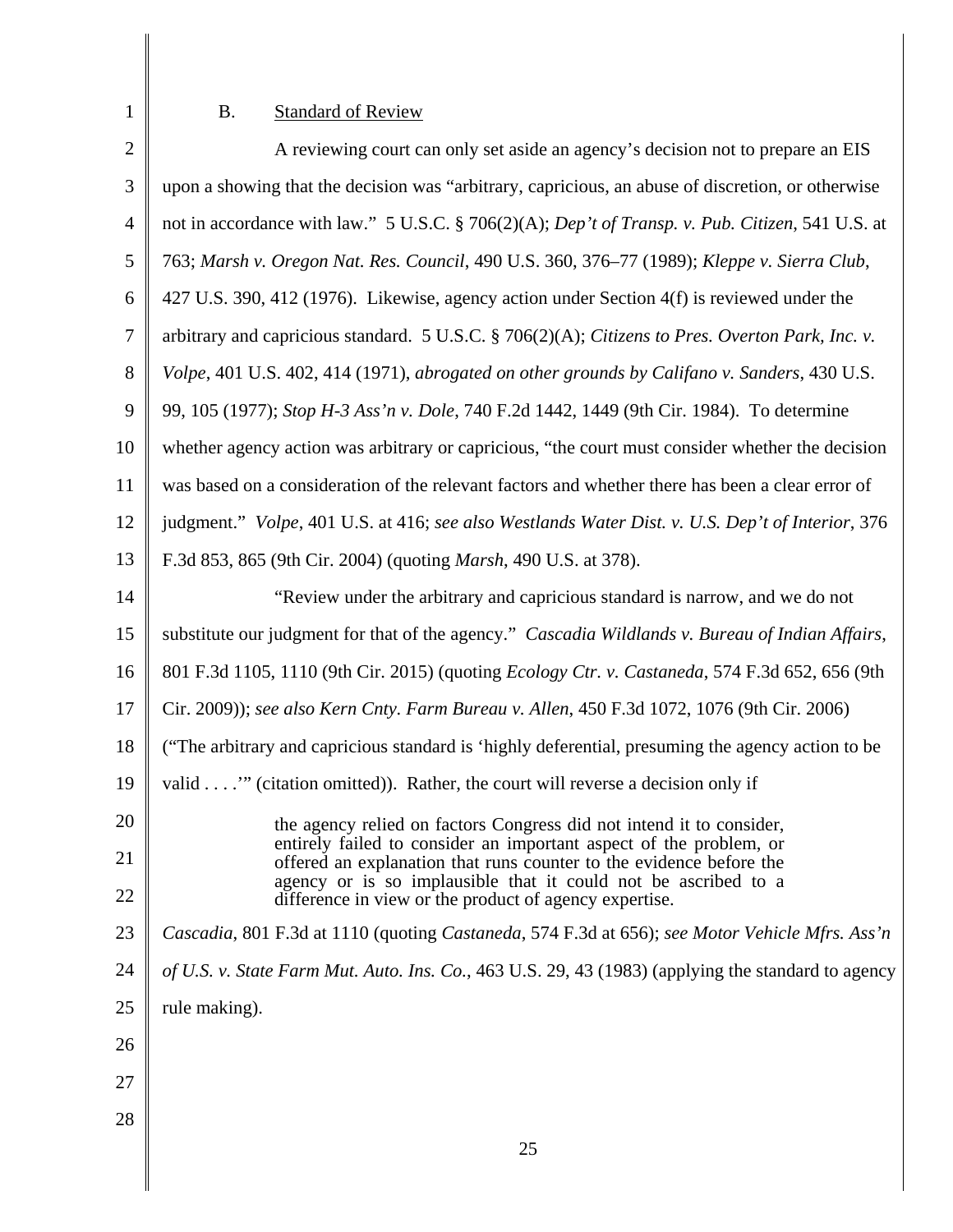1

# B. Standard of Review

| $\mathbf{2}$   | A reviewing court can only set aside an agency's decision not to prepare an EIS                                                           |
|----------------|-------------------------------------------------------------------------------------------------------------------------------------------|
| 3              | upon a showing that the decision was "arbitrary, capricious, an abuse of discretion, or otherwise                                         |
| $\overline{4}$ | not in accordance with law." 5 U.S.C. § 706(2)(A); Dep't of Transp. v. Pub. Citizen, 541 U.S. at                                          |
| 5              | 763; Marsh v. Oregon Nat. Res. Council, 490 U.S. 360, 376-77 (1989); Kleppe v. Sierra Club,                                               |
| 6              | 427 U.S. 390, 412 (1976). Likewise, agency action under Section 4(f) is reviewed under the                                                |
| $\tau$         | arbitrary and capricious standard. 5 U.S.C. § 706(2)(A); Citizens to Pres. Overton Park, Inc. v.                                          |
| 8              | Volpe, 401 U.S. 402, 414 (1971), abrogated on other grounds by Califano v. Sanders, 430 U.S.                                              |
| 9              | 99, 105 (1977); Stop H-3 Ass'n v. Dole, 740 F.2d 1442, 1449 (9th Cir. 1984). To determine                                                 |
| 10             | whether agency action was arbitrary or capricious, "the court must consider whether the decision                                          |
| 11             | was based on a consideration of the relevant factors and whether there has been a clear error of                                          |
| 12             | judgment." Volpe, 401 U.S. at 416; see also Westlands Water Dist. v. U.S. Dep't of Interior, 376                                          |
| 13             | F.3d 853, 865 (9th Cir. 2004) (quoting <i>Marsh</i> , 490 U.S. at 378).                                                                   |
| 14             | "Review under the arbitrary and capricious standard is narrow, and we do not                                                              |
| 15             | substitute our judgment for that of the agency." Cascadia Wildlands v. Bureau of Indian Affairs,                                          |
| 16             | 801 F.3d 1105, 1110 (9th Cir. 2015) (quoting <i>Ecology Ctr. v. Castaneda</i> , 574 F.3d 652, 656 (9th                                    |
| 17             | Cir. 2009)); see also Kern Cnty. Farm Bureau v. Allen, 450 F.3d 1072, 1076 (9th Cir. 2006)                                                |
| 18             | ("The arbitrary and capricious standard is 'highly deferential, presuming the agency action to be                                         |
| 19             | valid $\dots$ " (citation omitted)). Rather, the court will reverse a decision only if                                                    |
| 20             | the agency relied on factors Congress did not intend it to consider,                                                                      |
| 21             | entirely failed to consider an important aspect of the problem, or<br>offered an explanation that runs counter to the evidence before the |
| 22             | agency or is so implausible that it could not be ascribed to a<br>difference in view or the product of agency expertise.                  |
| 23             | Cascadia, 801 F.3d at 1110 (quoting Castaneda, 574 F.3d at 656); see Motor Vehicle Mfrs. Ass'n                                            |
| 24             | of U.S. v. State Farm Mut. Auto. Ins. Co., 463 U.S. 29, 43 (1983) (applying the standard to agency                                        |
| 25             | rule making).                                                                                                                             |
| 26             |                                                                                                                                           |
| 27             |                                                                                                                                           |
| 28             |                                                                                                                                           |
|                | 25                                                                                                                                        |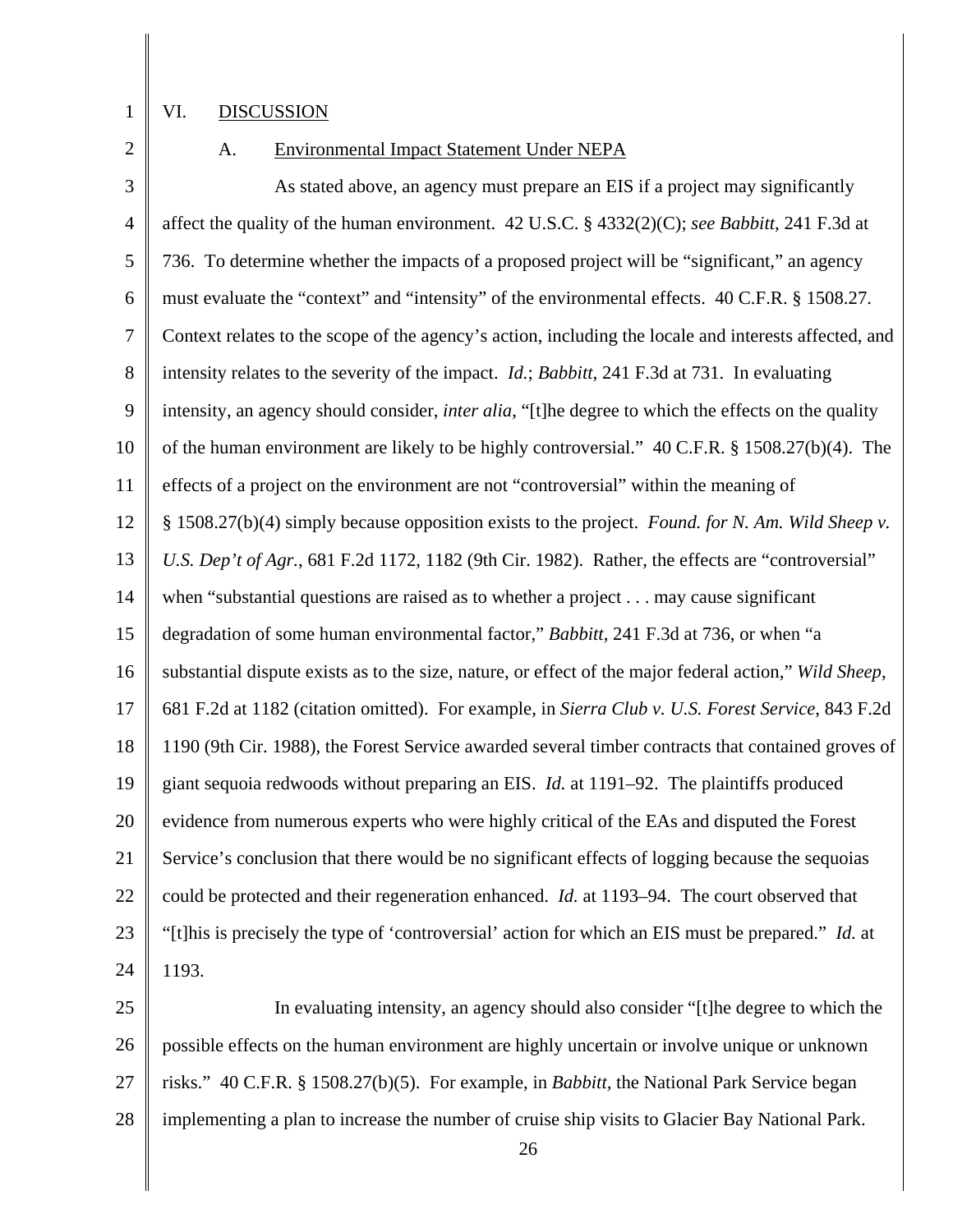### 1

# VI. DISCUSSION

2

#### A. Environmental Impact Statement Under NEPA

3 4 5 6 7 8 9 10 11 12 13 14 15 16 17 18 19 20 21 22 23 24 As stated above, an agency must prepare an EIS if a project may significantly affect the quality of the human environment. 42 U.S.C. § 4332(2)(C); *see Babbitt*, 241 F.3d at 736. To determine whether the impacts of a proposed project will be "significant," an agency must evaluate the "context" and "intensity" of the environmental effects. 40 C.F.R. § 1508.27. Context relates to the scope of the agency's action, including the locale and interests affected, and intensity relates to the severity of the impact. *Id.*; *Babbitt*, 241 F.3d at 731.In evaluating intensity, an agency should consider, *inter alia*, "[t]he degree to which the effects on the quality of the human environment are likely to be highly controversial." 40 C.F.R. § 1508.27(b)(4). The effects of a project on the environment are not "controversial" within the meaning of § 1508.27(b)(4) simply because opposition exists to the project. *Found. for N. Am. Wild Sheep v. U.S. Dep't of Agr.*, 681 F.2d 1172, 1182 (9th Cir. 1982). Rather, the effects are "controversial" when "substantial questions are raised as to whether a project . . . may cause significant degradation of some human environmental factor," *Babbitt*, 241 F.3d at 736, or when "a substantial dispute exists as to the size, nature, or effect of the major federal action," *Wild Sheep*, 681 F.2d at 1182 (citation omitted). For example, in *Sierra Club v. U.S. Forest Service*, 843 F.2d 1190 (9th Cir. 1988), the Forest Service awarded several timber contracts that contained groves of giant sequoia redwoods without preparing an EIS. *Id.* at 1191–92. The plaintiffs produced evidence from numerous experts who were highly critical of the EAs and disputed the Forest Service's conclusion that there would be no significant effects of logging because the sequoias could be protected and their regeneration enhanced. *Id.* at 1193–94.The court observed that "[t]his is precisely the type of 'controversial' action for which an EIS must be prepared." *Id.* at 1193.

25 26 27 28 In evaluating intensity, an agency should also consider "[t]he degree to which the possible effects on the human environment are highly uncertain or involve unique or unknown risks." 40 C.F.R. § 1508.27(b)(5). For example, in *Babbitt,* the National Park Service began implementing a plan to increase the number of cruise ship visits to Glacier Bay National Park.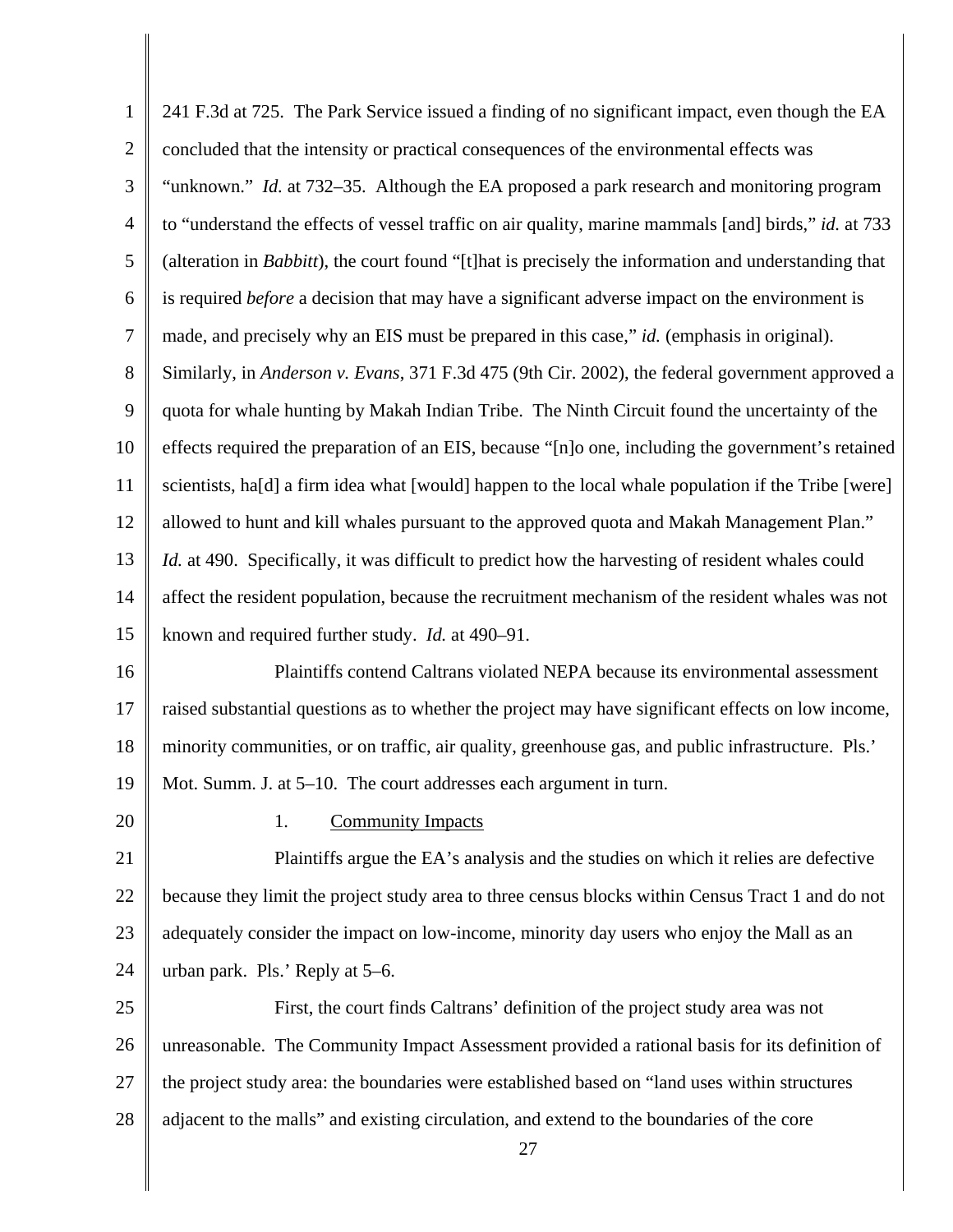| $\mathbf{1}$   | 241 F.3d at 725. The Park Service issued a finding of no significant impact, even though the EA               |
|----------------|---------------------------------------------------------------------------------------------------------------|
| $\mathbf{2}$   | concluded that the intensity or practical consequences of the environmental effects was                       |
| 3              | "unknown." <i>Id.</i> at 732–35. Although the EA proposed a park research and monitoring program              |
| $\overline{4}$ | to "understand the effects of vessel traffic on air quality, marine mammals [and] birds," id. at 733          |
| 5              | (alteration in <i>Babbitt</i> ), the court found "[t] hat is precisely the information and understanding that |
| 6              | is required <i>before</i> a decision that may have a significant adverse impact on the environment is         |
| $\tau$         | made, and precisely why an EIS must be prepared in this case," id. (emphasis in original).                    |
| 8              | Similarly, in Anderson v. Evans, 371 F.3d 475 (9th Cir. 2002), the federal government approved a              |
| 9              | quota for whale hunting by Makah Indian Tribe. The Ninth Circuit found the uncertainty of the                 |
| 10             | effects required the preparation of an EIS, because "[n]o one, including the government's retained            |
| 11             | scientists, ha[d] a firm idea what [would] happen to the local whale population if the Tribe [were]           |
| 12             | allowed to hunt and kill whales pursuant to the approved quota and Makah Management Plan."                    |
| 13             | <i>Id.</i> at 490. Specifically, it was difficult to predict how the harvesting of resident whales could      |
| 14             | affect the resident population, because the recruitment mechanism of the resident whales was not              |
| 15             | known and required further study. <i>Id.</i> at 490–91.                                                       |
| 16             | Plaintiffs contend Caltrans violated NEPA because its environmental assessment                                |
| 17             | raised substantial questions as to whether the project may have significant effects on low income,            |
| 18             | minority communities, or on traffic, air quality, greenhouse gas, and public infrastructure. Pls.'            |
| 19             | Mot. Summ. J. at 5–10. The court addresses each argument in turn.                                             |
| 20             | <b>Community Impacts</b><br>1.                                                                                |
| 21             | Plaintiffs argue the EA's analysis and the studies on which it relies are defective                           |
| 22             | because they limit the project study area to three census blocks within Census Tract 1 and do not             |
| 23             | adequately consider the impact on low-income, minority day users who enjoy the Mall as an                     |
| 24             | urban park. Pls.' Reply at 5–6.                                                                               |
| 25             | First, the court finds Caltrans' definition of the project study area was not                                 |
| 26             | unreasonable. The Community Impact Assessment provided a rational basis for its definition of                 |
| 27             | the project study area: the boundaries were established based on "land uses within structures"                |
| 28             | adjacent to the malls" and existing circulation, and extend to the boundaries of the core<br>27               |

║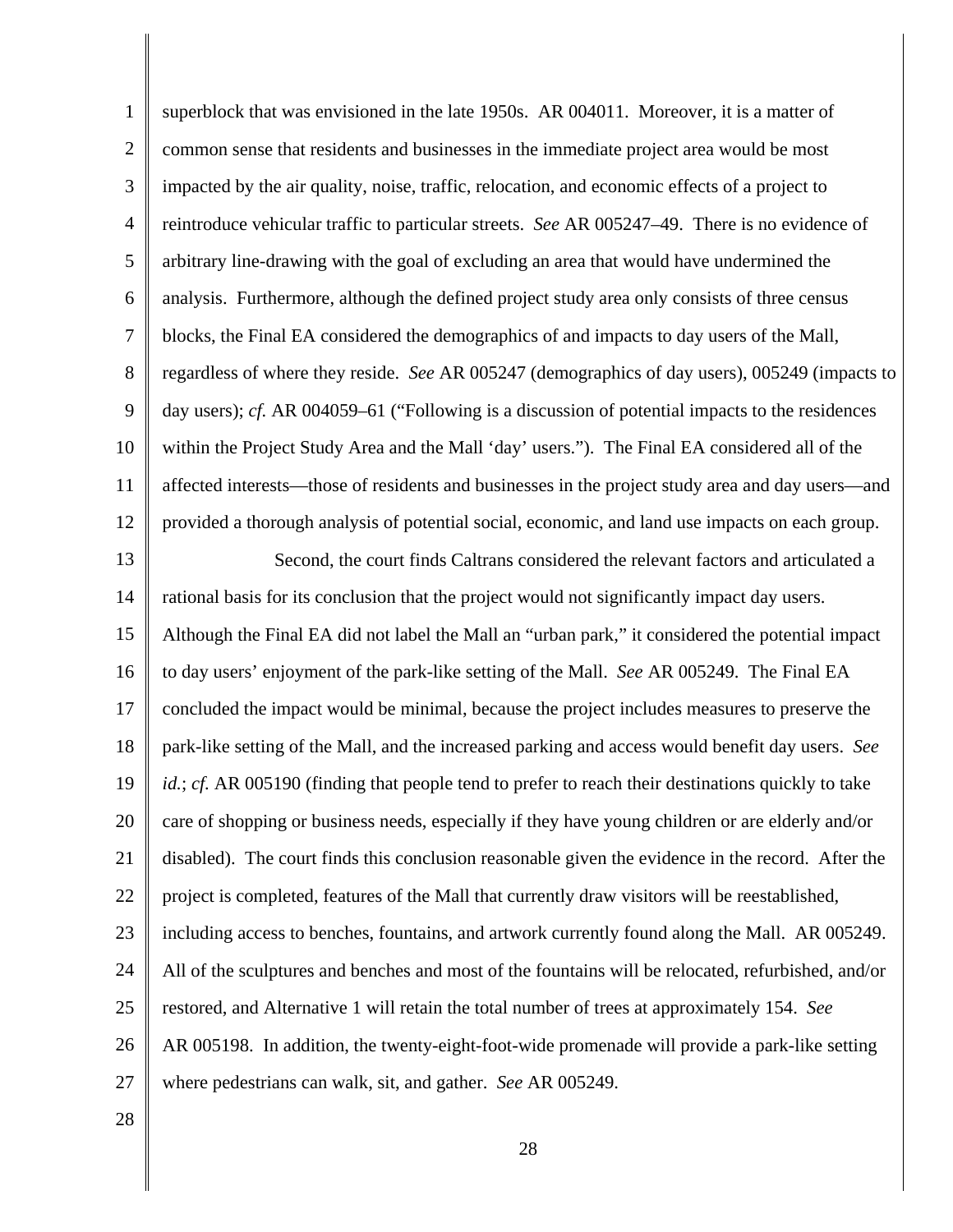| $\mathbf{1}$   | superblock that was envisioned in the late 1950s. AR 004011. Moreover, it is a matter of           |
|----------------|----------------------------------------------------------------------------------------------------|
| $\mathbf{2}$   | common sense that residents and businesses in the immediate project area would be most             |
| 3              | impacted by the air quality, noise, traffic, relocation, and economic effects of a project to      |
| $\overline{4}$ | reintroduce vehicular traffic to particular streets. See AR 005247–49. There is no evidence of     |
| 5              | arbitrary line-drawing with the goal of excluding an area that would have undermined the           |
| 6              | analysis. Furthermore, although the defined project study area only consists of three census       |
| $\tau$         | blocks, the Final EA considered the demographics of and impacts to day users of the Mall,          |
| 8              | regardless of where they reside. See AR 005247 (demographics of day users), 005249 (impacts to     |
| 9              | day users); cf. AR 004059–61 ("Following is a discussion of potential impacts to the residences    |
| 10             | within the Project Study Area and the Mall 'day' users."). The Final EA considered all of the      |
| 11             | affected interests—those of residents and businesses in the project study area and day users—and   |
| 12             | provided a thorough analysis of potential social, economic, and land use impacts on each group.    |
| 13             | Second, the court finds Caltrans considered the relevant factors and articulated a                 |
| 14             | rational basis for its conclusion that the project would not significantly impact day users.       |
| 15             | Although the Final EA did not label the Mall an "urban park," it considered the potential impact   |
| 16             | to day users' enjoyment of the park-like setting of the Mall. See AR 005249. The Final EA          |
| 17             | concluded the impact would be minimal, because the project includes measures to preserve the       |
| 18             | park-like setting of the Mall, and the increased parking and access would benefit day users. See   |
| 19             | id.; cf. AR 005190 (finding that people tend to prefer to reach their destinations quickly to take |
| 20             | care of shopping or business needs, especially if they have young children or are elderly and/or   |
| 21             | disabled). The court finds this conclusion reasonable given the evidence in the record. After the  |
| 22             | project is completed, features of the Mall that currently draw visitors will be reestablished,     |
| 23             | including access to benches, fountains, and artwork currently found along the Mall. AR 005249.     |
| 24             | All of the sculptures and benches and most of the fountains will be relocated, refurbished, and/or |
| 25             | restored, and Alternative 1 will retain the total number of trees at approximately 154. See        |
| 26             | AR 005198. In addition, the twenty-eight-foot-wide promenade will provide a park-like setting      |
| 27             | where pedestrians can walk, sit, and gather. See AR 005249.                                        |
|                |                                                                                                    |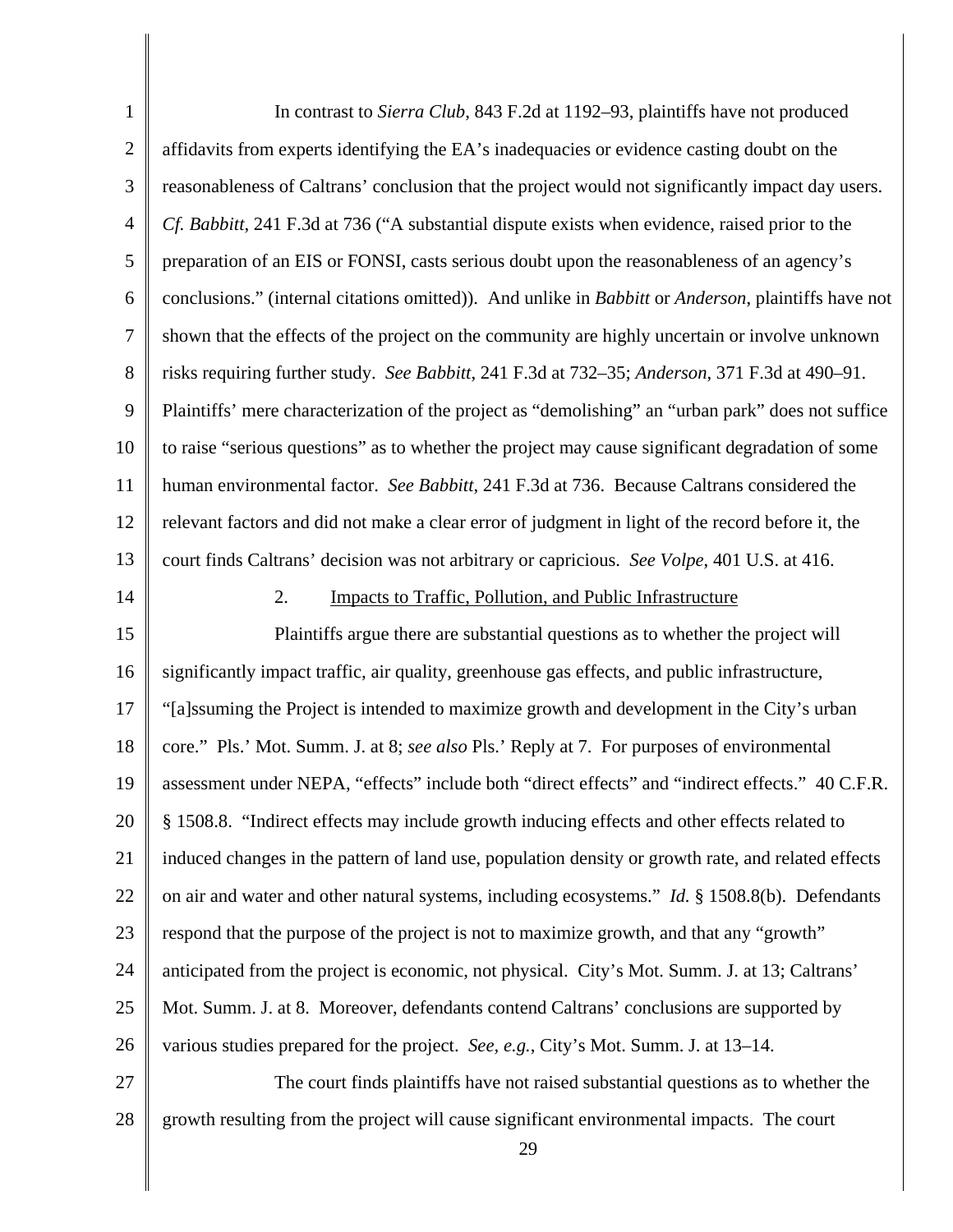| $\mathbf{1}$   | In contrast to Sierra Club, 843 F.2d at 1192–93, plaintiffs have not produced                         |
|----------------|-------------------------------------------------------------------------------------------------------|
| $\mathfrak{2}$ | affidavits from experts identifying the EA's inadequacies or evidence casting doubt on the            |
| 3              | reasonableness of Caltrans' conclusion that the project would not significantly impact day users.     |
| $\overline{4}$ | Cf. Babbitt, 241 F.3d at 736 ("A substantial dispute exists when evidence, raised prior to the        |
| $\mathfrak{S}$ | preparation of an EIS or FONSI, casts serious doubt upon the reasonableness of an agency's            |
| 6              | conclusions." (internal citations omitted)). And unlike in Babbitt or Anderson, plaintiffs have not   |
| $\tau$         | shown that the effects of the project on the community are highly uncertain or involve unknown        |
| 8              | risks requiring further study. See Babbitt, 241 F.3d at 732–35; Anderson, 371 F.3d at 490–91.         |
| 9              | Plaintiffs' mere characterization of the project as "demolishing" an "urban park" does not suffice    |
| 10             | to raise "serious questions" as to whether the project may cause significant degradation of some      |
| 11             | human environmental factor. See Babbitt, 241 F.3d at 736. Because Caltrans considered the             |
| 12             | relevant factors and did not make a clear error of judgment in light of the record before it, the     |
| 13             | court finds Caltrans' decision was not arbitrary or capricious. See Volpe, 401 U.S. at 416.           |
| 14             | 2.<br><b>Impacts to Traffic, Pollution, and Public Infrastructure</b>                                 |
| 15             | Plaintiffs argue there are substantial questions as to whether the project will                       |
| 16             | significantly impact traffic, air quality, greenhouse gas effects, and public infrastructure,         |
| 17             | "[a]ssuming the Project is intended to maximize growth and development in the City's urban            |
| 18             | core." Pls.' Mot. Summ. J. at 8; see also Pls.' Reply at 7. For purposes of environmental             |
| 19             | assessment under NEPA, "effects" include both "direct effects" and "indirect effects." 40 C.F.R.      |
| 20             | § 1508.8. "Indirect effects may include growth inducing effects and other effects related to          |
| 21             | induced changes in the pattern of land use, population density or growth rate, and related effects    |
| 22             | on air and water and other natural systems, including ecosystems." <i>Id.</i> § 1508.8(b). Defendants |
| 23             | respond that the purpose of the project is not to maximize growth, and that any "growth"              |
| 24             | anticipated from the project is economic, not physical. City's Mot. Summ. J. at 13; Caltrans'         |
| 25             | Mot. Summ. J. at 8. Moreover, defendants contend Caltrans' conclusions are supported by               |
| 26             | various studies prepared for the project. See, e.g., City's Mot. Summ. J. at 13–14.                   |
| 27             | The court finds plaintiffs have not raised substantial questions as to whether the                    |
| 28             | growth resulting from the project will cause significant environmental impacts. The court<br>29       |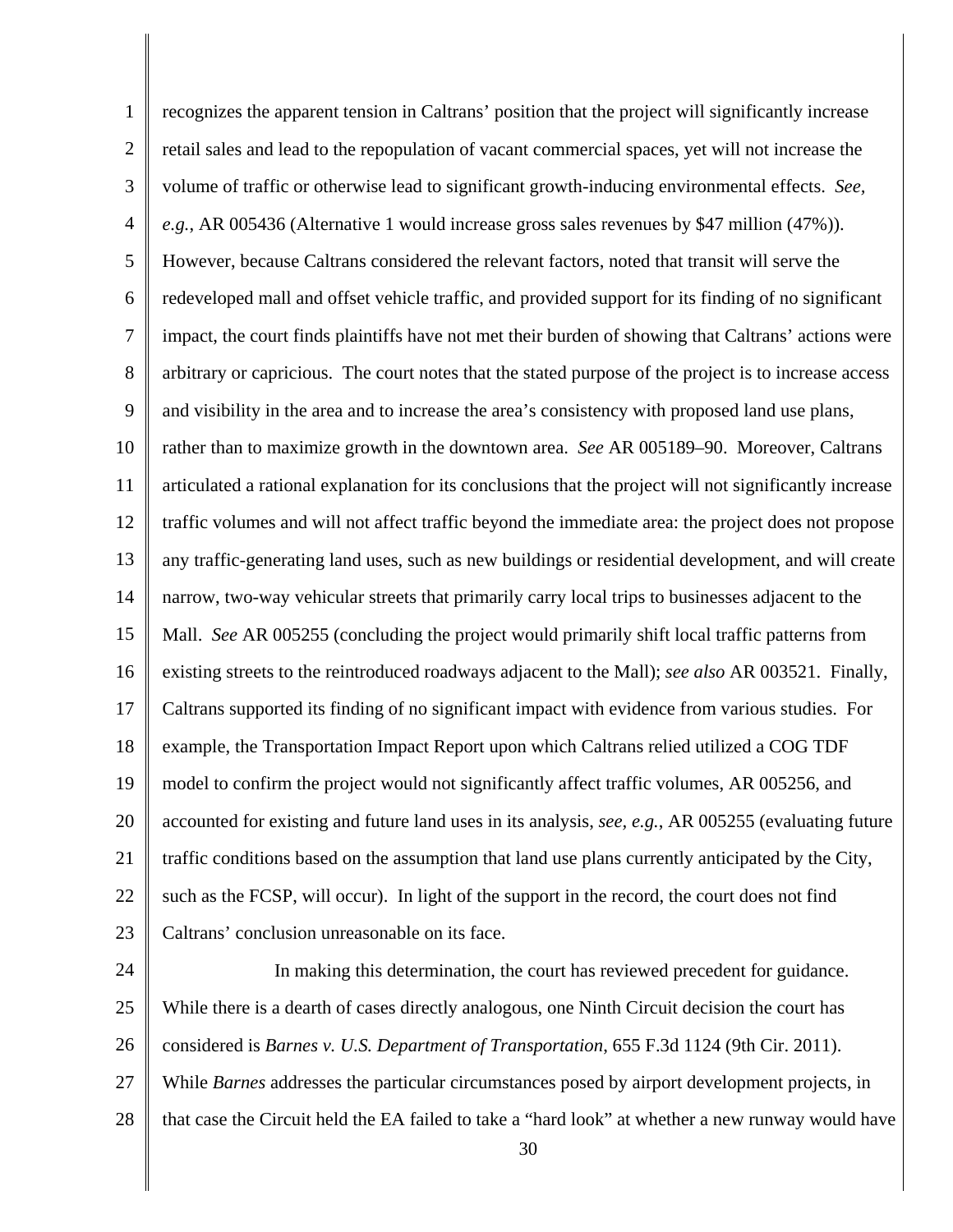1 2 3 4 5 6 7 8 9 10 11 12 13 14 15 16 17 18 19 20 21 22 23 recognizes the apparent tension in Caltrans' position that the project will significantly increase retail sales and lead to the repopulation of vacant commercial spaces, yet will not increase the volume of traffic or otherwise lead to significant growth-inducing environmental effects. *See, e.g.*, AR 005436 (Alternative 1 would increase gross sales revenues by \$47 million (47%)). However, because Caltrans considered the relevant factors, noted that transit will serve the redeveloped mall and offset vehicle traffic, and provided support for its finding of no significant impact, the court finds plaintiffs have not met their burden of showing that Caltrans' actions were arbitrary or capricious. The court notes that the stated purpose of the project is to increase access and visibility in the area and to increase the area's consistency with proposed land use plans, rather than to maximize growth in the downtown area. *See* AR 005189–90. Moreover, Caltrans articulated a rational explanation for its conclusions that the project will not significantly increase traffic volumes and will not affect traffic beyond the immediate area: the project does not propose any traffic-generating land uses, such as new buildings or residential development, and will create narrow, two-way vehicular streets that primarily carry local trips to businesses adjacent to the Mall. *See* AR 005255 (concluding the project would primarily shift local traffic patterns from existing streets to the reintroduced roadways adjacent to the Mall); *see also* AR 003521. Finally, Caltrans supported its finding of no significant impact with evidence from various studies. For example, the Transportation Impact Report upon which Caltrans relied utilized a COG TDF model to confirm the project would not significantly affect traffic volumes, AR 005256, and accounted for existing and future land uses in its analysis, *see, e.g.*, AR 005255 (evaluating future traffic conditions based on the assumption that land use plans currently anticipated by the City, such as the FCSP, will occur). In light of the support in the record, the court does not find Caltrans' conclusion unreasonable on its face.

24 25 26 27 28 In making this determination, the court has reviewed precedent for guidance. While there is a dearth of cases directly analogous, one Ninth Circuit decision the court has considered is *Barnes v. U.S. Department of Transportation*, 655 F.3d 1124 (9th Cir. 2011). While *Barnes* addresses the particular circumstances posed by airport development projects, in that case the Circuit held the EA failed to take a "hard look" at whether a new runway would have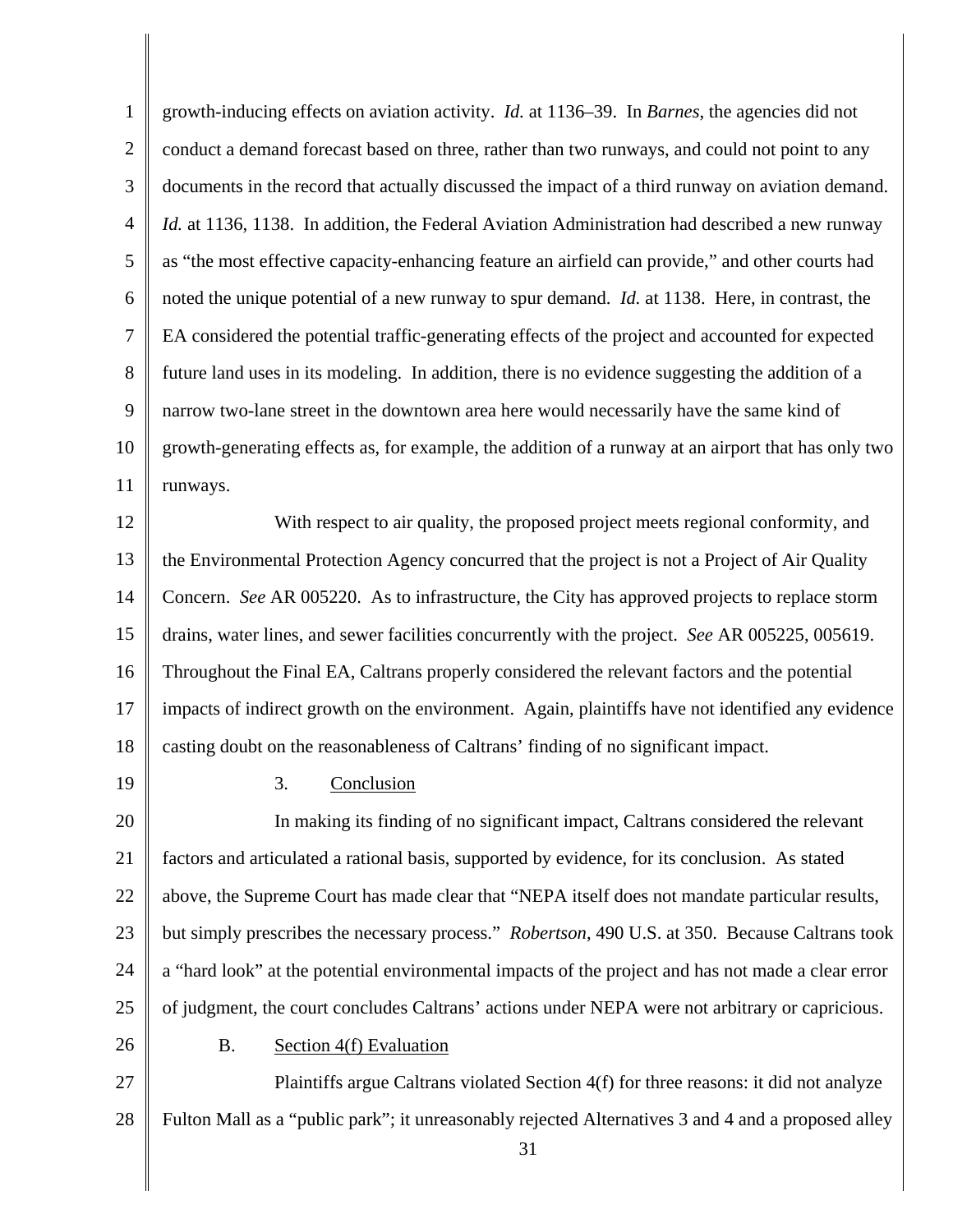1 2 3 4 5 6 7 8 9 10 11 12 13 14 15 16 17 18 19 20 21 22 23 24 25 26 27 28 31 growth-inducing effects on aviation activity. *Id.* at 1136–39. In *Barnes*, the agencies did not conduct a demand forecast based on three, rather than two runways, and could not point to any documents in the record that actually discussed the impact of a third runway on aviation demand. *Id.* at 1136, 1138. In addition, the Federal Aviation Administration had described a new runway as "the most effective capacity-enhancing feature an airfield can provide," and other courts had noted the unique potential of a new runway to spur demand. *Id.* at 1138. Here, in contrast, the EA considered the potential traffic-generating effects of the project and accounted for expected future land uses in its modeling. In addition, there is no evidence suggesting the addition of a narrow two-lane street in the downtown area here would necessarily have the same kind of growth-generating effects as, for example, the addition of a runway at an airport that has only two runways. With respect to air quality, the proposed project meets regional conformity, and the Environmental Protection Agency concurred that the project is not a Project of Air Quality Concern. *See* AR 005220. As to infrastructure, the City has approved projects to replace storm drains, water lines, and sewer facilities concurrently with the project. *See* AR 005225, 005619. Throughout the Final EA, Caltrans properly considered the relevant factors and the potential impacts of indirect growth on the environment. Again, plaintiffs have not identified any evidence casting doubt on the reasonableness of Caltrans' finding of no significant impact. 3. Conclusion In making its finding of no significant impact, Caltrans considered the relevant factors and articulated a rational basis, supported by evidence, for its conclusion. As stated above, the Supreme Court has made clear that "NEPA itself does not mandate particular results, but simply prescribes the necessary process." *Robertson*, 490 U.S. at 350. Because Caltrans took a "hard look" at the potential environmental impacts of the project and has not made a clear error of judgment, the court concludes Caltrans' actions under NEPA were not arbitrary or capricious. B. Section 4(f) Evaluation Plaintiffs argue Caltrans violated Section 4(f) for three reasons: it did not analyze Fulton Mall as a "public park"; it unreasonably rejected Alternatives 3 and 4 and a proposed alley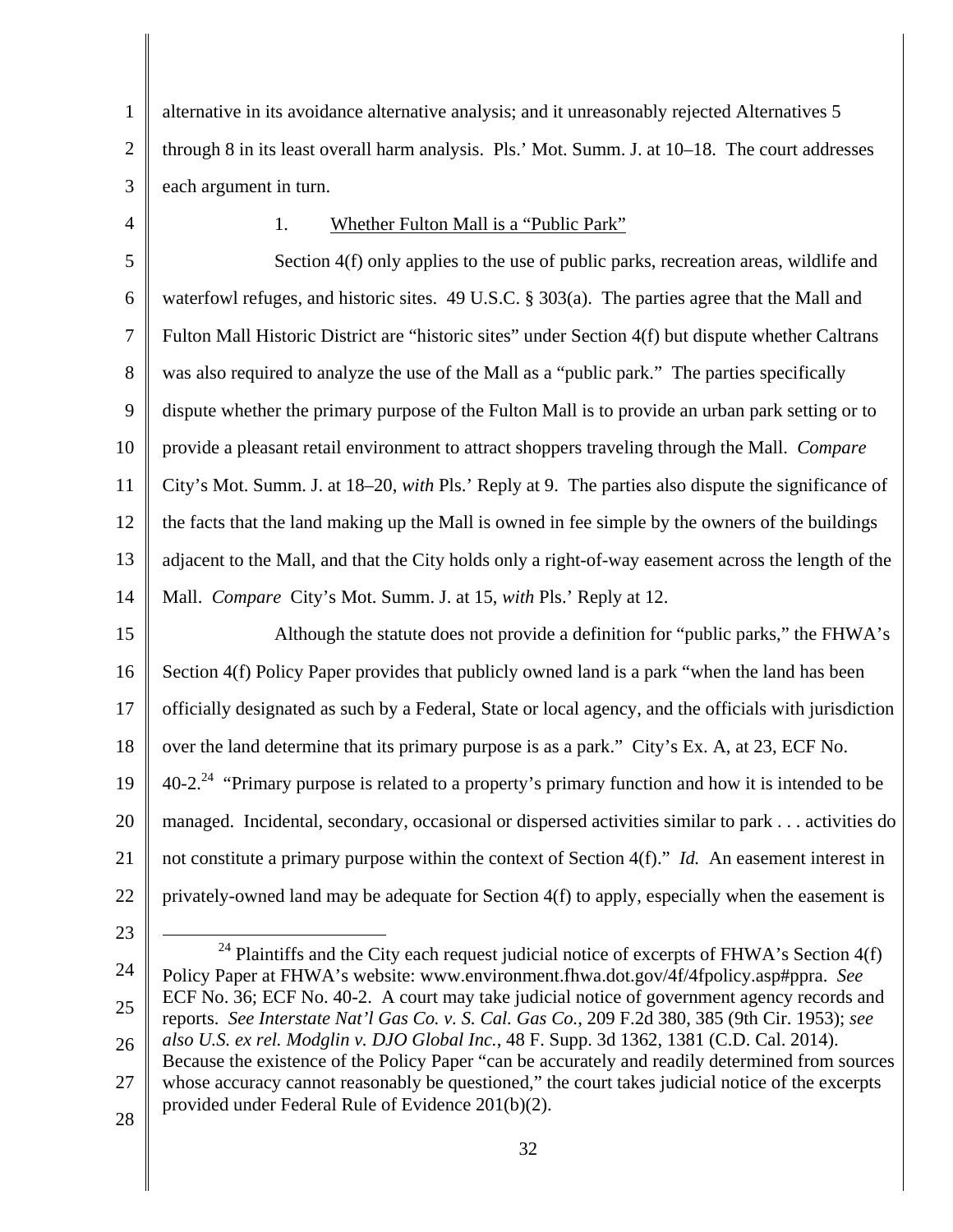1 2 3 alternative in its avoidance alternative analysis; and it unreasonably rejected Alternatives 5 through 8 in its least overall harm analysis. Pls.' Mot. Summ. J. at 10–18. The court addresses each argument in turn.

4

## 1. Whether Fulton Mall is a "Public Park"

5 6 7 8 9 10 11 12 13 14 Section 4(f) only applies to the use of public parks, recreation areas, wildlife and waterfowl refuges, and historic sites. 49 U.S.C. § 303(a). The parties agree that the Mall and Fulton Mall Historic District are "historic sites" under Section 4(f) but dispute whether Caltrans was also required to analyze the use of the Mall as a "public park." The parties specifically dispute whether the primary purpose of the Fulton Mall is to provide an urban park setting or to provide a pleasant retail environment to attract shoppers traveling through the Mall. *Compare*  City's Mot. Summ. J. at 18–20, *with* Pls.' Reply at 9. The parties also dispute the significance of the facts that the land making up the Mall is owned in fee simple by the owners of the buildings adjacent to the Mall, and that the City holds only a right-of-way easement across the length of the Mall. *Compare* City's Mot. Summ. J. at 15, *with* Pls.' Reply at 12.

15 16 17 18 19 20 21 22 Although the statute does not provide a definition for "public parks," the FHWA's Section 4(f) Policy Paper provides that publicly owned land is a park "when the land has been officially designated as such by a Federal, State or local agency, and the officials with jurisdiction over the land determine that its primary purpose is as a park." City's Ex. A, at 23, ECF No. 40-2<sup>24</sup> "Primary purpose is related to a property's primary function and how it is intended to be managed. Incidental, secondary, occasional or dispersed activities similar to park . . . activities do not constitute a primary purpose within the context of Section 4(f)." *Id.* An easement interest in privately-owned land may be adequate for Section 4(f) to apply, especially when the easement is

23

<sup>24</sup>  25  $\overline{a}$  $24$  Plaintiffs and the City each request judicial notice of excerpts of FHWA's Section 4(f) Policy Paper at FHWA's website: www.environment.fhwa.dot.gov/4f/4fpolicy.asp#ppra. *See*  ECF No. 36; ECF No. 40-2. A court may take judicial notice of government agency records and reports. *See Interstate Nat'l Gas Co. v. S. Cal. Gas Co.*, 209 F.2d 380, 385 (9th Cir. 1953); *see also U.S. ex rel. Modglin v. DJO Global Inc.*, 48 F. Supp. 3d 1362, 1381 (C.D. Cal. 2014).

<sup>26</sup>  27 Because the existence of the Policy Paper "can be accurately and readily determined from sources whose accuracy cannot reasonably be questioned," the court takes judicial notice of the excerpts provided under Federal Rule of Evidence 201(b)(2).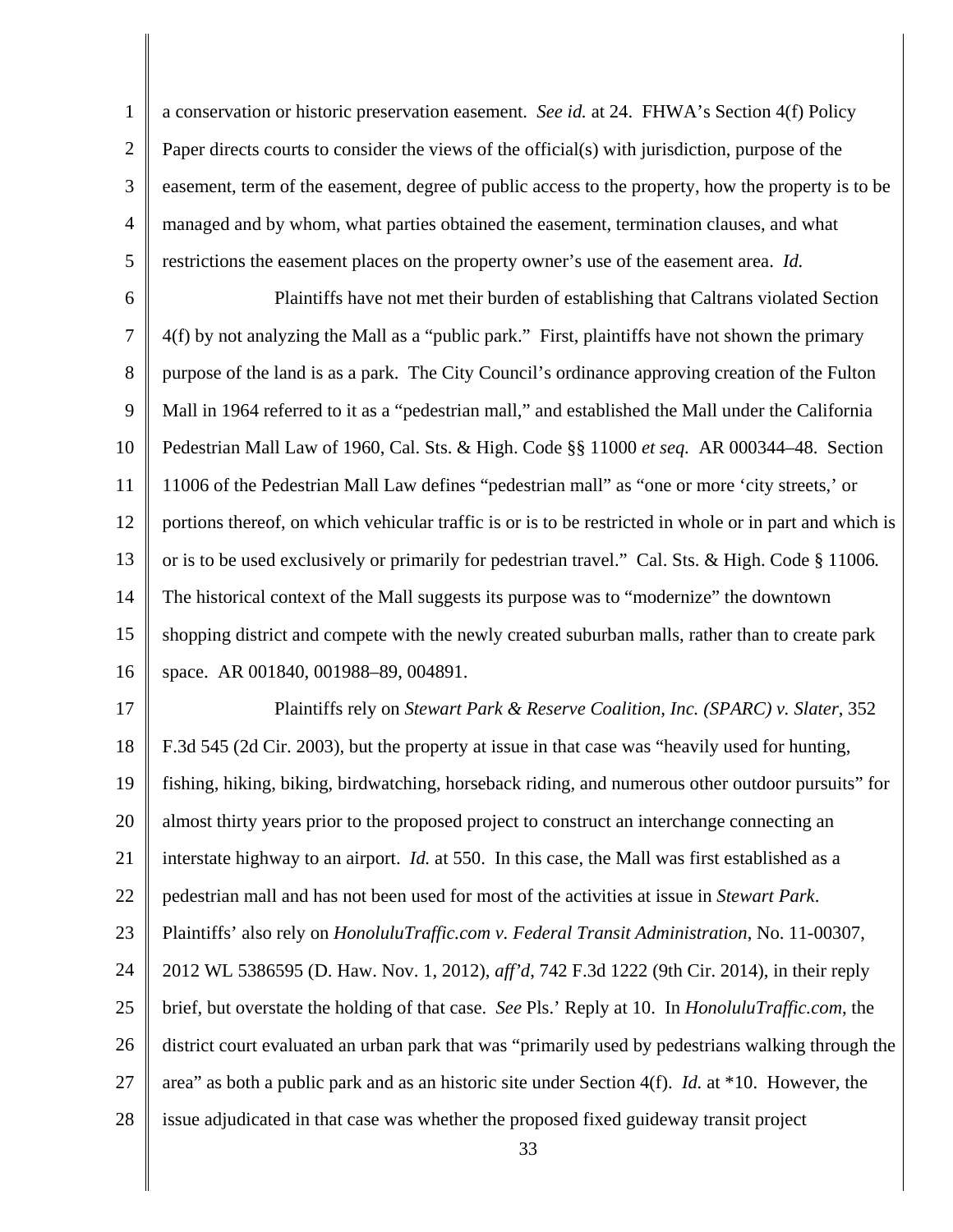1 2 3 4 5 a conservation or historic preservation easement. *See id.* at 24. FHWA's Section 4(f) Policy Paper directs courts to consider the views of the official(s) with jurisdiction, purpose of the easement, term of the easement, degree of public access to the property, how the property is to be managed and by whom, what parties obtained the easement, termination clauses, and what restrictions the easement places on the property owner's use of the easement area. *Id.* 

6 7 8 9 10 11 12 13 14 15 16 Plaintiffs have not met their burden of establishing that Caltrans violated Section 4(f) by not analyzing the Mall as a "public park." First, plaintiffs have not shown the primary purpose of the land is as a park. The City Council's ordinance approving creation of the Fulton Mall in 1964 referred to it as a "pedestrian mall," and established the Mall under the California Pedestrian Mall Law of 1960, Cal. Sts. & High. Code §§ 11000 *et seq.* AR 000344–48. Section 11006 of the Pedestrian Mall Law defines "pedestrian mall" as "one or more 'city streets,' or portions thereof, on which vehicular traffic is or is to be restricted in whole or in part and which is or is to be used exclusively or primarily for pedestrian travel." Cal. Sts. & High. Code § 11006*.* The historical context of the Mall suggests its purpose was to "modernize" the downtown shopping district and compete with the newly created suburban malls, rather than to create park space. AR 001840, 001988–89, 004891.

17 18 19 20 21 22 23 24 25 26 27 28 Plaintiffs rely on *Stewart Park & Reserve Coalition, Inc. (SPARC) v. Slater*, 352 F.3d 545 (2d Cir. 2003), but the property at issue in that case was "heavily used for hunting, fishing, hiking, biking, birdwatching, horseback riding, and numerous other outdoor pursuits" for almost thirty years prior to the proposed project to construct an interchange connecting an interstate highway to an airport. *Id.* at 550. In this case, the Mall was first established as a pedestrian mall and has not been used for most of the activities at issue in *Stewart Park*. Plaintiffs' also rely on *HonoluluTraffic.com v. Federal Transit Administration*, No. 11-00307, 2012 WL 5386595 (D. Haw. Nov. 1, 2012), *aff'd*, 742 F.3d 1222 (9th Cir. 2014), in their reply brief, but overstate the holding of that case. *See* Pls.' Reply at 10. In *HonoluluTraffic.com*, the district court evaluated an urban park that was "primarily used by pedestrians walking through the area" as both a public park and as an historic site under Section 4(f). *Id.* at \*10. However, the issue adjudicated in that case was whether the proposed fixed guideway transit project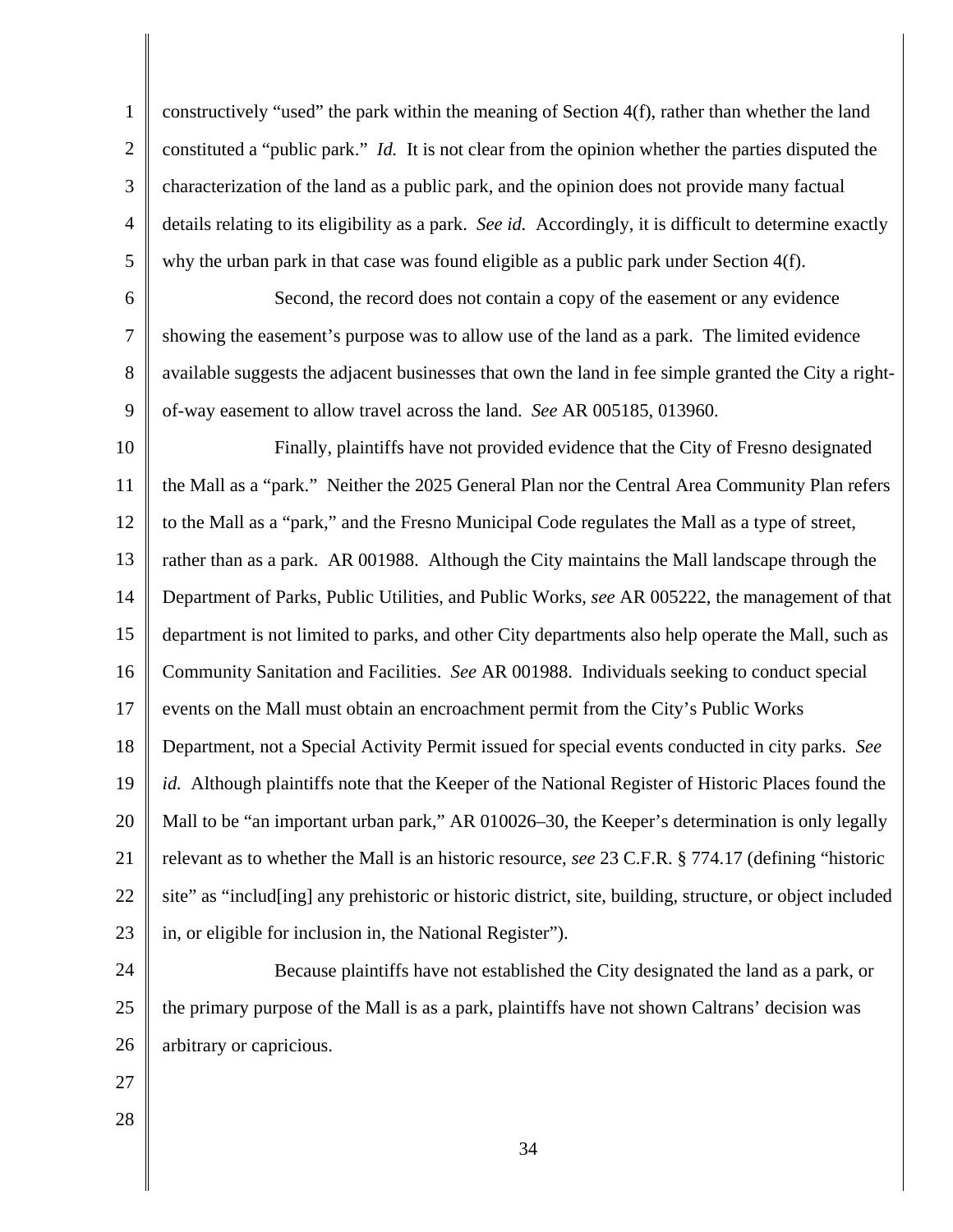1 2 3 4 5 constructively "used" the park within the meaning of Section 4(f), rather than whether the land constituted a "public park." *Id.* It is not clear from the opinion whether the parties disputed the characterization of the land as a public park, and the opinion does not provide many factual details relating to its eligibility as a park. *See id.* Accordingly, it is difficult to determine exactly why the urban park in that case was found eligible as a public park under Section 4(f).

6 7 8 9 Second, the record does not contain a copy of the easement or any evidence showing the easement's purpose was to allow use of the land as a park. The limited evidence available suggests the adjacent businesses that own the land in fee simple granted the City a rightof-way easement to allow travel across the land. *See* AR 005185, 013960.

10 11 12 13 14 15 16 17 18 19 20 21 22 23 Finally, plaintiffs have not provided evidence that the City of Fresno designated the Mall as a "park." Neither the 2025 General Plan nor the Central Area Community Plan refers to the Mall as a "park," and the Fresno Municipal Code regulates the Mall as a type of street, rather than as a park. AR 001988. Although the City maintains the Mall landscape through the Department of Parks, Public Utilities, and Public Works, *see* AR 005222, the management of that department is not limited to parks, and other City departments also help operate the Mall, such as Community Sanitation and Facilities. *See* AR 001988. Individuals seeking to conduct special events on the Mall must obtain an encroachment permit from the City's Public Works Department, not a Special Activity Permit issued for special events conducted in city parks. *See id.* Although plaintiffs note that the Keeper of the National Register of Historic Places found the Mall to be "an important urban park," AR 010026–30, the Keeper's determination is only legally relevant as to whether the Mall is an historic resource, *see* 23 C.F.R. § 774.17 (defining "historic site" as "includ[ing] any prehistoric or historic district, site, building, structure, or object included in, or eligible for inclusion in, the National Register").

24 25 26 Because plaintiffs have not established the City designated the land as a park, or the primary purpose of the Mall is as a park, plaintiffs have not shown Caltrans' decision was arbitrary or capricious.

- 27
- 28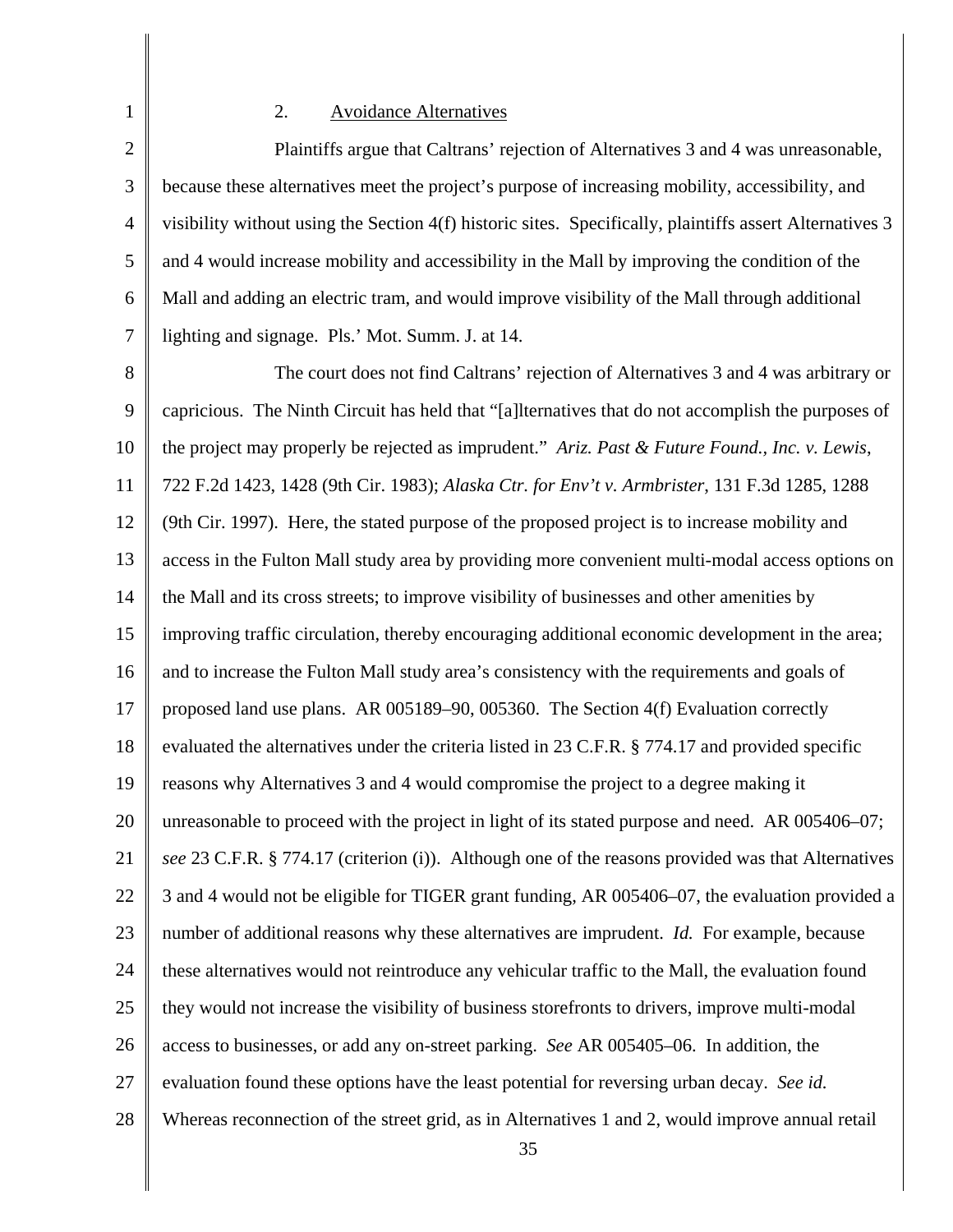#### 2. Avoidance Alternatives

1

2 3 4 5 6 7 Plaintiffs argue that Caltrans' rejection of Alternatives 3 and 4 was unreasonable, because these alternatives meet the project's purpose of increasing mobility, accessibility, and visibility without using the Section 4(f) historic sites. Specifically, plaintiffs assert Alternatives 3 and 4 would increase mobility and accessibility in the Mall by improving the condition of the Mall and adding an electric tram, and would improve visibility of the Mall through additional lighting and signage. Pls.' Mot. Summ. J. at 14.

8 9 10 11 12 13 14 15 16 17 18 19 20 21 22 23 24 25 26 27 28 The court does not find Caltrans' rejection of Alternatives 3 and 4 was arbitrary or capricious. The Ninth Circuit has held that "[a]lternatives that do not accomplish the purposes of the project may properly be rejected as imprudent." *Ariz. Past & Future Found., Inc. v. Lewis*, 722 F.2d 1423, 1428 (9th Cir. 1983); *Alaska Ctr. for Env't v. Armbrister*, 131 F.3d 1285, 1288 (9th Cir. 1997). Here, the stated purpose of the proposed project is to increase mobility and access in the Fulton Mall study area by providing more convenient multi-modal access options on the Mall and its cross streets; to improve visibility of businesses and other amenities by improving traffic circulation, thereby encouraging additional economic development in the area; and to increase the Fulton Mall study area's consistency with the requirements and goals of proposed land use plans. AR 005189–90, 005360. The Section 4(f) Evaluation correctly evaluated the alternatives under the criteria listed in 23 C.F.R. § 774.17 and provided specific reasons why Alternatives 3 and 4 would compromise the project to a degree making it unreasonable to proceed with the project in light of its stated purpose and need. AR 005406–07; *see* 23 C.F.R. § 774.17 (criterion (i)). Although one of the reasons provided was that Alternatives 3 and 4 would not be eligible for TIGER grant funding, AR 005406–07, the evaluation provided a number of additional reasons why these alternatives are imprudent. *Id.* For example, because these alternatives would not reintroduce any vehicular traffic to the Mall, the evaluation found they would not increase the visibility of business storefronts to drivers, improve multi-modal access to businesses, or add any on-street parking. *See* AR 005405–06. In addition, the evaluation found these options have the least potential for reversing urban decay. *See id.*  Whereas reconnection of the street grid, as in Alternatives 1 and 2, would improve annual retail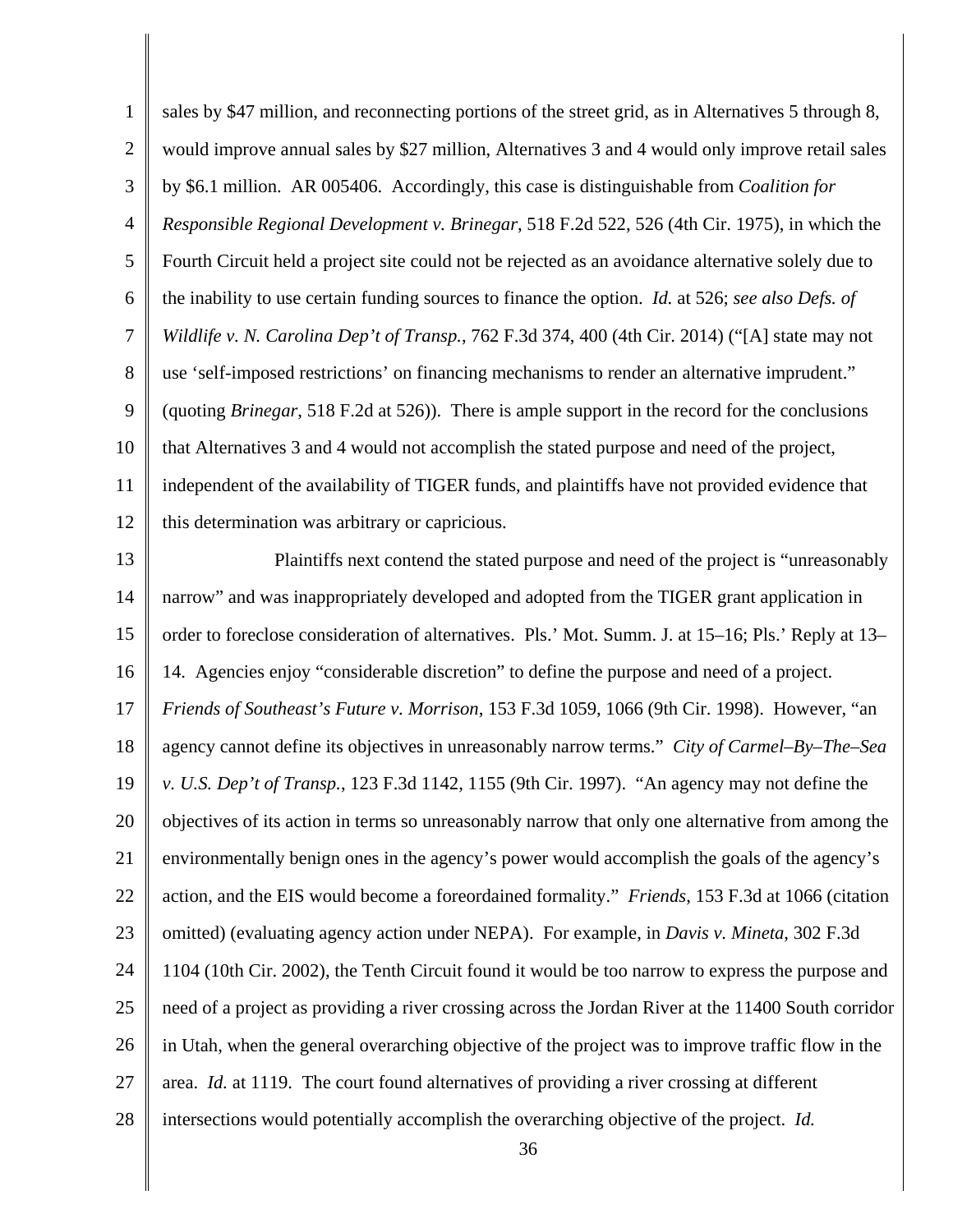1 2 3 4 5 6 7 8 9 10 11 12 sales by \$47 million, and reconnecting portions of the street grid, as in Alternatives 5 through 8, would improve annual sales by \$27 million, Alternatives 3 and 4 would only improve retail sales by \$6.1 million. AR 005406. Accordingly, this case is distinguishable from *Coalition for Responsible Regional Development v. Brinegar*, 518 F.2d 522, 526 (4th Cir. 1975), in which the Fourth Circuit held a project site could not be rejected as an avoidance alternative solely due to the inability to use certain funding sources to finance the option. *Id.* at 526; *see also Defs. of Wildlife v. N. Carolina Dep't of Transp.*, 762 F.3d 374, 400 (4th Cir. 2014) ("[A] state may not use 'self-imposed restrictions' on financing mechanisms to render an alternative imprudent." (quoting *Brinegar*, 518 F.2d at 526)). There is ample support in the record for the conclusions that Alternatives 3 and 4 would not accomplish the stated purpose and need of the project, independent of the availability of TIGER funds, and plaintiffs have not provided evidence that this determination was arbitrary or capricious.

13 14 15 16 17 18 19 20 21 22 23 24 25 26 27 28 Plaintiffs next contend the stated purpose and need of the project is "unreasonably narrow" and was inappropriately developed and adopted from the TIGER grant application in order to foreclose consideration of alternatives. Pls.' Mot. Summ. J. at 15–16; Pls.' Reply at 13– 14. Agencies enjoy "considerable discretion" to define the purpose and need of a project. *Friends of Southeast's Future v. Morrison*, 153 F.3d 1059, 1066 (9th Cir. 1998). However, "an agency cannot define its objectives in unreasonably narrow terms." *City of Carmel–By–The–Sea v. U.S. Dep't of Transp.*, 123 F.3d 1142, 1155 (9th Cir. 1997). "An agency may not define the objectives of its action in terms so unreasonably narrow that only one alternative from among the environmentally benign ones in the agency's power would accomplish the goals of the agency's action, and the EIS would become a foreordained formality." *Friends*, 153 F.3d at 1066 (citation omitted) (evaluating agency action under NEPA). For example, in *Davis v. Mineta*, 302 F.3d 1104 (10th Cir. 2002), the Tenth Circuit found it would be too narrow to express the purpose and need of a project as providing a river crossing across the Jordan River at the 11400 South corridor in Utah, when the general overarching objective of the project was to improve traffic flow in the area. *Id.* at 1119. The court found alternatives of providing a river crossing at different intersections would potentially accomplish the overarching objective of the project. *Id.*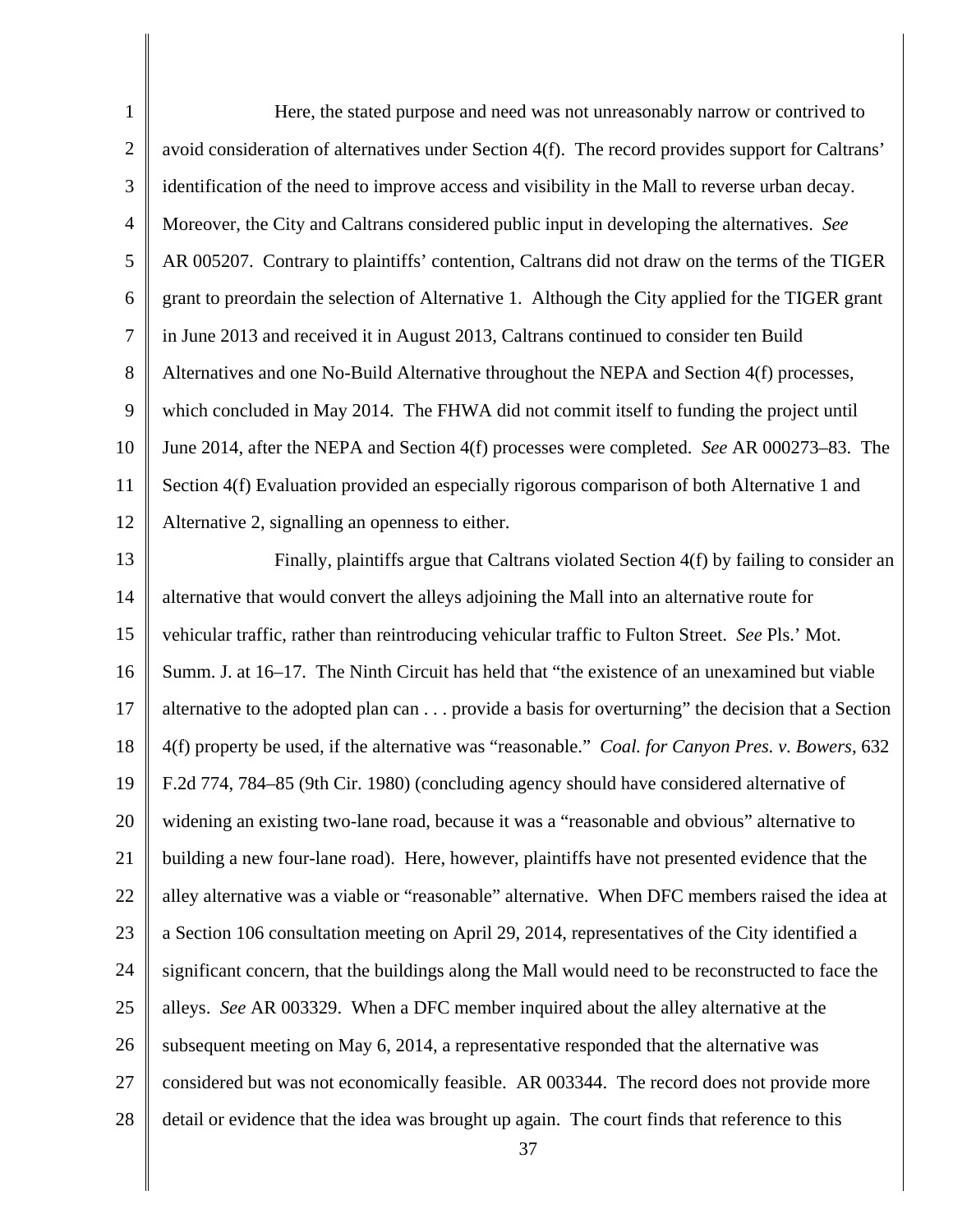1 2 3 4 5 6 7 8 9 10 11 12 Here, the stated purpose and need was not unreasonably narrow or contrived to avoid consideration of alternatives under Section 4(f). The record provides support for Caltrans' identification of the need to improve access and visibility in the Mall to reverse urban decay. Moreover, the City and Caltrans considered public input in developing the alternatives. *See*  AR 005207. Contrary to plaintiffs' contention, Caltrans did not draw on the terms of the TIGER grant to preordain the selection of Alternative 1. Although the City applied for the TIGER grant in June 2013 and received it in August 2013, Caltrans continued to consider ten Build Alternatives and one No-Build Alternative throughout the NEPA and Section 4(f) processes, which concluded in May 2014. The FHWA did not commit itself to funding the project until June 2014, after the NEPA and Section 4(f) processes were completed. *See* AR 000273–83. The Section 4(f) Evaluation provided an especially rigorous comparison of both Alternative 1 and Alternative 2, signalling an openness to either.

13 14 15 16 17 18 19 20 21 22 23 24 25 26 27 28 Finally, plaintiffs argue that Caltrans violated Section 4(f) by failing to consider an alternative that would convert the alleys adjoining the Mall into an alternative route for vehicular traffic, rather than reintroducing vehicular traffic to Fulton Street. *See* Pls.' Mot. Summ. J. at 16–17. The Ninth Circuit has held that "the existence of an unexamined but viable alternative to the adopted plan can . . . provide a basis for overturning" the decision that a Section 4(f) property be used, if the alternative was "reasonable." *Coal. for Canyon Pres. v. Bowers*, 632 F.2d 774, 784–85 (9th Cir. 1980) (concluding agency should have considered alternative of widening an existing two-lane road, because it was a "reasonable and obvious" alternative to building a new four-lane road). Here, however, plaintiffs have not presented evidence that the alley alternative was a viable or "reasonable" alternative. When DFC members raised the idea at a Section 106 consultation meeting on April 29, 2014, representatives of the City identified a significant concern, that the buildings along the Mall would need to be reconstructed to face the alleys. *See* AR 003329. When a DFC member inquired about the alley alternative at the subsequent meeting on May 6, 2014, a representative responded that the alternative was considered but was not economically feasible. AR 003344. The record does not provide more detail or evidence that the idea was brought up again. The court finds that reference to this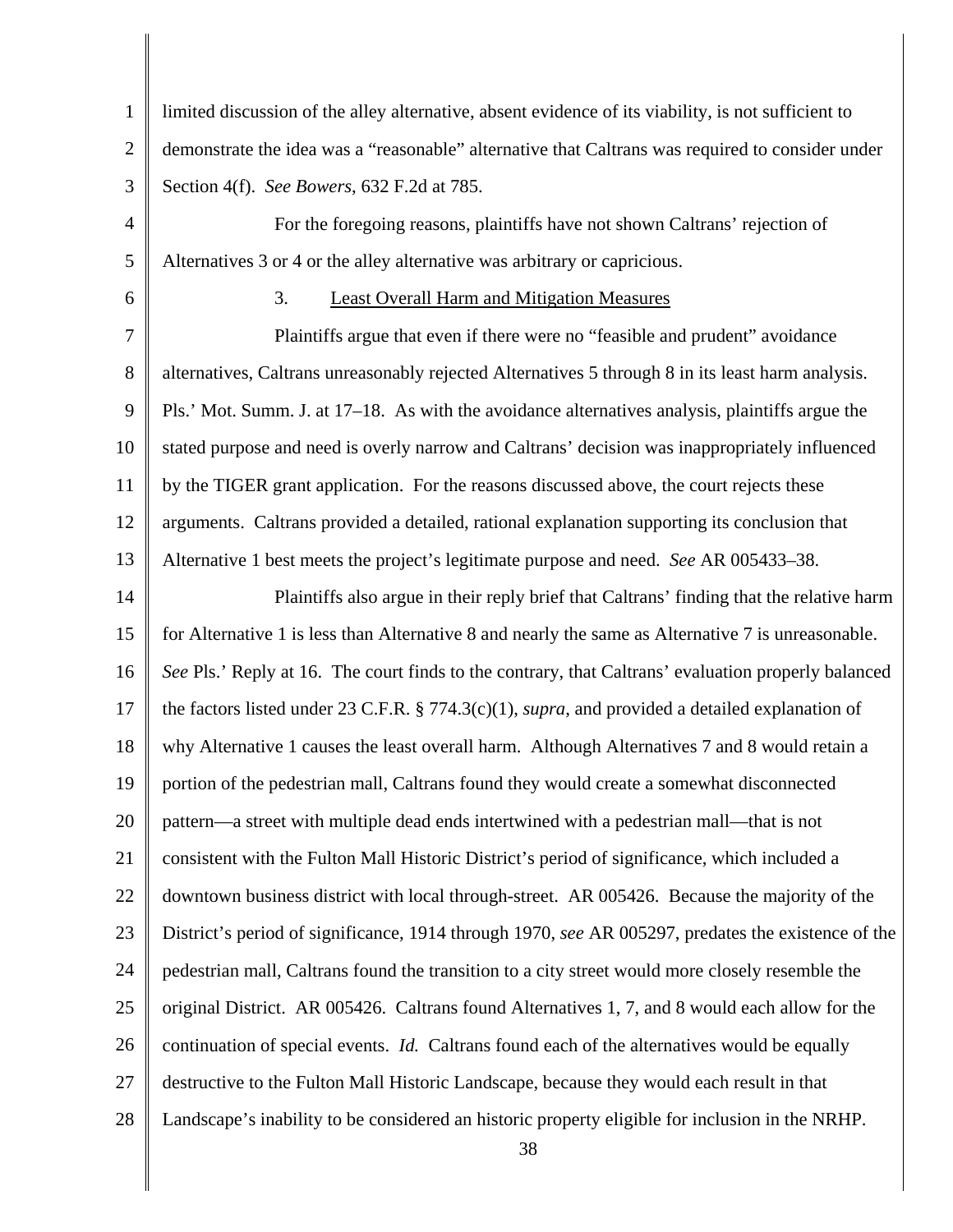1 2 3 4 5 6 7 8 9 10 11 12 13 14 15 16 17 18 19 20 21 22 23 24 25 26 27 28 38 limited discussion of the alley alternative, absent evidence of its viability, is not sufficient to demonstrate the idea was a "reasonable" alternative that Caltrans was required to consider under Section 4(f). *See Bowers*, 632 F.2d at 785. For the foregoing reasons, plaintiffs have not shown Caltrans' rejection of Alternatives 3 or 4 or the alley alternative was arbitrary or capricious. 3. Least Overall Harm and Mitigation Measures Plaintiffs argue that even if there were no "feasible and prudent" avoidance alternatives, Caltrans unreasonably rejected Alternatives 5 through 8 in its least harm analysis. Pls.' Mot. Summ. J. at 17–18. As with the avoidance alternatives analysis, plaintiffs argue the stated purpose and need is overly narrow and Caltrans' decision was inappropriately influenced by the TIGER grant application. For the reasons discussed above, the court rejects these arguments. Caltrans provided a detailed, rational explanation supporting its conclusion that Alternative 1 best meets the project's legitimate purpose and need. *See* AR 005433–38. Plaintiffs also argue in their reply brief that Caltrans' finding that the relative harm for Alternative 1 is less than Alternative 8 and nearly the same as Alternative 7 is unreasonable. *See* Pls.' Reply at 16. The court finds to the contrary, that Caltrans' evaluation properly balanced the factors listed under 23 C.F.R. § 774.3(c)(1), *supra*, and provided a detailed explanation of why Alternative 1 causes the least overall harm. Although Alternatives 7 and 8 would retain a portion of the pedestrian mall, Caltrans found they would create a somewhat disconnected pattern—a street with multiple dead ends intertwined with a pedestrian mall—that is not consistent with the Fulton Mall Historic District's period of significance, which included a downtown business district with local through-street. AR 005426. Because the majority of the District's period of significance, 1914 through 1970, *see* AR 005297, predates the existence of the pedestrian mall, Caltrans found the transition to a city street would more closely resemble the original District. AR 005426.Caltrans found Alternatives 1, 7, and 8 would each allow for the continuation of special events. *Id.* Caltrans found each of the alternatives would be equally destructive to the Fulton Mall Historic Landscape, because they would each result in that Landscape's inability to be considered an historic property eligible for inclusion in the NRHP.